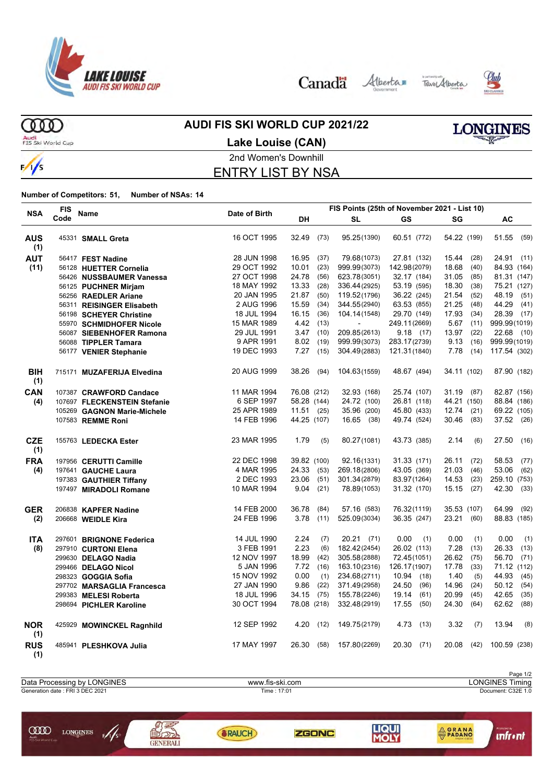

Canada Alberta Tave Alberta





ത്ത Audi<br>FIS Ski World Cup

 $\frac{1}{s}$ 

### **AUDI FIS SKI WORLD CUP 2021/22**

**Lake Louise (CAN)**



# 2nd Women's Downhill ENTRY LIST BY NSA

**Number of Competitors: 51, Number of NSAs: 14**

|                   | <b>FIS</b> |                              |               |             |      |              | FIS Points (25th of November 2021 - List 10) |               |               |
|-------------------|------------|------------------------------|---------------|-------------|------|--------------|----------------------------------------------|---------------|---------------|
| <b>NSA</b>        | Code       | Name                         | Date of Birth | DH          |      | <b>SL</b>    | GS                                           | SG            | AC            |
| <b>AUS</b><br>(1) |            | 45331 SMALL Greta            | 16 OCT 1995   | 32.49       | (73) | 95.25(1390)  | 60.51 (772)                                  | 54.22 (199)   | 51.55 (59)    |
| <b>AUT</b>        |            | 56417 FEST Nadine            | 28 JUN 1998   | 16.95       | (37) | 79.68(1073)  | 27.81 (132)                                  | 15.44<br>(28) | 24.91 (11)    |
| (11)              |            | 56128 HUETTER Cornelia       | 29 OCT 1992   | 10.01       | (23) | 999.99(3073) | 142.98(2079)                                 | 18.68<br>(40) | 84.93 (164)   |
|                   |            | 56426 NUSSBAUMER Vanessa     | 27 OCT 1998   | 24.78       | (56) | 623.78(3051) | 32.17 (184)                                  | 31.05<br>(85) | 81.31 (147)   |
|                   |            | 56125 PUCHNER Mirjam         | 18 MAY 1992   | 13.33       | (28) | 336.44(2925) | 53.19 (595)                                  | 18.30<br>(38) | 75.21 (127)   |
|                   |            | 56256 RAEDLER Ariane         | 20 JAN 1995   | 21.87       | (50) | 119.52(1796) | 36.22 (245)                                  | 21.54<br>(52) | 48.19<br>(51) |
|                   |            | 56311 REISINGER Elisabeth    | 2 AUG 1996    | 15.59       | (34) | 344.55(2940) | 63.53 (855)                                  | 21.25<br>(48) | 44.29<br>(41) |
|                   |            | 56198 SCHEYER Christine      | 18 JUL 1994   | 16.15       | (36) | 104.14(1548) | 29.70 (149)                                  | 17.93<br>(34) | 28.39<br>(17) |
|                   |            | 55970 SCHMIDHOFER Nicole     | 15 MAR 1989   | 4.42 (13)   |      |              | 249.11(2669)                                 | $5.67$ (11)   | 999.99(1019)  |
|                   |            | 56087 SIEBENHOFER Ramona     | 29 JUL 1991   | $3.47$ (10) |      | 209.85(2613) | 9.18(17)                                     | 13.97<br>(22) | 22.68 (10)    |
|                   |            | 56088 TIPPLER Tamara         | 9 APR 1991    | $8.02$ (19) |      | 999.99(3073) | 283.17(2739)                                 | 9.13<br>(16)  | 999.99(1019)  |
|                   |            | 56177 VENIER Stephanie       | 19 DEC 1993   | 7.27        | (15) | 304.49(2883) | 121.31(1840)                                 | 7.78<br>(14)  | 117.54 (302)  |
| <b>BIH</b><br>(1) |            | 715171 MUZAFERIJA Elvedina   | 20 AUG 1999   | 38.26       | (94) | 104.63(1559) | 48.67 (494)                                  | 34.11 (102)   | 87.90 (182)   |
| CAN               |            | 107387 CRAWFORD Candace      | 11 MAR 1994   | 76.08 (212) |      | 32.93 (168)  | 25.74 (107)                                  | 31.19 (87)    | 82.87 (156)   |
| (4)               |            | 107697 FLECKENSTEIN Stefanie | 6 SEP 1997    | 58.28 (144) |      | 24.72 (100)  | 26.81 (118)                                  | 44.21 (150)   | 88.84 (186)   |
|                   |            | 105269 GAGNON Marie-Michele  | 25 APR 1989   | 11.51(25)   |      | 35.96 (200)  | 45.80 (433)                                  | $12.74$ (21)  | 69.22 (105)   |
|                   |            | 107583 REMME Roni            | 14 FEB 1996   | 44.25 (107) |      | 16.65 (38)   | 49.74 (524)                                  | 30.46 (83)    | 37.52 (26)    |
| <b>CZE</b><br>(1) |            | 155763 LEDECKA Ester         | 23 MAR 1995   | 1.79        | (5)  | 80.27(1081)  | 43.73 (385)                                  | 2.14<br>(6)   | 27.50<br>(16) |
| <b>FRA</b>        |            | 197956 CERUTTI Camille       | 22 DEC 1998   | 39.82 (100) |      | 92.16(1331)  | 31.33 (171)                                  | 26.11<br>(72) | 58.53<br>(77) |
| (4)               |            | 197641 GAUCHE Laura          | 4 MAR 1995    | 24.33       | (53) | 269.18(2806) | 43.05 (369)                                  | 21.03<br>(46) | 53.06<br>(62) |
|                   |            | 197383 GAUTHIER Tiffany      | 2 DEC 1993    | 23.06       | (51) | 301.34(2879) | 83.97(1264)                                  | 14.53<br>(23) | 259.10 (753)  |
|                   |            | 197497 MIRADOLI Romane       | 10 MAR 1994   | 9.04        | (21) | 78.89(1053)  | 31.32 (170)                                  | $15.15$ (27)  | 42.30<br>(33) |
| <b>GER</b>        |            | 206838 KAPFER Nadine         | 14 FEB 2000   | 36.78       | (84) | 57.16 (583)  | 76.32(1119)                                  | 35.53 (107)   | 64.99<br>(92) |
| (2)               |            | 206668 WEIDLE Kira           | 24 FEB 1996   | 3.78        | (11) | 525.09(3034) | 36.35 (247)                                  | 23.21 (60)    | 88.83 (185)   |
| <b>ITA</b>        |            | 297601 BRIGNONE Federica     | 14 JUL 1990   | 2.24        | (7)  | $20.21$ (71) | 0.00<br>(1)                                  | 0.00<br>(1)   | 0.00<br>(1)   |
| (8)               |            | 297910 CURTONI Elena         | 3 FEB 1991    | 2.23        | (6)  | 182.42(2454) | 26.02 (113)                                  | 7.28<br>(13)  | 26.33<br>(13) |
|                   |            | 299630 DELAGO Nadia          | 12 NOV 1997   | 18.99       | (42) | 305.58(2888) | 72.45(1051)                                  | 26.62<br>(75) | 56.70<br>(71) |
|                   |            | 299466 DELAGO Nicol          | 5 JAN 1996    | 7.72(16)    |      | 163.10(2316) | 126.17(1907)                                 | 17.78<br>(33) | 71.12 (112)   |
|                   |            | 298323 GOGGIA Sofia          | 15 NOV 1992   | 0.00        | (1)  | 234.68(2711) | 10.94<br>(18)                                | 1.40<br>(5)   | 44.93<br>(45) |
|                   |            | 297702 MARSAGLIA Francesca   | 27 JAN 1990   | 9.86        | (22) | 371.49(2958) | 24.50<br>(96)                                | 14.96<br>(24) | 50.12<br>(54) |
|                   |            | 299383 MELESI Roberta        | 18 JUL 1996   | 34.15       | (75) | 155.78(2246) | 19.14<br>(61)                                | 20.99<br>(45) | 42.65<br>(35) |
|                   |            | 298694 PICHLER Karoline      | 30 OCT 1994   | 78.08 (218) |      | 332.48(2919) | 17.55<br>(50)                                | 24.30<br>(64) | 62.62<br>(88) |
| <b>NOR</b><br>(1) |            | 425929 MOWINCKEL Ragnhild    | 12 SEP 1992   | 4.20        | (12) | 149.75(2179) | 4.73<br>(13)                                 | 3.32<br>(7)   | 13.94<br>(8)  |
| <b>RUS</b><br>(1) |            | 485941 PLESHKOVA Julia       | 17 MAY 1997   | 26.30       | (58) | 157.80(2269) | 20.30<br>(71)                                | 20.08<br>(42) | 100.59 (238)  |



**ZGONC** 

**SRAUCH** 

**LIQUI**<br>MOLY

**ORANA** 

**unfr** • nt

**OFFICIAL** 

**COD** LONGINES

 $\sqrt{s}$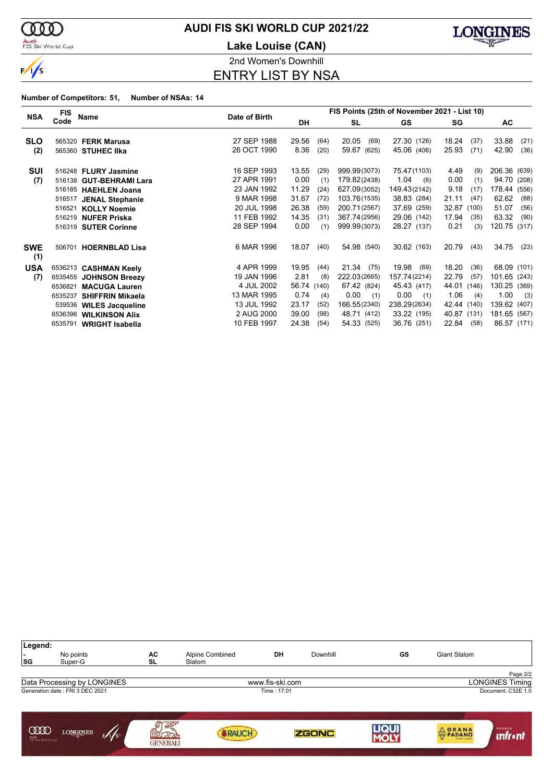

### Audi<br>FIS Ski World Cup

# **AUDI FIS SKI WORLD CUP 2021/22**

**Lake Louise (CAN)**



2nd Women's Downhill

ENTRY LIST BY NSA

| <b>NSA</b>        | <b>FIS</b> | Name                    | Date of Birth |             |      |               | FIS Points (25th of November 2021 - List 10) |               |               |
|-------------------|------------|-------------------------|---------------|-------------|------|---------------|----------------------------------------------|---------------|---------------|
|                   | Code       |                         |               | DH          |      | <b>SL</b>     | <b>GS</b>                                    | SG            | AC.           |
| <b>SLO</b>        |            | 565320 FERK Marusa      | 27 SEP 1988   | 29.56       | (64) | 20.05<br>(69) | 27.30 (126)                                  | 18.24<br>(37) | 33.88<br>(21) |
| (2)               |            | 565360 STUHEC IIka      | 26 OCT 1990   | 8.36        | (20) | 59.67 (625)   | 45.06 (406)                                  | 25.93<br>(71) | 42.90<br>(36) |
|                   |            |                         |               |             |      |               |                                              |               |               |
| <b>SUI</b>        |            | 516248 FLURY Jasmine    | 16 SEP 1993   | 13.55       | (29) | 999.99(3073)  | 75.47(1103)                                  | 4.49<br>(9)   | 206.36 (639)  |
| (7)               |            | 516138 GUT-BEHRAMI Lara | 27 APR 1991   | 0.00        | (1)  | 179.82(2438)  | 1.04<br>(6)                                  | 0.00<br>(1)   | 94.70 (208)   |
|                   |            | 516185 HAEHLEN Joana    | 23 JAN 1992   | 11.29       | (24) | 627.09(3052)  | 149.43(2142)                                 | 9.18<br>(17)  | 178.44 (556)  |
|                   |            | 516517 JENAL Stephanie  | 9 MAR 1998    | 31.67       | (72) | 103.76(1535)  | 38.83 (284)                                  | 21.11<br>(47) | 62.62<br>(88) |
|                   |            | 516521 KOLLY Noemie     | 20 JUL 1998   | 26.38       | (59) | 200.71(2567)  | 37.69 (259)                                  | 32.87 (100)   | 51.07<br>(56) |
|                   |            | 516219 NUFER Priska     | 11 FEB 1992   | 14.35       | (31) | 367.74(2956)  | 29.06 (142)                                  | 17.94<br>(35) | 63.32<br>(90) |
|                   |            | 516319 SUTER Corinne    | 28 SEP 1994   | 0.00        | (1)  | 999.99(3073)  | 28.27 (137)                                  | 0.21<br>(3)   | 120.75 (317)  |
| <b>SWE</b><br>(1) | 506701     | <b>HOERNBLAD Lisa</b>   | 6 MAR 1996    | 18.07       | (40) | 54.98 (540)   | 30.62 (163)                                  | 20.79<br>(43) | 34.75<br>(23) |
| <b>USA</b>        |            | 6536213 CASHMAN Keely   | 4 APR 1999    | 19.95       | (44) | 21.34 (75)    | 19.98 (69)                                   | 18.20<br>(36) | 68.09 (101)   |
| (7)               |            | 6535455 JOHNSON Breezy  | 19 JAN 1996   | 2.81        | (8)  | 222.03(2665)  | 157.74(2214)                                 | 22.79<br>(57) | 101.65 (243)  |
|                   | 6536821    | <b>MACUGA Lauren</b>    | 4 JUL 2002    | 56.74 (140) |      | 67.42 (824)   | 45.43 (417)                                  | 44.01 (146)   | 130.25 (369)  |
|                   | 6535237    | <b>SHIFFRIN Mikaela</b> | 13 MAR 1995   | 0.74        | (4)  | 0.00<br>(1)   | 0.00<br>(1)                                  | 1.06<br>(4)   | 1.00<br>(3)   |
|                   |            | 539536 WILES Jacqueline | 13 JUL 1992   | 23.17       | (52) | 166.55(2340)  | 238.29(2634)                                 | 42.44 (140)   | 139.62 (407)  |
|                   |            | 6536396 WILKINSON Alix  | 2 AUG 2000    | 39.00       | (98) | 48.71 (412)   | 33.22 (195)                                  | 40.87 (131)   | 181.65 (567)  |
|                   |            | 6535791 WRIGHT Isabella | 10 FEB 1997   | 24.38       | (54) | 54.33 (525)   | 36.76 (251)                                  | 22.84<br>(58) | 86.57 (171)   |

| Legend:<br>$\overline{\phantom{a}}$<br> SG | No points<br>Super-G            | AC<br><b>SL</b>             | Alpine Combined<br>Slalom | DH              | Downhill     | GS   | Giant Slalom |                               |
|--------------------------------------------|---------------------------------|-----------------------------|---------------------------|-----------------|--------------|------|--------------|-------------------------------|
|                                            |                                 |                             |                           |                 |              |      |              | Page 2/2                      |
|                                            | Data Processing by LONGINES     |                             |                           | www.fis-ski.com |              |      |              | <b>LONGINES Timing</b>        |
|                                            | Generation date: FRI 3 DEC 2021 |                             |                           | Time: 17:01     |              |      |              | Document: C32E 1.0            |
| ഝ<br>Audi<br>FIS Ski World Cup             | <b>LONGINES</b><br>F/I/S        | 国<br>AGO<br><b>GENERALI</b> | <b>RAUCH</b>              |                 | <b>ZGONC</b> | LIQU | <b>ORANA</b> | Promoted by<br><b>unfront</b> |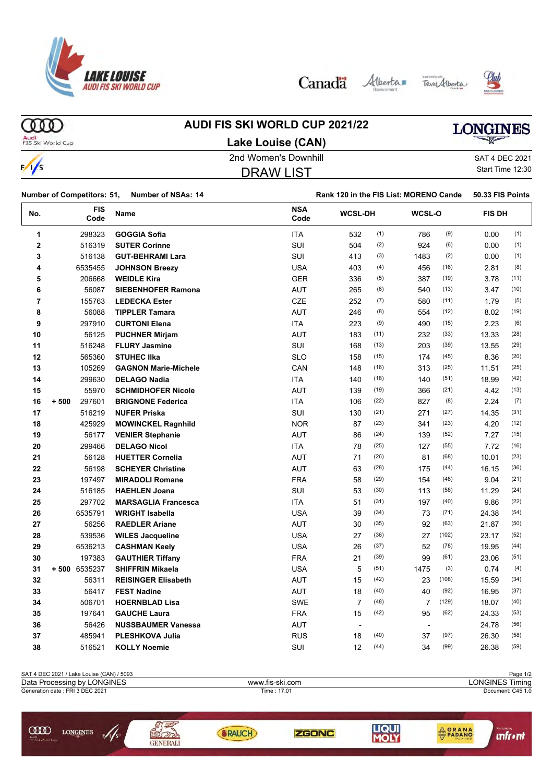

Canada Alberta Tave Alberta





ത്ത

# **AUDI FIS SKI WORLD CUP 2021/22**

# LONGINES

Audi<br>FIS Ski World Cup

 $\frac{1}{s}$ 

| Lake Louise (CAN)    |                  |
|----------------------|------------------|
| 2nd Women's Downhill | SAT 4 DEC 2021   |
| DRAW LIST            | Start Time 12:30 |

| SAT 4 DEC 2021   |
|------------------|
| Start Time 12:30 |

|             | <b>Number of Competitors: 51,</b> | <b>Number of NSAs: 14</b>   |                    | Rank 120 in the FIS List: MORENO Cande |      |                          |       | 50.33 FIS Points |      |
|-------------|-----------------------------------|-----------------------------|--------------------|----------------------------------------|------|--------------------------|-------|------------------|------|
| No.         | FIS<br>Code                       | Name                        | <b>NSA</b><br>Code | <b>WCSL-DH</b>                         |      | WCSL-O                   |       | <b>FIS DH</b>    |      |
| 1           | 298323                            | <b>GOGGIA Sofia</b>         | <b>ITA</b>         | 532                                    | (1)  | 786                      | (9)   | 0.00             | (1)  |
| $\mathbf 2$ | 516319                            | <b>SUTER Corinne</b>        | SUI                | 504                                    | (2)  | 924                      | (6)   | 0.00             | (1)  |
| 3           | 516138                            | <b>GUT-BEHRAMI Lara</b>     | SUI                | 413                                    | (3)  | 1483                     | (2)   | 0.00             | (1)  |
| 4           | 6535455                           | <b>JOHNSON Breezy</b>       | <b>USA</b>         | 403                                    | (4)  | 456                      | (16)  | 2.81             | (8)  |
| 5           | 206668                            | <b>WEIDLE Kira</b>          | <b>GER</b>         | 336                                    | (5)  | 387                      | (19)  | 3.78             | (11) |
| 6           | 56087                             | <b>SIEBENHOFER Ramona</b>   | AUT                | 265                                    | (6)  | 540                      | (13)  | 3.47             | (10) |
| 7           | 155763                            | <b>LEDECKA Ester</b>        | CZE                | 252                                    | (7)  | 580                      | (11)  | 1.79             | (5)  |
| 8           | 56088                             | <b>TIPPLER Tamara</b>       | <b>AUT</b>         | 246                                    | (8)  | 554                      | (12)  | 8.02             | (19) |
| 9           | 297910                            | <b>CURTONI Elena</b>        | <b>ITA</b>         | 223                                    | (9)  | 490                      | (15)  | 2.23             | (6)  |
| 10          | 56125                             | <b>PUCHNER Mirjam</b>       | AUT                | 183                                    | (11) | 232                      | (33)  | 13.33            | (28) |
| 11          | 516248                            | <b>FLURY Jasmine</b>        | SUI                | 168                                    | (13) | 203                      | (39)  | 13.55            | (29) |
| 12          | 565360                            | <b>STUHEC IIka</b>          | <b>SLO</b>         | 158                                    | (15) | 174                      | (45)  | 8.36             | (20) |
| 13          | 105269                            | <b>GAGNON Marie-Michele</b> | CAN                | 148                                    | (16) | 313                      | (25)  | 11.51            | (25) |
| 14          | 299630                            | <b>DELAGO Nadia</b>         | ITA                | 140                                    | (18) | 140                      | (51)  | 18.99            | (42) |
| 15          | 55970                             | <b>SCHMIDHOFER Nicole</b>   | AUT                | 139                                    | (19) | 366                      | (21)  | 4.42             | (13) |
| 16          | 297601<br>$+500$                  | <b>BRIGNONE Federica</b>    | <b>ITA</b>         | 106                                    | (22) | 827                      | (8)   | 2.24             | (7)  |
| 17          | 516219                            | <b>NUFER Priska</b>         | SUI                | 130                                    | (21) | 271                      | (27)  | 14.35            | (31) |
| 18          | 425929                            | <b>MOWINCKEL Ragnhild</b>   | <b>NOR</b>         | 87                                     | (23) | 341                      | (23)  | 4.20             | (12) |
| 19          | 56177                             | <b>VENIER Stephanie</b>     | <b>AUT</b>         | 86                                     | (24) | 139                      | (52)  | 7.27             | (15) |
| 20          | 299466                            | <b>DELAGO Nicol</b>         | ITA                | 78                                     | (25) | 127                      | (55)  | 7.72             | (16) |
| 21          | 56128                             | <b>HUETTER Cornelia</b>     | <b>AUT</b>         | 71                                     | (26) | 81                       | (68)  | 10.01            | (23) |
| 22          | 56198                             | <b>SCHEYER Christine</b>    | AUT                | 63                                     | (28) | 175                      | (44)  | 16.15            | (36) |
| 23          | 197497                            | <b>MIRADOLI Romane</b>      | <b>FRA</b>         | 58                                     | (29) | 154                      | (48)  | 9.04             | (21) |
| 24          | 516185                            | <b>HAEHLEN Joana</b>        | SUI                | 53                                     | (30) | 113                      | (58)  | 11.29            | (24) |
| 25          | 297702                            | <b>MARSAGLIA Francesca</b>  | ITA                | 51                                     | (31) | 197                      | (40)  | 9.86             | (22) |
| 26          | 6535791                           | <b>WRIGHT Isabella</b>      | <b>USA</b>         | 39                                     | (34) | 73                       | (71)  | 24.38            | (54) |
| 27          | 56256                             | <b>RAEDLER Ariane</b>       | AUT                | 30                                     | (35) | 92                       | (63)  | 21.87            | (50) |
| 28          | 539536                            | <b>WILES Jacqueline</b>     | <b>USA</b>         | 27                                     | (36) | 27                       | (102) | 23.17            | (52) |
| 29          | 6536213                           | <b>CASHMAN Keely</b>        | <b>USA</b>         | 26                                     | (37) | 52                       | (78)  | 19.95            | (44) |
| 30          | 197383                            | <b>GAUTHIER Tiffany</b>     | <b>FRA</b>         | 21                                     | (39) | 99                       | (61)  | 23.06            | (51) |
| 31          | +500 6535237                      | <b>SHIFFRIN Mikaela</b>     | <b>USA</b>         | 5                                      | (51) | 1475                     | (3)   | 0.74             | (4)  |
| 32          | 56311                             | <b>REISINGER Elisabeth</b>  | <b>AUT</b>         | 15                                     | (42) | 23                       | (108) | 15.59            | (34) |
| 33          | 56417                             | <b>FEST Nadine</b>          | <b>AUT</b>         | 18                                     | (40) | 40                       | (92)  | 16.95            | (37) |
| 34          | 506701                            | <b>HOERNBLAD Lisa</b>       | <b>SWE</b>         | $\overline{7}$                         | (48) | $\overline{7}$           | (129) | 18.07            | (40) |
| 35          | 197641                            | <b>GAUCHE Laura</b>         | <b>FRA</b>         | 15                                     | (42) | 95                       | (62)  | 24.33            | (53) |
| 36          | 56426                             | <b>NUSSBAUMER Vanessa</b>   | <b>AUT</b>         | $\overline{\phantom{a}}$               |      | $\overline{\phantom{a}}$ |       | 24.78            | (56) |
| 37          | 485941                            | <b>PLESHKOVA Julia</b>      | <b>RUS</b>         | 18                                     | (40) | 37                       | (97)  | 26.30            | (58) |
| 38          | 516521                            | <b>KOLLY Noemie</b>         | SUI                | 12                                     | (44) | 34                       | (99)  | 26.38            | (59) |
|             |                                   |                             |                    |                                        |      |                          |       |                  |      |

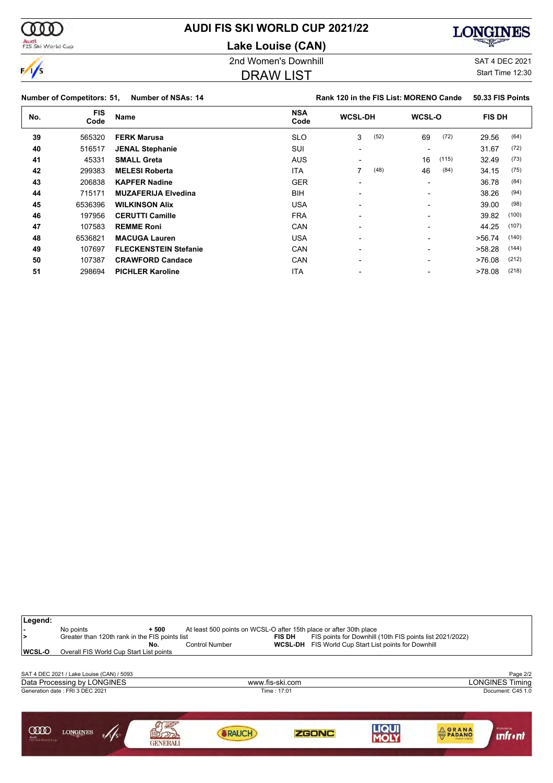**AUDI FIS SKI WORLD CUP 2021/22**

**Lake Louise (CAN)**

#### 2nd Women's Downhill and SAT 4 DEC 2021

#### DRAW LIST

Start Time 12:30

|              | <b>Number of Competitors: 51,</b> | Number of NSAs: 14         |                    | Rank 120 in the FIS List: MORENO Cande |      |                          |       | 50.33 FIS Points |       |
|--------------|-----------------------------------|----------------------------|--------------------|----------------------------------------|------|--------------------------|-------|------------------|-------|
| No.          | <b>FIS</b><br>Code                | Name                       | <b>NSA</b><br>Code | <b>WCSL-DH</b>                         |      | <b>WCSL-O</b>            |       | <b>FIS DH</b>    |       |
| 39<br>565320 | <b>FERK Marusa</b>                | <b>SLO</b>                 | 3                  | (52)                                   | 69   | (72)                     | 29.56 | (64)             |       |
| 40           | 516517                            | <b>JENAL Stephanie</b>     | SUI                |                                        |      | $\overline{\phantom{0}}$ |       | 31.67            | (72)  |
| 41           | 45331                             | <b>SMALL Greta</b>         | <b>AUS</b>         |                                        |      | 16                       | (115) | 32.49            | (73)  |
| 42           | 299383                            | <b>MELESI Roberta</b>      | ITA                |                                        | (48) | 46                       | (84)  | 34.15            | (75)  |
| 43           | 206838                            | <b>KAPFER Nadine</b>       | <b>GER</b>         | $\overline{\phantom{0}}$               |      | $\overline{\phantom{0}}$ |       | 36.78            | (84)  |
| 44           | 715171                            | <b>MUZAFERIJA Elvedina</b> | <b>BIH</b>         | $\overline{\phantom{0}}$               |      | $\overline{\phantom{0}}$ |       | 38.26            | (94)  |
| 45           | 6536396                           | <b>WILKINSON Alix</b>      | <b>USA</b>         | $\overline{\phantom{0}}$               |      | $\overline{\phantom{0}}$ |       | 39.00            | (98)  |
| 46           | 197956                            | <b>CERUTTI Camille</b>     | <b>FRA</b>         | $\overline{\phantom{0}}$               |      | $\overline{\phantom{0}}$ |       | 39.82            | (100) |
| 47           | 107583                            | <b>REMME Roni</b>          | CAN                |                                        |      |                          |       | 44.25            | (107) |

 6536821 **MACUGA Lauren** USA - - >56.74 (140) 107697 **FLECKENSTEIN Stefanie CAN** - - - - > - >58.28 (144) 107387 **CRAWFORD Candace** CAN CAN - -  $>76.08$  (212) 298694 **PICHLER Karoline ITA** - - - - - >78.08 <sup>(218)</sup>

**Legend: -** No points **+ 500** At least 500 points on WCSL-O after 15th place or after 30th place **>** Greater than 120th rank in the FIS points list **FIS DH** FIS points for Downhill (10th FIS points list 2021/2022) **No.** Control Number **WCSL-DH** FIS World Cup Start List points for Downhill **WCSL-O** Overall FIS World Cup Start List points SAT 4 DEC 2021 / Lake Louise (CAN) / 5093 Page 2/2<br>Data Processing by LONGINES Processing by LONGINES Processing by LONGINES Timing Data Processing by LONGINES www.fis-ski.com Generation date : FRI 3 DEC 2021 Time : 17:01 Document: C45 1.0 新式 **LIQUI**<br>MOLY  $\sqrt{s}$ **COOD LONGINES ORANA SRAUCH ZGONC unfr** • nt GENERALI





**LONGINES**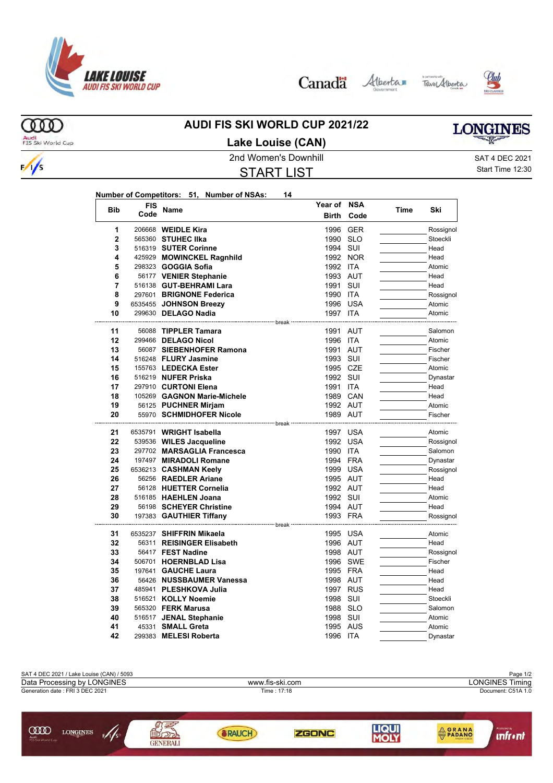

Canada Alberta Tave Alberta

**Year of NSA**





ത്ത Audi<br>FIS Ski World Cup

 $\frac{1}{s}$ 

# **AUDI FIS SKI WORLD CUP 2021/22**

# **LONGINES**

**Lake Louise (CAN)**

START LIST

2nd Women's Downhill and SAT 4 DEC 2021 Start Time 12:30

| Number of Competitors: 51, Number of NSAs:<br>14 |
|--------------------------------------------------|
|--------------------------------------------------|

| <b>Bib</b> | FIS  | <b>Name</b>                                               | Year of               | <b>NSA</b> | Time | Ski                 |
|------------|------|-----------------------------------------------------------|-----------------------|------------|------|---------------------|
|            | Code |                                                           | <b>Birth</b>          | Code       |      |                     |
| 1          |      | 206668 WEIDLE Kira                                        | 1996                  | <b>GER</b> |      | Rossignol           |
| 2          |      | 565360 STUHEC IIka                                        | 1990 SLO              |            |      | Stoeckli            |
| 3          |      | 516319 SUTER Corinne                                      | 1994 SUI              |            |      | Head                |
| 4          |      | 425929 MOWINCKEL Ragnhild                                 |                       | 1992 NOR   |      | Head                |
| 5          |      | 298323 GOGGIA Sofia                                       | 1992 ITA              |            |      | Atomic              |
| 6          |      | 56177 VENIER Stephanie                                    | 1993 AUT              |            |      | Head                |
| 7          |      | 516138 GUT-BEHRAMI Lara                                   | 1991                  | SUI        |      | Head                |
| 8          |      | 297601 BRIGNONE Federica                                  | 1990 ITA              |            |      | Rossignol           |
| 9          |      | 6535455 JOHNSON Breezy                                    |                       | 1996 USA   |      | Atomic              |
| 10         |      | 299630 DELAGO Nadia<br>---------------------------- break | 1997 ITA              |            |      | Atomic              |
| 11         |      | 56088 TIPPLER Tamara                                      | 1991 AUT              |            |      | Salomon             |
| 12         |      | 299466 DELAGO Nicol                                       | 1996 ITA              |            |      | Atomic              |
| 13         |      | 56087 SIEBENHOFER Ramona                                  | 1991 AUT              |            |      | Fischer             |
| 14         |      | 516248 FLURY Jasmine                                      | 1993 SUI              |            |      | Fischer             |
| 15         |      | 155763 LEDECKA Ester                                      | 1995 CZE              |            |      | Atomic              |
| 16         |      | 516219 NUFER Priska                                       | 1992 SUI              |            |      | Dynastar            |
| 17         |      | 297910 CURTONI Elena                                      | 1991 ITA              |            |      | Head                |
| 18         |      | 105269 GAGNON Marie-Michele                               |                       | 1989 CAN   |      | Head                |
| 19         |      | 56125 PUCHNER Mirjam                                      | 1992 AUT              |            |      | Atomic              |
| 20         |      | 55970 SCHMIDHOFER Nicole                                  | 1989 AUT              |            |      | Fischer             |
|            |      |                                                           | break                 |            |      |                     |
| 21<br>22   |      | 6535791 WRIGHT Isabella                                   | 1997 USA              |            |      | Atomic              |
| 23         |      | 539536 WILES Jacqueline<br>297702 MARSAGLIA Francesca     | 1990 ITA              | 1992 USA   |      | Rossignol           |
| 24         |      | 197497 MIRADOLI Romane                                    | 1994 FRA              |            |      | Salomon<br>Dynastar |
| 25         |      | 6536213 CASHMAN Keely                                     | 1999 USA              |            |      | Rossignol           |
| 26         |      | 56256 RAEDLER Ariane                                      | 1995 AUT              |            |      | Head                |
| 27         |      | 56128 HUETTER Cornelia                                    | 1992 AUT              |            |      | Head                |
| 28         |      | 516185 HAEHLEN Joana                                      | 1992 SUI              |            |      | Atomic              |
| 29         |      | 56198 SCHEYER Christine                                   | 1994 AUT              |            |      | Head                |
| 30         |      | 197383 GAUTHIER Tiffany                                   | 1993 FRA              |            |      | Rossignol           |
|            |      |                                                           | ------------- break · |            |      |                     |
| 31         |      | 6535237 SHIFFRIN Mikaela                                  | 1995 USA              |            |      | Atomic              |
| 32         |      | 56311 REISINGER Elisabeth                                 | 1996 AUT              |            |      | Head                |
| 33         |      | 56417 FEST Nadine                                         | 1998 AUT              |            |      | Rossignol           |
| 34         |      | 506701 HOERNBLAD Lisa                                     |                       | 1996 SWE   |      | Fischer             |
| 35         |      | 197641 GAUCHE Laura                                       |                       | 1995 FRA   |      | Head                |
| 36         |      | 56426 NUSSBAUMER Vanessa                                  | 1998 AUT              |            |      | Head                |
| 37         |      | 485941 PLESHKOVA Julia                                    |                       | 1997 RUS   |      | Head                |
| 38         |      | 516521 KOLLY Noemie                                       | 1998 SUI              |            |      | Stoeckli            |
| 39         |      | 565320 <b>FERK Marusa</b>                                 | 1988 SLO              |            |      | Salomon             |
| 40         |      | 516517 JENAL Stephanie                                    | 1998 SUI              |            |      | Atomic              |
| 41         |      | 45331 SMALL Greta                                         | 1995 AUS              |            |      | Atomic              |
| 42         |      | 299383 MELESI Roberta                                     | 1996 ITA              |            |      | Dynastar            |

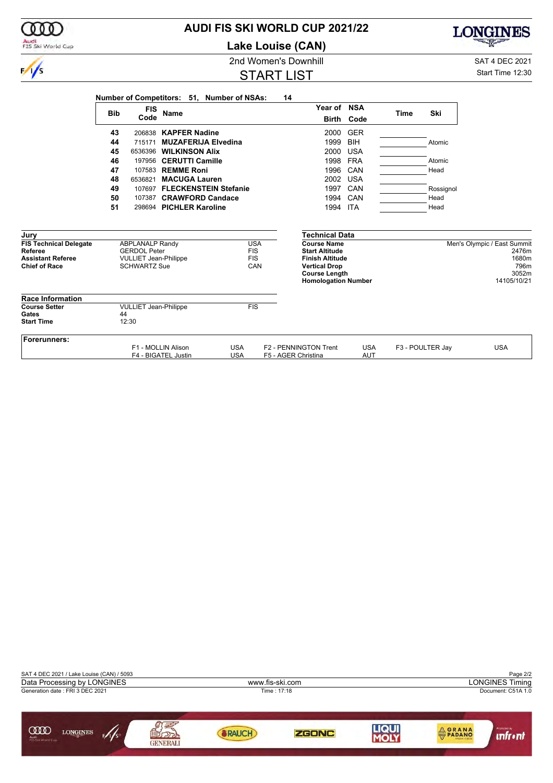| (000)                               |            |                                                     |                                           |                                            | <b>AUDI FIS SKI WORLD CUP 2021/22</b>                                      |                          |      |                  | CINES                        |
|-------------------------------------|------------|-----------------------------------------------------|-------------------------------------------|--------------------------------------------|----------------------------------------------------------------------------|--------------------------|------|------------------|------------------------------|
| Audi<br>FIS Ski World Cup           |            |                                                     |                                           |                                            | <b>Lake Louise (CAN)</b>                                                   |                          |      |                  |                              |
|                                     |            |                                                     |                                           |                                            | 2nd Women's Downhill                                                       |                          |      |                  | SAT 4 DEC 2021               |
| $\frac{1}{s}$                       |            |                                                     |                                           |                                            | <b>START LIST</b>                                                          |                          |      |                  | Start Time 12:30             |
|                                     |            |                                                     |                                           | Number of Competitors: 51, Number of NSAs: | 14                                                                         |                          |      |                  |                              |
|                                     | <b>Bib</b> | <b>FIS</b><br>Code                                  | <b>Name</b>                               |                                            | Year of NSA                                                                | <b>Birth Code</b>        | Time | Ski              |                              |
|                                     | 43         |                                                     | 206838 KAPFER Nadine                      |                                            | 2000                                                                       | <b>GER</b>               |      |                  |                              |
|                                     | 44         | 715171                                              | <b>MUZAFERIJA Elvedina</b>                |                                            | 1999                                                                       | <b>BIH</b>               |      | Atomic           |                              |
|                                     | 45         |                                                     | 6536396 WILKINSON Alix                    |                                            | 2000                                                                       | <b>USA</b>               |      |                  |                              |
|                                     | 46         |                                                     | 197956 CERUTTI Camille                    |                                            | 1998                                                                       | <b>FRA</b>               |      | Atomic           |                              |
|                                     | 47         |                                                     | 107583 REMME Roni                         |                                            | 1996                                                                       | CAN                      |      | Head             |                              |
|                                     | 48         |                                                     | 6536821 MACUGA Lauren                     |                                            | 2002                                                                       | <b>USA</b>               |      |                  |                              |
|                                     | 49         |                                                     | 107697 FLECKENSTEIN Stefanie              |                                            |                                                                            | 1997 CAN                 |      | Rossignol        |                              |
|                                     | 50         |                                                     | 107387 CRAWFORD Candace                   |                                            | 1994                                                                       | CAN                      |      | Head             |                              |
|                                     | 51         |                                                     | 298694 PICHLER Karoline                   |                                            | 1994 ITA                                                                   |                          |      | Head             |                              |
| Jury                                |            |                                                     |                                           |                                            | <b>Technical Data</b>                                                      |                          |      |                  |                              |
| <b>FIS Technical Delegate</b>       |            | <b>ABPLANALP Randy</b>                              |                                           | <b>USA</b>                                 | <b>Course Name</b>                                                         |                          |      |                  | Men's Olympic / East Summit  |
| Referee<br><b>Assistant Referee</b> |            | <b>GERDOL Peter</b><br><b>VULLIET Jean-Philippe</b> |                                           | <b>FIS</b><br><b>FIS</b>                   | <b>Start Altitude</b><br><b>Finish Altitude</b>                            |                          |      |                  | 2476m<br>1680m               |
| <b>Chief of Race</b>                |            | <b>SCHWARTZ Sue</b>                                 |                                           | CAN                                        | <b>Vertical Drop</b><br><b>Course Length</b><br><b>Homologation Number</b> |                          |      |                  | 796m<br>3052m<br>14105/10/21 |
| <b>Race Information</b>             |            |                                                     |                                           |                                            |                                                                            |                          |      |                  |                              |
| <b>Course Setter</b>                |            | <b>VULLIET Jean-Philippe</b>                        |                                           | FIS                                        |                                                                            |                          |      |                  |                              |
| Gates<br><b>Start Time</b>          | 44         | 12:30                                               |                                           |                                            |                                                                            |                          |      |                  |                              |
|                                     |            |                                                     |                                           |                                            |                                                                            |                          |      |                  |                              |
| Forerunners:                        |            |                                                     |                                           |                                            |                                                                            |                          |      |                  |                              |
|                                     |            |                                                     | F1 - MOLLIN Alison<br>F4 - BIGATEL Justin | <b>USA</b><br><b>USA</b>                   | F2 - PENNINGTON Trent<br>F5 - AGER Christina                               | <b>USA</b><br><b>AUT</b> |      | F3 - POULTER Jay | <b>USA</b>                   |

**AUDI FIS SKI WORLD CUP 2021/22**

 $\mathfrak{d} \mathfrak{d} \mathfrak{d}$ 

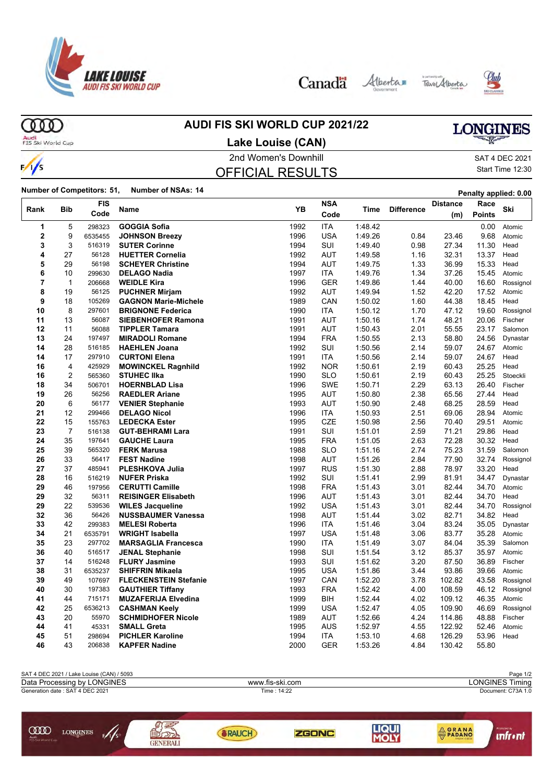

Canada Alberta Tave Alberta





ത്ത Audi<br>FIS Ski World Cup

 $\frac{1}{s}$ 

# **AUDI FIS SKI WORLD CUP 2021/22**

# **LONGINES**

**Lake Louise (CAN)**

# 2nd Women's Downhill and SAT 4 DEC 2021

OFFICIAL RESULTS

Start Time 12:30

**Number of Competitors: 51, Number of NSAs: 14 Penalty applied: 0.00** 

| Rank           | <b>Bib</b>     | <b>FIS</b>      | <b>Name</b>                  | YB   | <b>NSA</b> | Time    | <b>Difference</b> | <b>Distance</b> | Race          | Ski       |
|----------------|----------------|-----------------|------------------------------|------|------------|---------|-------------------|-----------------|---------------|-----------|
|                |                | Code            |                              |      | Code       |         |                   | (m)             | <b>Points</b> |           |
| 1              | 5              | 298323          | <b>GOGGIA Sofia</b>          | 1992 | <b>ITA</b> | 1:48.42 |                   |                 | 0.00          | Atomic    |
| 2              | 9              | 6535455         | <b>JOHNSON Breezy</b>        | 1996 | <b>USA</b> | 1:49.26 | 0.84              | 23.46           | 9.68          | Atomic    |
| 3              | 3              | 516319          | <b>SUTER Corinne</b>         | 1994 | SUI        | 1:49.40 | 0.98              | 27.34           | 11.30         | Head      |
| 4              | 27             | 56128           | <b>HUETTER Cornelia</b>      | 1992 | <b>AUT</b> | 1:49.58 | 1.16              | 32.31           | 13.37         | Head      |
| 5              | 29             | 56198           | <b>SCHEYER Christine</b>     | 1994 | <b>AUT</b> | 1:49.75 | 1.33              | 36.99           | 15.33         | Head      |
| 6              | 10             | 299630          | <b>DELAGO Nadia</b>          | 1997 | ITA        | 1:49.76 | 1.34              | 37.26           | 15.45         | Atomic    |
| $\overline{7}$ | $\mathbf{1}$   | 206668          | <b>WEIDLE Kira</b>           | 1996 | <b>GER</b> | 1:49.86 | 1.44              | 40.00           | 16.60         | Rossignol |
| 8              | 19             | 56125           | <b>PUCHNER Mirjam</b>        | 1992 | <b>AUT</b> | 1:49.94 | 1.52              | 42.20           | 17.52         | Atomic    |
| 9              | 18             | 105269          | <b>GAGNON Marie-Michele</b>  | 1989 | CAN        | 1:50.02 | 1.60              | 44.38           | 18.45         | Head      |
| 10             | 8              | 297601          | <b>BRIGNONE Federica</b>     | 1990 | <b>ITA</b> | 1:50.12 | 1.70              | 47.12           | 19.60         | Rossignol |
| 11             | 13             | 56087           | <b>SIEBENHOFER Ramona</b>    | 1991 | <b>AUT</b> | 1:50.16 | 1.74              | 48.21           | 20.06         | Fischer   |
| 12             | 11             | 56088           | <b>TIPPLER Tamara</b>        | 1991 | <b>AUT</b> | 1:50.43 | 2.01              | 55.55           | 23.17         | Salomon   |
| 13             | 24             | 197497          | <b>MIRADOLI Romane</b>       | 1994 | <b>FRA</b> | 1:50.55 | 2.13              | 58.80           | 24.56         | Dynastar  |
| 14             | 28             | 516185          | <b>HAEHLEN Joana</b>         | 1992 | SUI        | 1:50.56 | 2.14              | 59.07           | 24.67         | Atomic    |
| 14             | 17             | 297910          | <b>CURTONI Elena</b>         | 1991 | <b>ITA</b> | 1.50.56 | 2.14              | 59.07           | 24.67         | Head      |
| 16             | $\overline{4}$ | 425929          | <b>MOWINCKEL Ragnhild</b>    | 1992 | <b>NOR</b> | 1:50.61 | 2.19              | 60.43           | 25.25         | Head      |
| 16             | $\overline{2}$ | 565360          | <b>STUHEC IIka</b>           | 1990 | <b>SLO</b> | 1:50.61 | 2.19              | 60.43           | 25.25         | Stoeckli  |
| 18             | 34             | 506701          | <b>HOERNBLAD Lisa</b>        | 1996 | <b>SWE</b> | 1:50.71 | 2.29              | 63.13           | 26.40         | Fischer   |
| 19             | 26             | 56256           | <b>RAEDLER Ariane</b>        | 1995 | AUT        | 1:50.80 | 2.38              | 65.56           | 27.44         | Head      |
| 20             | 6              | 56177           | <b>VENIER Stephanie</b>      | 1993 | AUT        | 1:50.90 | 2.48              | 68.25           | 28.59         | Head      |
| 21             | 12             | 299466          | <b>DELAGO Nicol</b>          | 1996 | <b>ITA</b> | 1:50.93 | 2.51              | 69.06           | 28.94         | Atomic    |
| 22             | 15             | 155763          | <b>LEDECKA Ester</b>         | 1995 | <b>CZE</b> | 1.50.98 | 2.56              | 70.40           | 29.51         | Atomic    |
| 23             | $\overline{7}$ | 516138          | <b>GUT-BEHRAMI Lara</b>      | 1991 | SUI        | 1.51.01 | 2.59              | 71.21           | 29.86         | Head      |
| 24             | 35             | 197641          | <b>GAUCHE Laura</b>          | 1995 | <b>FRA</b> | 1:51.05 | 2.63              | 72.28           | 30.32         | Head      |
| 25             | 39             | 565320          | <b>FERK Marusa</b>           | 1988 | <b>SLO</b> | 1:51.16 | 2.74              | 75.23           | 31.59         | Salomon   |
| 26             | 33             | 56417           | <b>FEST Nadine</b>           | 1998 | <b>AUT</b> | 1:51.26 | 2.84              | 77.90           | 32.74         | Rossignol |
| 27             | 37             | 485941          | <b>PLESHKOVA Julia</b>       | 1997 | <b>RUS</b> | 1:51.30 | 2.88              | 78.97           | 33.20         | Head      |
| 28             | 16             | 516219          | <b>NUFER Priska</b>          | 1992 | SUI        | 1:51.41 | 2.99              | 81.91           | 34.47         | Dynastar  |
| 29             | 46             | 197956          | <b>CERUTTI Camille</b>       | 1998 | <b>FRA</b> | 1:51.43 | 3.01              | 82.44           | 34.70         | Atomic    |
| 29             | 32             | 56311           | <b>REISINGER Elisabeth</b>   | 1996 | <b>AUT</b> | 1:51.43 | 3.01              | 82.44           | 34.70         | Head      |
| 29             | 22             | 539536          | <b>WILES Jacqueline</b>      | 1992 | <b>USA</b> | 1:51.43 | 3.01              | 82.44           | 34.70         | Rossignol |
| 32             | 36             | 56426           | <b>NUSSBAUMER Vanessa</b>    | 1998 | <b>AUT</b> | 1:51.44 | 3.02              | 82.71           | 34.82         | Head      |
| 33             | 42             | 299383          | <b>MELESI Roberta</b>        | 1996 | ITA        | 1:51.46 | 3.04              | 83.24           | 35.05         | Dynastar  |
| 34             | 21             | 6535791         | <b>WRIGHT Isabella</b>       | 1997 | <b>USA</b> | 1:51.48 | 3.06              | 83.77           | 35.28         | Atomic    |
| 35             | 23             | 297702          | <b>MARSAGLIA Francesca</b>   | 1990 | ITA        | 1:51.49 | 3.07              | 84.04           | 35.39         | Salomon   |
| 36             | 40             | 516517          | <b>JENAL Stephanie</b>       | 1998 | SUI        | 1.51.54 | 3.12              | 85.37           | 35.97         | Atomic    |
| 37             | 14             | 516248          | <b>FLURY Jasmine</b>         | 1993 | SUI        | 1:51.62 | 3.20              | 87.50           | 36.89         | Fischer   |
| 38             | 31             | 6535237         | <b>SHIFFRIN Mikaela</b>      | 1995 | <b>USA</b> | 1:51.86 | 3.44              | 93.86           | 39.66         | Atomic    |
| 39             | 49             | 107697          | <b>FLECKENSTEIN Stefanie</b> | 1997 | CAN        | 1:52.20 | 3.78              | 102.82          | 43.58         | Rossignol |
| 40             | 30             | 197383          | <b>GAUTHIER Tiffany</b>      | 1993 | <b>FRA</b> | 1:52.42 | 4.00              | 108.59          | 46.12         | Rossignol |
| 41             | 44             | 715171          | <b>MUZAFERIJA Elvedina</b>   | 1999 | BIH        | 1:52.44 | 4.02              | 109.12          | 46.35         | Atomic    |
| 42             | 25             | 6536213         | <b>CASHMAN Keely</b>         | 1999 | <b>USA</b> | 1:52.47 | 4.05              | 109.90          | 46.69         | Rossignol |
| 43             | 20             | 55970           | <b>SCHMIDHOFER Nicole</b>    | 1989 | <b>AUT</b> | 1.52.66 | 4.24              | 114.86          | 48.88         | Fischer   |
| 44<br>45       | 41             | 45331<br>298694 | <b>SMALL Greta</b>           | 1995 | <b>AUS</b> | 1.52.97 | 4.55              | 122.92          | 52.46         | Atomic    |
|                | 51             |                 | <b>PICHLER Karoline</b>      | 1994 | <b>ITA</b> | 1:53.10 | 4.68              | 126.29          | 53.96         | Head      |
| 46             | 43             | 206838          | <b>KAPFER Nadine</b>         | 2000 | <b>GER</b> | 1:53.26 | 4.84              | 130.42          | 55.80         |           |

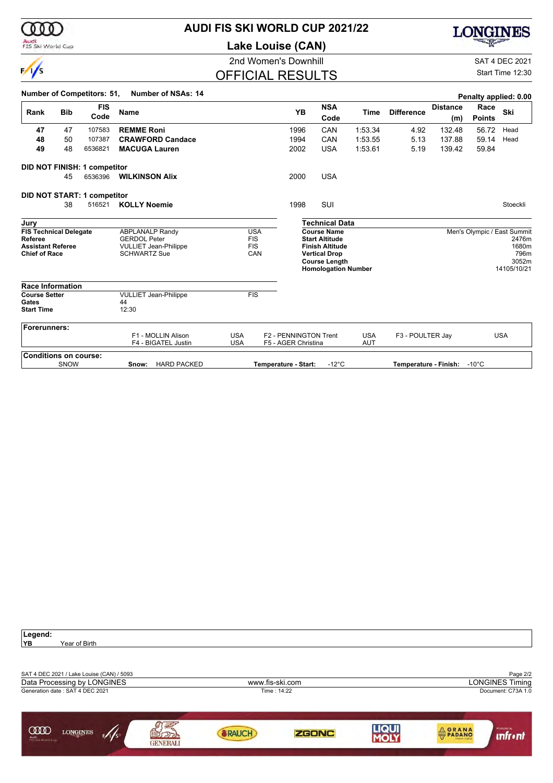

 $\sqrt{}$ 

# **AUDI FIS SKI WORLD CUP 2021/22**

**Lake Louise (CAN)**



2nd Women's Downhill SAT 4 DEC 2021

# OFFICIAL RESULTS

Start Time 12:30

|                                     |            | <b>FIS</b>                         |                                                     |            |                          |                       | <b>NSA</b>                                      |             |                   | <b>Distance</b>             | Race          | Penalty applied: 0.00       |
|-------------------------------------|------------|------------------------------------|-----------------------------------------------------|------------|--------------------------|-----------------------|-------------------------------------------------|-------------|-------------------|-----------------------------|---------------|-----------------------------|
| Rank                                | <b>Bib</b> | Code                               | <b>Name</b>                                         |            |                          | YB                    | Code                                            | <b>Time</b> | <b>Difference</b> | (m)                         | <b>Points</b> | Ski                         |
| 47                                  | 47         | 107583                             | <b>REMME Roni</b>                                   |            |                          | 1996                  | CAN                                             | 1:53.34     | 4.92              | 132.48                      | 56.72         | Head                        |
| 48                                  | 50         | 107387                             | <b>CRAWFORD Candace</b>                             |            |                          | 1994                  | CAN                                             | 1:53.55     | 5.13              | 137.88                      | 59.14         | Head                        |
| 49                                  | 48         | 6536821                            | <b>MACUGA Lauren</b>                                |            |                          | 2002                  | <b>USA</b>                                      | 1:53.61     | 5.19              | 139.42                      | 59.84         |                             |
|                                     |            | DID NOT FINISH: 1 competitor       |                                                     |            |                          |                       |                                                 |             |                   |                             |               |                             |
|                                     | 45         | 6536396                            | <b>WILKINSON Alix</b>                               |            |                          | 2000                  | <b>USA</b>                                      |             |                   |                             |               |                             |
|                                     |            | <b>DID NOT START: 1 competitor</b> |                                                     |            |                          |                       |                                                 |             |                   |                             |               |                             |
|                                     | 38         | 516521                             | <b>KOLLY Noemie</b>                                 |            |                          | 1998                  | SUI                                             |             |                   |                             |               | Stoeckli                    |
| Jury                                |            |                                    |                                                     |            |                          |                       | <b>Technical Data</b>                           |             |                   |                             |               |                             |
| <b>FIS Technical Delegate</b>       |            |                                    | <b>ABPLANALP Randy</b>                              |            | <b>USA</b>               |                       | <b>Course Name</b>                              |             |                   |                             |               | Men's Olympic / East Summit |
| Referee<br><b>Assistant Referee</b> |            |                                    | <b>GERDOL Peter</b><br><b>VULLIET Jean-Philippe</b> |            | <b>FIS</b><br><b>FIS</b> |                       | <b>Start Altitude</b><br><b>Finish Altitude</b> |             |                   |                             |               | 2476m<br>1680m              |
| <b>Chief of Race</b>                |            |                                    | <b>SCHWARTZ Sue</b>                                 |            | CAN                      |                       | <b>Vertical Drop</b>                            |             |                   |                             |               | 796m                        |
|                                     |            |                                    |                                                     |            |                          |                       | <b>Course Length</b>                            |             |                   |                             |               | 3052m<br>14105/10/21        |
|                                     |            |                                    |                                                     |            |                          |                       | <b>Homologation Number</b>                      |             |                   |                             |               |                             |
| <b>Race Information</b>             |            |                                    |                                                     |            |                          |                       |                                                 |             |                   |                             |               |                             |
| <b>Course Setter</b>                |            |                                    | <b>VULLIET Jean-Philippe</b>                        |            | FIS                      |                       |                                                 |             |                   |                             |               |                             |
| Gates                               |            |                                    | 44                                                  |            |                          |                       |                                                 |             |                   |                             |               |                             |
| <b>Start Time</b>                   |            |                                    | 12:30                                               |            |                          |                       |                                                 |             |                   |                             |               |                             |
| <b>Forerunners:</b>                 |            |                                    |                                                     |            |                          |                       |                                                 |             |                   |                             |               |                             |
|                                     |            |                                    | F1 - MOLLIN Alison                                  | <b>USA</b> |                          | F2 - PENNINGTON Trent |                                                 | <b>USA</b>  | F3 - POULTER Jay  |                             |               | <b>USA</b>                  |
|                                     |            |                                    | F4 - BIGATEL Justin                                 | <b>USA</b> |                          | F5 - AGER Christina   |                                                 | <b>AUT</b>  |                   |                             |               |                             |
| <b>Conditions on course:</b>        |            |                                    |                                                     |            |                          |                       |                                                 |             |                   |                             |               |                             |
|                                     | SNOW       |                                    | <b>HARD PACKED</b><br>Snow:                         |            |                          | Temperature - Start:  | $-12^{\circ}$ C                                 |             |                   | Temperature - Finish: -10°C |               |                             |

| Legend:                                               |                       |      |                                |
|-------------------------------------------------------|-----------------------|------|--------------------------------|
| İΥB.<br>Year of Birth                                 |                       |      |                                |
|                                                       |                       |      |                                |
| SAT 4 DEC 2021 / Lake Louise (CAN) / 5093             |                       |      | Page 2/2                       |
| Data Processing by LONGINES                           | www.fis-ski.com       |      | <b>LONGINES Timing</b>         |
| Generation date: SAT 4 DEC 2021                       | Time: 14:22           |      | Document: C73A 1.0             |
|                                                       |                       |      |                                |
|                                                       |                       |      |                                |
| <b>COOD</b><br><b>LONGINES</b>                        |                       | LIQU | Promoted by                    |
| 5/1/s<br>Audi<br>FIS Ski World Cup<br><b>GENERALI</b> | <b>ZGONC</b><br>RAUCH |      | <b>ORANA</b><br><b>unfront</b> |
|                                                       |                       |      |                                |

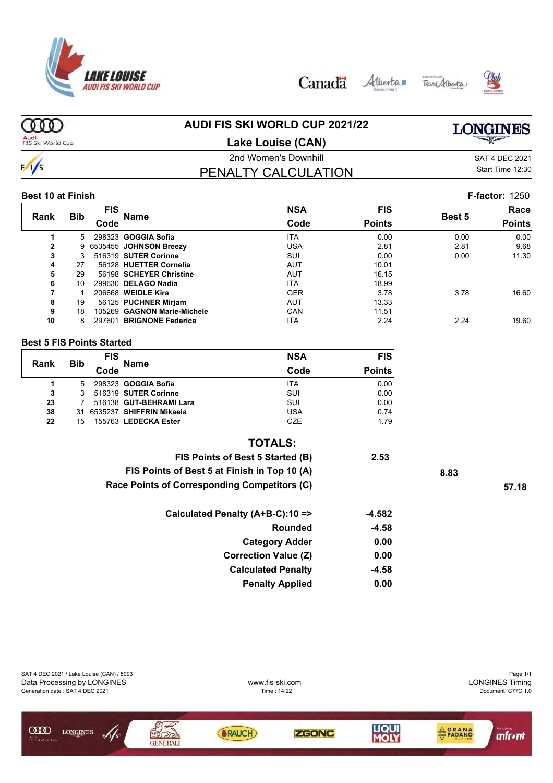





#### ത്ത **AUDI FIS SKI WORLD CUP 2021/22 LONGINES** Audi<br>FIS Ski World Cup

 $\frac{1}{s}$ 

#### **Lake Louise (CAN)**

# PENALTY CALCULATION

2nd Women's Downhill and SAT 4 DEC 2021 Start Time 12:30

#### **Best 10 at Finish F-factor:** 1250

|                |            | FIS  |                             | <b>NSA</b> | <b>FIS</b>    |        | Race          |
|----------------|------------|------|-----------------------------|------------|---------------|--------|---------------|
| Rank           | <b>Bib</b> | Code | Name                        | Code       | <b>Points</b> | Best 5 | <b>Points</b> |
|                | 5.         |      | 298323 GOGGIA Sofia         | <b>ITA</b> | 0.00          | 0.00   | 0.00          |
| $\overline{2}$ | 9          |      | 6535455 JOHNSON Breezy      | USA        | 2.81          | 2.81   | 9.68          |
| 3              | 3          |      | 516319 SUTER Corinne        | SUI        | 0.00          | 0.00   | 11.30         |
| 4              | 27         |      | 56128 HUETTER Cornelia      | <b>AUT</b> | 10.01         |        |               |
| 5              | 29         |      | 56198 SCHEYER Christine     | <b>AUT</b> | 16.15         |        |               |
| 6              | 10         |      | 299630 DELAGO Nadia         | <b>ITA</b> | 18.99         |        |               |
|                |            |      | 206668 <b>WEIDLE Kira</b>   | <b>GER</b> | 3.78          | 3.78   | 16.60         |
| 8              | 19         |      | 56125 PUCHNER Mirjam        | <b>AUT</b> | 13.33         |        |               |
| 9              | 18         |      | 105269 GAGNON Marie-Michele | CAN        | 11.51         |        |               |
| 10             | 8          |      | 297601 BRIGNONE Federica    | <b>ITA</b> | 2.24          | 2.24   | 19.60         |

#### **Best 5 FIS Points Started**

| Rank | <b>Bib</b> | <b>FIS</b> | <b>Name</b>                 | <b>NSA</b> | <b>FIS</b>    |
|------|------------|------------|-----------------------------|------------|---------------|
|      |            | Code       |                             | Code       | <b>Points</b> |
|      | 5          |            | 298323 GOGGIA Sofia         | <b>ITA</b> | 0.00          |
| 3    | 3          |            | 516319 SUTER Corinne        | SUI        | 0.00          |
| 23   | 7          |            | 516138 GUT-BEHRAMI Lara     | SUI        | 0.00          |
| 38   |            |            | 31 6535237 SHIFFRIN Mikaela | <b>USA</b> | 0.74          |
| 22   | 15         |            | 155763 LEDECKA Ester        | <b>CZE</b> | 1.79          |

| <b>TOTALS:</b>                               |         |      |       |
|----------------------------------------------|---------|------|-------|
| FIS Points of Best 5 Started (B)             | 2.53    |      |       |
| FIS Points of Best 5 at Finish in Top 10 (A) |         | 8.83 |       |
| Race Points of Corresponding Competitors (C) |         |      | 57.18 |
| Calculated Penalty (A+B-C):10 =>             | -4.582  |      |       |
| Rounded                                      | -4.58   |      |       |
| <b>Category Adder</b>                        | 0.00    |      |       |
| <b>Correction Value (Z)</b>                  | 0.00    |      |       |
| <b>Calculated Penalty</b>                    | $-4.58$ |      |       |
| <b>Penalty Applied</b>                       | 0.00    |      |       |

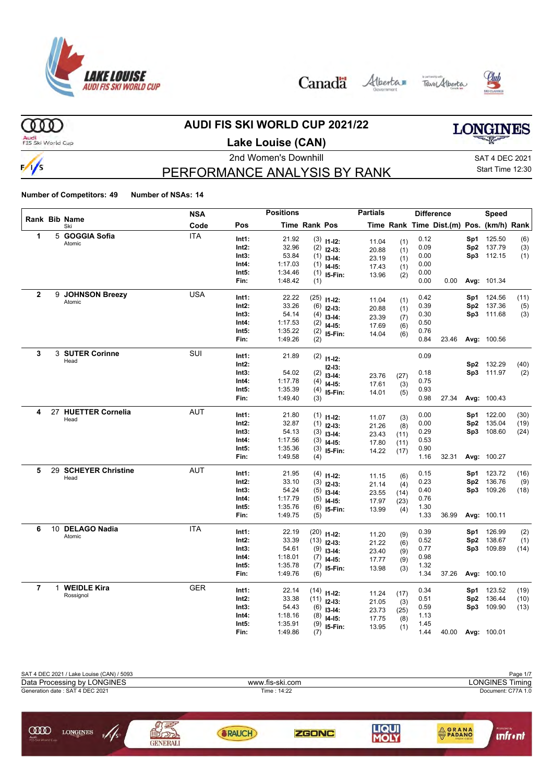

Canada Alberta Tave Alberta





 $(000)$ 

 $\frac{1}{s}$ 

# **AUDI FIS SKI WORLD CUP 2021/22**

**LONGINES** 

Audi<br>FIS Ski World Cup

# **Lake Louise (CAN)**

2nd Women's Downhill and SAT 4 DEC 2021

# PERFORMANCE ANALYSIS BY RANK

Start Time 12:30

|                |              |                         | <b>NSA</b> |       | <b>Positions</b> |               |                            | <b>Partials</b> |            |      | <b>Difference</b>                        |                 | <b>Speed</b> |      |
|----------------|--------------|-------------------------|------------|-------|------------------|---------------|----------------------------|-----------------|------------|------|------------------------------------------|-----------------|--------------|------|
|                |              | Rank Bib Name<br>Ski    | Code       | Pos   |                  | Time Rank Pos |                            |                 |            |      | Time Rank Time Dist.(m) Pos. (km/h) Rank |                 |              |      |
| 1              |              | 5 GOGGIA Sofia          | <b>ITA</b> | Int1: | 21.92            |               | $(3)$ 11-12:               | 11.04           | (1)        | 0.12 |                                          | Sp1             | 125.50       | (6)  |
|                |              | Atomic                  |            | Int2: | 32.96            |               | $(2)$ 12-13:               | 20.88           | (1)        | 0.09 |                                          |                 | Sp2 137.79   | (3)  |
|                |              |                         |            | Int3: | 53.84            |               | $(1)$ 13-14:               | 23.19           | (1)        | 0.00 |                                          |                 | Sp3 112.15   | (1)  |
|                |              |                         |            | Int4: | 1:17.03          | (1)           | $14-15:$                   | 17.43           | (1)        | 0.00 |                                          |                 |              |      |
|                |              |                         |            | Int5: | 1:34.46          |               | $(1)$ 15-Fin:              | 13.96           | (2)        | 0.00 |                                          |                 |              |      |
|                |              |                         |            | Fin:  | 1:48.42          | (1)           |                            |                 |            | 0.00 | 0.00                                     |                 | Avg: 101.34  |      |
| $\overline{2}$ |              | 9 JOHNSON Breezy        | <b>USA</b> | Int1: | 22.22            |               | $(25)$ 11-12:              |                 |            | 0.42 |                                          | Sp1             | 124.56       | (11) |
|                |              | Atomic                  |            | Int2: | 33.26            |               | $(6)$ 12-13:               | 11.04           | (1)        | 0.39 |                                          | Sp2             | 137.36       | (5)  |
|                |              |                         |            | Int3: | 54.14            | (4)           | $13 - 14$ :                | 20.88           | (1)        | 0.30 |                                          |                 | Sp3 111.68   | (3)  |
|                |              |                         |            | Int4: | 1:17.53          | (2)           | $14 - 15$ :                | 23.39<br>17.69  | (7)        | 0.50 |                                          |                 |              |      |
|                |              |                         |            | Int5: | 1:35.22          |               | $(2)$ 15-Fin:              | 14.04           | (6)        | 0.76 |                                          |                 |              |      |
|                |              |                         |            | Fin:  | 1:49.26          | (2)           |                            |                 | (6)        | 0.84 | 23.46                                    |                 | Avg: 100.56  |      |
| 3              |              | 3 SUTER Corinne         | SUI        | Int1: | 21.89            |               | $(2)$ 11-12:               |                 |            | 0.09 |                                          |                 |              |      |
|                |              | Head                    |            | Int2: |                  |               |                            |                 |            |      |                                          |                 | Sp2 132.29   | (40) |
|                |              |                         |            | Int3: | 54.02            |               | $12 - 13:$<br>$(2)$ 13-14: |                 |            | 0.18 |                                          |                 | Sp3 111.97   | (2)  |
|                |              |                         |            | Int4: | 1:17.78          | (4)           | $14 - 15$ :                | 23.76           | (27)       | 0.75 |                                          |                 |              |      |
|                |              |                         |            | Int5: | 1:35.39          | (4)           | 15-Fin:                    | 17.61           | (3)        | 0.93 |                                          |                 |              |      |
|                |              |                         |            | Fin:  | 1:49.40          | (3)           |                            | 14.01           | (5)        | 0.98 | 27.34                                    |                 | Avg: 100.43  |      |
| 4              | 27           | <b>HUETTER Cornelia</b> | <b>AUT</b> | Int1: | 21.80            |               |                            |                 |            | 0.00 |                                          | Sp1             | 122.00       | (30) |
|                |              | Head                    |            | Int2: | 32.87            |               | $(1)$ 11-12:               | 11.07           | (3)        | 0.00 |                                          | Sp2             | 135.04       | (19) |
|                |              |                         |            | Int3: | 54.13            | (3)           | $(1)$ 12-13:               | 21.26           | (8)        | 0.29 |                                          |                 | Sp3 108.60   | (24) |
|                |              |                         |            | Int4: | 1:17.56          | (3)           | $13 - 14$ :                | 23.43           | (11)       | 0.53 |                                          |                 |              |      |
|                |              |                         |            | Int5: | 1:35.36          | (3)           | $14-15$ :                  | 17.80           | (11)       | 0.90 |                                          |                 |              |      |
|                |              |                         |            | Fin:  | 1:49.58          | (4)           | I5-Fin:                    | 14.22           | (17)       | 1.16 | 32.31                                    |                 | Avg: 100.27  |      |
| 5              |              | 29 SCHEYER Christine    | <b>AUT</b> | Int1: | 21.95            |               |                            |                 |            | 0.15 |                                          | Sp1             | 123.72       | (16) |
|                |              | Head                    |            | Int2: | 33.10            |               | $(4)$ 11-12:               | 11.15           | (6)        | 0.23 |                                          | Sp2             | 136.76       | (9)  |
|                |              |                         |            | Int3: | 54.24            |               | $(3)$ 12-13:               | 21.14           | (4)        | 0.40 |                                          | Sp3             | 109.26       | (18) |
|                |              |                         |            | Int4: | 1:17.79          | (5)           | $(5)$ 13-14:               | 23.55           | (14)       | 0.76 |                                          |                 |              |      |
|                |              |                         |            | Int5: | 1:35.76          | (6)           | $14 - 15$ :<br>I5-Fin:     | 17.97           | (23)       | 1.30 |                                          |                 |              |      |
|                |              |                         |            | Fin:  | 1:49.75          | (5)           |                            | 13.99           | (4)        | 1.33 | 36.99                                    |                 | Avg: 100.11  |      |
| 6              |              | 10 DELAGO Nadia         | <b>ITA</b> | Int1: | 22.19            |               | $(20)$ 11-12:              |                 |            | 0.39 |                                          | Sp1             | 126.99       | (2)  |
|                |              | Atomic                  |            | Int2: | 33.39            |               | $(13)$ 12-13:              | 11.20           | (9)        | 0.52 |                                          | Sp2             | 138.67       | (1)  |
|                |              |                         |            | Int3: | 54.61            |               | $(9)$ 13-14:               | 21.22           | (6)        | 0.77 |                                          | Sp3             | 109.89       | (14) |
|                |              |                         |            | Int4: | 1:18.01          |               | $(7)$ 14-15:               | 23.40<br>17.77  | (9)        | 0.98 |                                          |                 |              |      |
|                |              |                         |            | Int5: | 1:35.78          |               | $(7)$ 15-Fin:              | 13.98           | (9)<br>(3) | 1.32 |                                          |                 |              |      |
|                |              |                         |            | Fin:  | 1:49.76          | (6)           |                            |                 |            | 1.34 | 37.26                                    |                 | Avg: 100.10  |      |
| $\overline{7}$ | $\mathbf{1}$ | <b>WEIDLE Kira</b>      | GER        | Int1: | 22.14            |               | $(14)$ 11-12:              |                 |            | 0.34 |                                          | Sp1             | 123.52       | (19) |
|                |              | Rossignol               |            | Int2: | 33.38            |               | $(11)$ 12-13:              | 11.24           | (17)       | 0.51 |                                          | Sp <sub>2</sub> | 136.44       | (10) |
|                |              |                         |            | Int3: | 54.43            |               | $(6)$ 13-14:               | 21.05           | (3)        | 0.59 |                                          | Sp3             | 109.90       | (13) |
|                |              |                         |            | Int4: | 1:18.16          | (8)           | $14 - 15$ :                | 23.73<br>17.75  | (25)       | 1.13 |                                          |                 |              |      |
|                |              |                         |            | Int5: | 1:35.91          | (9)           | I5-Fin:                    | 13.95           | (8)<br>(1) | 1.45 |                                          |                 |              |      |
|                |              |                         |            | Fin:  | 1:49.86          | (7)           |                            |                 |            | 1.44 | 40.00                                    |                 | Avg: 100.01  |      |

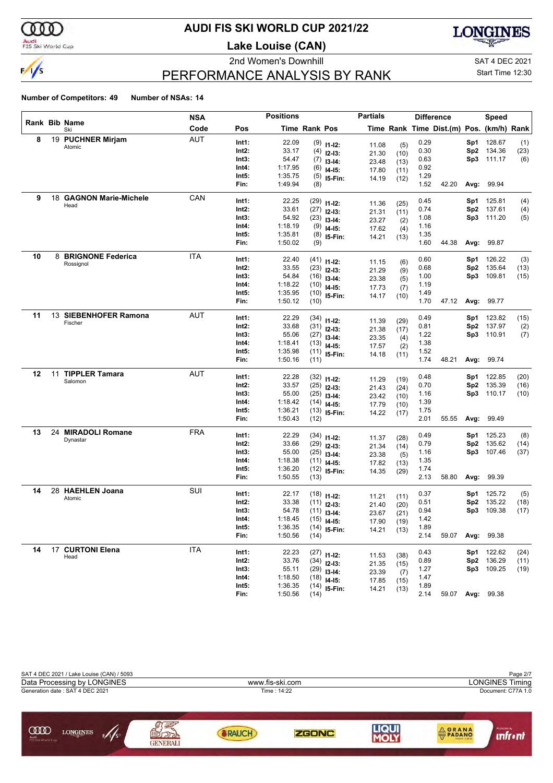

# **AUDI FIS SKI WORLD CUP 2021/22**

**Lake Louise (CAN)**





# PERFORMANCE ANALYSIS BY RANK

Start Time 12:30

|    |    |                         | NSA        |                | <b>Positions</b> |               |                                 | <b>Partials</b> |              |              | <b>Difference</b>                        |            | Speed                    |              |
|----|----|-------------------------|------------|----------------|------------------|---------------|---------------------------------|-----------------|--------------|--------------|------------------------------------------|------------|--------------------------|--------------|
|    |    | Rank Bib Name<br>Ski    | Code       | Pos            |                  | Time Rank Pos |                                 |                 |              |              | Time Rank Time Dist.(m) Pos. (km/h) Rank |            |                          |              |
| 8  |    | 19 PUCHNER Mirjam       | <b>AUT</b> | Int1:          | 22.09            |               | $(9)$ 11-12:                    | 11.08           | (5)          | 0.29         |                                          | Sp1        | 128.67                   | (1)          |
|    |    | Atomic                  |            | Int2:          | 33.17            | (4)           | $12-13:$                        | 21.30           | (10)         | 0.30         |                                          | Sp2        | 134.36                   | (23)         |
|    |    |                         |            | Int3:          | 54.47            | (7)           | $13-14:$                        | 23.48           | (13)         | 0.63         |                                          | Sp3        | 111.17                   | (6)          |
|    |    |                         |            | Int4:          | 1:17.95          | (6)           | $14 - 15$ :                     | 17.80           | (11)         | 0.92         |                                          |            |                          |              |
|    |    |                         |            | Int5:          | 1:35.75          | (5)           | I5-Fin:                         | 14.19           | (12)         | 1.29         |                                          |            |                          |              |
|    |    |                         |            | Fin:           | 1:49.94          | (8)           |                                 |                 |              | 1.52         | 42.20                                    | Avg:       | 99.94                    |              |
| 9  |    | 18 GAGNON Marie-Michele | CAN        | Int1:          | 22.25            | (29)          | $11 - 12$ :                     | 11.36           | (25)         | 0.45         |                                          | Sp1        | 125.81                   | (4)          |
|    |    | Head                    |            | Int2:          | 33.61            | (27)          | $12 - 13:$                      | 21.31           | (11)         | 0.74         |                                          | Sp2        | 137.61                   | (4)          |
|    |    |                         |            | Int3:          | 54.92            | (23)          | $13-14:$                        | 23.27           | (2)          | 1.08         |                                          | Sp3        | 111.20                   | (5)          |
|    |    |                         |            | Int4:          | 1:18.19          | (9)           | $14-15:$                        | 17.62           | (4)          | 1.16         |                                          |            |                          |              |
|    |    |                         |            | Int5:          | 1:35.81          | (8)           | 15-Fin:                         | 14.21           | (13)         | 1.35         |                                          |            |                          |              |
|    |    |                         |            | Fin:           | 1:50.02          | (9)           |                                 |                 |              | 1.60         | 44.38                                    | Avg:       | 99.87                    |              |
| 10 |    | 8 BRIGNONE Federica     | <b>ITA</b> | Int1:          | 22.40            |               | $(41)$ 11-12:                   |                 |              | 0.60         |                                          | Sp1        | 126.22                   | (3)          |
|    |    | Rossignol               |            | Int2:          | 33.55            |               | $(23)$ 12-13:                   | 11.15<br>21.29  | (6)          | 0.68         |                                          | Sp2        | 135.64                   | (13)         |
|    |    |                         |            | Int3:          | 54.84            | (16)          | $13-14:$                        | 23.38           | (9)<br>(5)   | 1.00         |                                          | Sp3        | 109.81                   | (15)         |
|    |    |                         |            | Int4:          | 1:18.22          |               | $(10)$ 14-15:                   | 17.73           | (7)          | 1.19         |                                          |            |                          |              |
|    |    |                         |            | Int5:          | 1:35.95          | (10)          | I5-Fin:                         | 14.17           | (10)         | 1.49         |                                          |            |                          |              |
|    |    |                         |            | Fin:           | 1:50.12          | (10)          |                                 |                 |              | 1.70         | 47.12                                    | Avg:       | 99.77                    |              |
| 11 |    | 13 SIEBENHOFER Ramona   | <b>AUT</b> | Int1:          | 22.29            |               | $(34)$ 11-12:                   |                 |              | 0.49         |                                          | Sp1        | 123.82                   | (15)         |
|    |    | Fischer                 |            | Int2:          | 33.68            | (31)          |                                 | 11.39           | (29)         | 0.81         |                                          | Sp2        | 137.97                   | (2)          |
|    |    |                         |            | Int3:          | 55.06            | (27)          | $12 - 13:$<br>$13-14:$          | 21.38           | (17)         | 1.22         |                                          | Sp3        | 110.91                   | (7)          |
|    |    |                         |            | Int4:          | 1:18.41          | (13)          | $14-15:$                        | 23.35           | (4)          | 1.38         |                                          |            |                          |              |
|    |    |                         |            | Int5:          | 1:35.98          |               | $(11)$ 15-Fin:                  | 17.57<br>14.18  | (2)<br>(11)  | 1.52         |                                          |            |                          |              |
|    |    |                         |            | Fin:           | 1:50.16          | (11)          |                                 |                 |              | 1.74         | 48.21                                    | Avg:       | 99.74                    |              |
| 12 | 11 | <b>TIPPLER Tamara</b>   | <b>AUT</b> | Int1:          | 22.28            |               |                                 |                 |              | 0.48         |                                          | Sp1        | 122.85                   | (20)         |
|    |    | Salomon                 |            | Int2:          | 33.57            | (25)          | $(32)$ 11-12:                   | 11.29           | (19)         | 0.70         |                                          | Sp2        | 135.39                   | (16)         |
|    |    |                         |            | Int3:          | 55.00            | (25)          | $12-13:$                        | 21.43           | (24)         | 1.16         |                                          | Sp3        | 110.17                   | (10)         |
|    |    |                         |            | Int4:          | 1:18.42          | (14)          | $13-14:$<br>$14-15:$            | 23.42           | (10)         | 1.39         |                                          |            |                          |              |
|    |    |                         |            | Int5:          | 1:36.21          | (13)          | 15-Fin:                         | 17.79<br>14.22  | (10)<br>(17) | 1.75         |                                          |            |                          |              |
|    |    |                         |            | Fin:           | 1:50.43          | (12)          |                                 |                 |              | 2.01         | 55.55                                    | Avg:       | 99.49                    |              |
| 13 | 24 | <b>MIRADOLI Romane</b>  | <b>FRA</b> | Int1:          | 22.29            |               |                                 |                 |              | 0.49         |                                          | Sp1        | 125.23                   |              |
|    |    | Dynastar                |            | Int2:          | 33.66            | (34)<br>(29)  | $11 - 12$ :                     | 11.37           | (28)         | 0.79         |                                          | Sp2        | 135.62                   | (8)<br>(14)  |
|    |    |                         |            | Int3:          | 55.00            | (25)          | $12 - 13:$                      | 21.34           | (14)         | 1.16         |                                          | Sp3        | 107.46                   | (37)         |
|    |    |                         |            | Int4:          | 1:18.38          | (11)          | $13-14:$<br>$14 - 15$ :         | 23.38           | (5)          | 1.35         |                                          |            |                          |              |
|    |    |                         |            | Int5:          | 1:36.20          | (12)          | 15-Fin:                         | 17.82           | (13)         | 1.74         |                                          |            |                          |              |
|    |    |                         |            | Fin:           | 1:50.55          | (13)          |                                 | 14.35           | (29)         | 2.13         | 58.80                                    | Avg:       | 99.39                    |              |
| 14 |    | 28 HAEHLEN Joana        | SUI        | Int1:          |                  |               |                                 |                 |              |              |                                          |            |                          |              |
|    |    | Atomic                  |            | Int2:          | 22.17<br>33.38   |               | $(18)$ 11-12:                   | 11.21           | (11)         | 0.37<br>0.51 |                                          | Sp1<br>Sp2 | 125.72<br>135.22         | (5)<br>(18)  |
|    |    |                         |            | Int3:          | 54.78            | (11)          | $(11)$ 12-13:                   | 21.40           | (20)         | 0.94         |                                          | Sp3        | 109.38                   | (17)         |
|    |    |                         |            | Int4:          | 1:18.45          | (15)          | $13-14:$                        | 23.67           | (21)         | 1.42         |                                          |            |                          |              |
|    |    |                         |            | Int5:          | 1:36.35          |               | $14 - 15$ :<br>$(14)$ 15-Fin:   | 17.90           | (19)         | 1.89         |                                          |            |                          |              |
|    |    |                         |            | Fin:           | 1:50.56          | (14)          |                                 | 14.21           | (13)         | 2.14         | 59.07                                    |            | Avg: 99.38               |              |
| 14 |    | 17 CURTONI Elena        | <b>ITA</b> |                |                  |               |                                 |                 |              |              |                                          |            |                          |              |
|    |    | Head                    |            | Int1:<br>Int2: | 22.23<br>33.76   |               | $(27)$ 11-12:                   | 11.53           | (38)         | 0.43<br>0.89 |                                          |            | Sp1 122.62<br>Sp2 136.29 | (24)         |
|    |    |                         |            | Int3:          | 55.11            |               | $(34)$ 12-13:                   | 21.35           | (15)         | 1.27         |                                          |            | Sp3 109.25               | (11)<br>(19) |
|    |    |                         |            | Int4:          | 1:18.50          |               | $(29)$ 13-14:                   | 23.39           | (7)          | 1.47         |                                          |            |                          |              |
|    |    |                         |            | Int5:          | 1:36.35          |               | $(18)$ 14-15:<br>$(14)$ 15-Fin: | 17.85           | (15)         | 1.89         |                                          |            |                          |              |
|    |    |                         |            | Fin:           | 1:50.56          | (14)          |                                 | 14.21           | (13)         | 2.14         |                                          |            | 59.07 Avg: 99.38         |              |

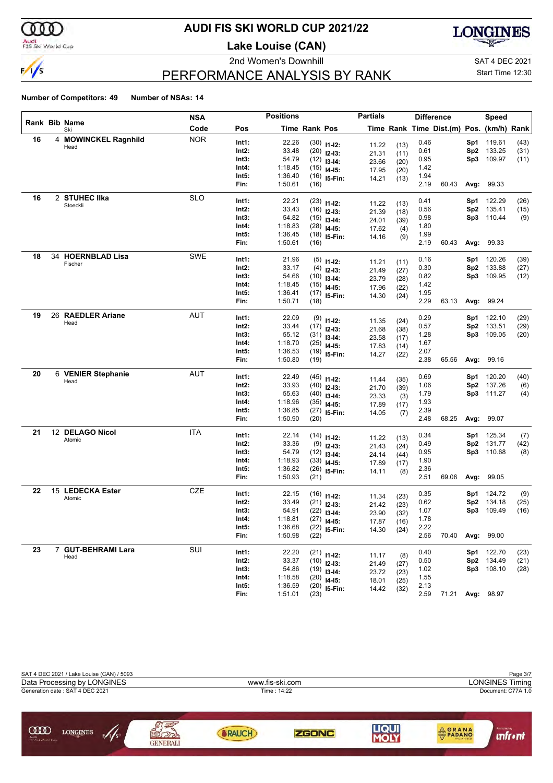

# **AUDI FIS SKI WORLD CUP 2021/22**

**Lake Louise (CAN)**





Start Time 12:30

# PERFORMANCE ANALYSIS BY RANK

|    |   |                           | NSA        |       | <b>Positions</b> |               |                | <b>Partials</b> |              |      | <b>Difference</b>                        |      | Speed      |      |
|----|---|---------------------------|------------|-------|------------------|---------------|----------------|-----------------|--------------|------|------------------------------------------|------|------------|------|
|    |   | Rank Bib Name<br>Ski      | Code       | Pos   |                  | Time Rank Pos |                |                 |              |      | Time Rank Time Dist.(m) Pos. (km/h) Rank |      |            |      |
| 16 | 4 | <b>MOWINCKEL Ragnhild</b> | <b>NOR</b> | Int1: | 22.26            |               | $(30)$ 11-12:  | 11.22           | (13)         | 0.46 |                                          | Sp1  | 119.61     | (43) |
|    |   | Head                      |            | Int2: | 33.48            |               | $(20)$ 12-13:  | 21.31           | (11)         | 0.61 |                                          | Sp2  | 133.25     | (31) |
|    |   |                           |            | Int3: | 54.79            |               | $(12)$ 13-14:  | 23.66           | (20)         | 0.95 |                                          | Sp3  | 109.97     | (11) |
|    |   |                           |            | Int4: | 1:18.45          |               | $(15)$ 14-15:  | 17.95           | (20)         | 1.42 |                                          |      |            |      |
|    |   |                           |            | Int5: | 1:36.40          |               | $(16)$ 15-Fin: | 14.21           | (13)         | 1.94 |                                          |      |            |      |
|    |   |                           |            | Fin:  | 1:50.61          | (16)          |                |                 |              | 2.19 | 60.43                                    | Avg: | 99.33      |      |
| 16 |   | 2 STUHEC IIka             | <b>SLO</b> | Int1: | 22.21            |               | $(23)$ 11-12:  | 11.22           | (13)         | 0.41 |                                          | Sp1  | 122.29     | (26) |
|    |   | Stoeckli                  |            | Int2: | 33.43            |               | $(16)$ 12-13:  | 21.39           | (18)         | 0.56 |                                          | Sp2  | 135.41     | (15) |
|    |   |                           |            | Int3: | 54.82            |               | $(15)$ 13-14:  | 24.01           | (39)         | 0.98 |                                          | Sp3  | 110.44     | (9)  |
|    |   |                           |            | Int4: | 1:18.83          |               | $(28)$ 14-15:  | 17.62           | (4)          | 1.80 |                                          |      |            |      |
|    |   |                           |            | Int5: | 1:36.45          |               | $(18)$ 15-Fin: | 14.16           | (9)          | 1.99 |                                          |      |            |      |
|    |   |                           |            | Fin:  | 1:50.61          | (16)          |                |                 |              | 2.19 | 60.43                                    | Avg: | 99.33      |      |
| 18 |   | 34 HOERNBLAD Lisa         | SWE        | Int1: | 21.96            |               | $(5)$ 11-12:   | 11.21           | (11)         | 0.16 |                                          | Sp1  | 120.26     | (39) |
|    |   | Fischer                   |            | Int2: | 33.17            |               | $(4)$ 12-13:   | 21.49           | (27)         | 0.30 |                                          | Sp2  | 133.88     | (27) |
|    |   |                           |            | Int3: | 54.66            |               | $(10)$ 13-14:  | 23.79           | (28)         | 0.82 |                                          | Sp3  | 109.95     | (12) |
|    |   |                           |            | Int4: | 1:18.45          |               | $(15)$ 14-15:  | 17.96           | (22)         | 1.42 |                                          |      |            |      |
|    |   |                           |            | Int5: | 1:36.41          |               | $(17)$ 15-Fin: | 14.30           | (24)         | 1.95 |                                          |      |            |      |
|    |   |                           |            | Fin:  | 1:50.71          | (18)          |                |                 |              | 2.29 | 63.13                                    |      | Avg: 99.24 |      |
| 19 |   | 26 RAEDLER Ariane         | AUT        | Int1: | 22.09            |               | $(9)$ 11-12:   | 11.35           | (24)         | 0.29 |                                          | Sp1  | 122.10     | (29) |
|    |   | Head                      |            | Int2: | 33.44            |               | $(17)$ 12-13:  | 21.68           | (38)         | 0.57 |                                          | Sp2  | 133.51     | (29) |
|    |   |                           |            | Int3: | 55.12            |               | $(31)$ 13-14:  | 23.58           | (17)         | 1.28 |                                          | Sp3  | 109.05     | (20) |
|    |   |                           |            | Int4: | 1:18.70          |               | $(25)$ 14-15:  | 17.83           | (14)         | 1.67 |                                          |      |            |      |
|    |   |                           |            | Int5: | 1:36.53          |               | $(19)$ 15-Fin: | 14.27           | (22)         | 2.07 |                                          |      |            |      |
|    |   |                           |            | Fin:  | 1:50.80          | (19)          |                |                 |              | 2.38 | 65.56                                    | Avg: | 99.16      |      |
| 20 |   | 6 VENIER Stephanie        | AUT        | Int1: | 22.49            |               | $(45)$ 11-12:  |                 |              | 0.69 |                                          | Sp1  | 120.20     | (40) |
|    |   | Head                      |            | Int2: | 33.93            |               | $(40)$ 12-13:  | 11.44<br>21.70  | (35)<br>(39) | 1.06 |                                          | Sp2  | 137.26     | (6)  |
|    |   |                           |            | Int3: | 55.63            |               | $(40)$ 13-14:  | 23.33           | (3)          | 1.79 |                                          | Sp3  | 111.27     | (4)  |
|    |   |                           |            | Int4: | 1:18.96          |               | $(35)$ 14-15:  | 17.89           | (17)         | 1.93 |                                          |      |            |      |
|    |   |                           |            | Int5: | 1:36.85          |               | $(27)$ 15-Fin: | 14.05           | (7)          | 2.39 |                                          |      |            |      |
|    |   |                           |            | Fin:  | 1:50.90          | (20)          |                |                 |              | 2.48 | 68.25                                    | Avg: | 99.07      |      |
| 21 |   | 12 DELAGO Nicol           | <b>ITA</b> | Int1: | 22.14            |               | $(14)$ 11-12:  | 11.22           | (13)         | 0.34 |                                          | Sp1  | 125.34     | (7)  |
|    |   | Atomic                    |            | Int2: | 33.36            |               | $(9)$ 12-13:   | 21.43           | (24)         | 0.49 |                                          | Sp2  | 131.77     | (42) |
|    |   |                           |            | Int3: | 54.79            |               | $(12)$ 13-14:  | 24.14           | (44)         | 0.95 |                                          | Sp3  | 110.68     | (8)  |
|    |   |                           |            | Int4: | 1:18.93          |               | $(33)$ 14-15:  | 17.89           | (17)         | 1.90 |                                          |      |            |      |
|    |   |                           |            | Int5: | 1:36.82          |               | $(26)$ 15-Fin: | 14.11           | (8)          | 2.36 |                                          |      |            |      |
|    |   |                           |            | Fin:  | 1:50.93          | (21)          |                |                 |              | 2.51 | 69.06                                    | Avg: | 99.05      |      |
| 22 |   | 15 LEDECKA Ester          | CZE        | Int1: | 22.15            |               | $(16)$ 11-12:  | 11.34           | (23)         | 0.35 |                                          | Sp1  | 124.72     | (9)  |
|    |   | Atomic                    |            | Int2: | 33.49            |               | $(21)$ 12-13:  | 21.42           | (23)         | 0.62 |                                          | Sp2  | 134.18     | (25) |
|    |   |                           |            | Int3: | 54.91            |               | $(22)$ 13-14:  | 23.90           | (32)         | 1.07 |                                          | Sp3  | 109.49     | (16) |
|    |   |                           |            | Int4: | 1:18.81          |               | $(27)$ 14-15:  | 17.87           | (16)         | 1.78 |                                          |      |            |      |
|    |   |                           |            | Int5: | 1:36.68          |               | $(22)$ 15-Fin: | 14.30           | (24)         | 2.22 |                                          |      |            |      |
|    |   |                           |            | Fin:  | 1:50.98          | (22)          |                |                 |              | 2.56 | 70.40                                    |      | Avg: 99.00 |      |
| 23 |   | 7 GUT-BEHRAMI Lara        | SUI        | Int1: | 22.20            |               | $(21)$ 11-12:  | 11.17           |              | 0.40 |                                          |      | Sp1 122.70 | (23) |
|    |   | Head                      |            | Int2: | 33.37            |               | $(10)$ 12-13:  | 21.49           | (8)<br>(27)  | 0.50 |                                          | Sp2  | 134.49     | (21) |
|    |   |                           |            | Int3: | 54.86            |               | $(19)$ 13-14:  | 23.72           | (23)         | 1.02 |                                          |      | Sp3 108.10 | (28) |
|    |   |                           |            | Int4: | 1:18.58          |               | $(20)$ 14-15:  | 18.01           | (25)         | 1.55 |                                          |      |            |      |
|    |   |                           |            | Int5: | 1:36.59          |               | $(20)$ 15-Fin: | 14.42           | (32)         | 2.13 |                                          |      |            |      |
|    |   |                           |            | Fin:  | 1:51.01          | (23)          |                |                 |              |      | 2.59 71.21                               |      | Avg: 98.97 |      |

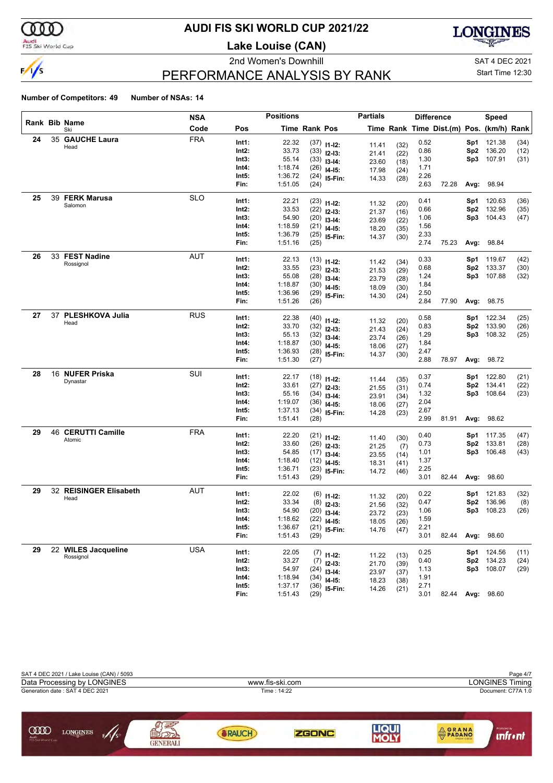

# **AUDI FIS SKI WORLD CUP 2021/22**

**Lake Louise (CAN)**





# PERFORMANCE ANALYSIS BY RANK

Start Time 12:30

| etitors: 49 | Number of NSAs: 14 |  |
|-------------|--------------------|--|

|    |    |                                | <b>NSA</b> |               | <b>Positions</b>   |               |                | <b>Partials</b> |              |              | <b>Difference</b>                        |                 | Speed  |      |
|----|----|--------------------------------|------------|---------------|--------------------|---------------|----------------|-----------------|--------------|--------------|------------------------------------------|-----------------|--------|------|
|    |    | Rank Bib Name<br>Ski           | Code       | Pos           |                    | Time Rank Pos |                |                 |              |              | Time Rank Time Dist.(m) Pos. (km/h) Rank |                 |        |      |
| 24 | 35 | <b>GAUCHE Laura</b>            | <b>FRA</b> | Int1:         | 22.32              |               | $(37)$ 11-12:  |                 |              | 0.52         |                                          | Sp1             | 121.38 | (34) |
|    |    | Head                           |            | Int2:         | 33.73              |               | $(33)$ 12-13:  | 11.41<br>21.41  | (32)<br>(22) | 0.86         |                                          | Sp2             | 136.20 | (12) |
|    |    |                                |            | Int3:         | 55.14              |               | $(33)$ 13-14:  | 23.60           |              | 1.30         |                                          | Sp3             | 107.91 | (31) |
|    |    |                                |            | Int4:         | 1:18.74            |               | $(26)$ 14-15:  |                 | (18)         | 1.71         |                                          |                 |        |      |
|    |    |                                |            | Int5:         | 1:36.72            |               | $(24)$ 15-Fin: | 17.98           | (24)         | 2.26         |                                          |                 |        |      |
|    |    |                                |            | Fin:          | 1:51.05            | (24)          |                | 14.33           | (28)         | 2.63         | 72.28                                    | Avg:            | 98.94  |      |
| 25 |    | 39 FERK Marusa                 | <b>SLO</b> | Int1:         | 22.21              |               |                |                 |              | 0.41         |                                          |                 | 120.63 | (36) |
|    |    | Salomon                        |            | Int2:         | 33.53              |               | $(23)$ 11-12:  | 11.32           | (20)         | 0.66         |                                          | Sp1<br>Sp2      | 132.96 | (35) |
|    |    |                                |            | Int3:         | 54.90              |               | $(22)$ 12-13:  | 21.37           | (16)         | 1.06         |                                          | Sp3             | 104.43 | (47) |
|    |    |                                |            | Int4:         | 1:18.59            |               | $(20)$ 13-14:  | 23.69           | (22)         | 1.56         |                                          |                 |        |      |
|    |    |                                |            | Int5:         | 1:36.79            |               | $(21)$ 14-15:  | 18.20           | (35)         | 2.33         |                                          |                 |        |      |
|    |    |                                |            | Fin:          | 1:51.16            | (25)          | $(25)$ 15-Fin: | 14.37           | (30)         | 2.74         | 75.23                                    | Avg:            | 98.84  |      |
| 26 |    | 33 FEST Nadine                 | <b>AUT</b> |               |                    |               |                |                 |              |              |                                          |                 |        |      |
|    |    | Rossignol                      |            | Int1:         | 22.13              |               | $(13)$ 11-12:  | 11.42           | (34)         | 0.33         |                                          | Sp1             | 119.67 | (42) |
|    |    |                                |            | Int2:         | 33.55              |               | $(23)$ 12-13:  | 21.53           | (29)         | 0.68         |                                          | Sp2             | 133.37 | (30) |
|    |    |                                |            | Int3:         | 55.08              |               | $(28)$ 13-14:  | 23.79           | (28)         | 1.24         |                                          | Sp3             | 107.88 | (32) |
|    |    |                                |            | Int4:         | 1:18.87            |               | $(30)$ 14-15:  | 18.09           | (30)         | 1.84         |                                          |                 |        |      |
|    |    |                                |            | Int5:         | 1:36.96            |               | $(29)$ 15-Fin: | 14.30           | (24)         | 2.50         |                                          |                 |        |      |
|    |    |                                |            | Fin:          | 1:51.26            | (26)          |                |                 |              | 2.84         | 77.90                                    | Avg:            | 98.75  |      |
| 27 |    | 37 PLESHKOVA Julia             | <b>RUS</b> | Int1:         | 22.38              |               | $(40)$ 11-12:  | 11.32           | (20)         | 0.58         |                                          | Sp1             | 122.34 | (25) |
|    |    | Head                           |            | Int2:         | 33.70              |               | $(32)$ 12-13:  | 21.43           | (24)         | 0.83         |                                          | Sp2             | 133.90 | (26) |
|    |    |                                |            | Int3:         | 55.13              |               | $(32)$ 13-14:  | 23.74           | (26)         | 1.29         |                                          | Sp3             | 108.32 | (25) |
|    |    |                                |            | Int4:         | 1:18.87            |               | $(30)$ 14-15:  |                 |              | 1.84         |                                          |                 |        |      |
|    |    |                                |            | Int5:         | 1:36.93            |               | $(28)$ 15-Fin: | 18.06<br>14.37  | (27)<br>(30) | 2.47         |                                          |                 |        |      |
|    |    |                                |            | Fin:          | 1:51.30            | (27)          |                |                 |              | 2.88         | 78.97                                    | Avg:            | 98.72  |      |
| 28 |    | 16 NUFER Priska                | SUI        | Int1:         | 22.17              |               |                |                 |              | 0.37         |                                          | Sp1             | 122.80 | (21) |
|    |    | Dynastar                       |            | Int2:         | 33.61              |               | $(18)$ 11-12:  | 11.44           | (35)         | 0.74         |                                          | Sp2             | 134.41 | (22) |
|    |    |                                |            | Int3:         | 55.16              |               | $(27)$ 12-13:  | 21.55           | (31)         | 1.32         |                                          | Sp3             | 108.64 | (23) |
|    |    |                                |            | Int4:         | 1:19.07            |               | $(34)$ 13-14:  | 23.91           | (34)         | 2.04         |                                          |                 |        |      |
|    |    |                                |            | Int5:         | 1:37.13            |               | $(36)$ 14-15:  | 18.06           | (27)         | 2.67         |                                          |                 |        |      |
|    |    |                                |            | Fin:          | 1:51.41            | (28)          | $(34)$ 15-Fin: | 14.28           | (23)         | 2.99         | 81.91                                    | Avg:            | 98.62  |      |
| 29 |    | 46 CERUTTI Camille             | <b>FRA</b> |               |                    |               |                |                 |              |              |                                          |                 |        |      |
|    |    | Atomic                         |            | Int1:         | 22.20              |               | $(21)$ 11-12:  | 11.40           | (30)         | 0.40         |                                          | Sp1             | 117.35 | (47) |
|    |    |                                |            | Int2:         | 33.60              |               | $(26)$ 12-13:  | 21.25           | (7)          | 0.73         |                                          | Sp <sub>2</sub> | 133.81 | (28) |
|    |    |                                |            | Int3:         | 54.85              |               | $(17)$ 13-14:  | 23.55           | (14)         | 1.01         |                                          | Sp3             | 106.48 | (43) |
|    |    |                                |            | Int4:         | 1:18.40            |               | $(12)$ 14-15:  | 18.31           | (41)         | 1.37         |                                          |                 |        |      |
|    |    |                                |            | Int5:<br>Fin: | 1:36.71<br>1:51.43 | (29)          | $(23)$ 15-Fin: | 14.72           | (46)         | 2.25<br>3.01 | 82.44                                    | Avg:            | 98.60  |      |
|    |    |                                |            |               |                    |               |                |                 |              |              |                                          |                 |        |      |
| 29 |    | 32 REISINGER Elisabeth<br>Head | <b>AUT</b> | Int1:         | 22.02              |               | $(6)$ 11-12:   | 11.32           | (20)         | 0.22         |                                          | Sp1             | 121.83 | (32) |
|    |    |                                |            | Int2:         | 33.34              |               | $(8)$ 12-13:   | 21.56           | (32)         | 0.47         |                                          | Sp <sub>2</sub> | 136.96 | (8)  |
|    |    |                                |            | Int3:         | 54.90              |               | $(20)$ 13-14:  | 23.72           | (23)         | 1.06         |                                          | Sp3             | 108.23 | (26) |
|    |    |                                |            | Int4:         | 1:18.62            |               | $(22)$ 14-15:  | 18.05           | (26)         | 1.59         |                                          |                 |        |      |
|    |    |                                |            | Int5:         | 1:36.67            |               | $(21)$ 15-Fin: | 14.76           | (47)         | 2.21         |                                          |                 |        |      |
|    |    |                                |            | Fin:          | 1:51.43            | (29)          |                |                 |              | 3.01         | 82.44                                    | Avg:            | 98.60  |      |
| 29 |    | 22 WILES Jacqueline            | <b>USA</b> | Int1:         | 22.05              |               | $(7)$ 11-12:   | 11.22           | (13)         | 0.25         |                                          | Sp1             | 124.56 | (11) |
|    |    | Rossignol                      |            | $Int2$ :      | 33.27              |               | $(7)$ 12-13:   | 21.70           | (39)         | 0.40         |                                          | Sp <sub>2</sub> | 134.23 | (24) |
|    |    |                                |            | Int3:         | 54.97              |               | $(24)$ 13-14:  | 23.97           | (37)         | 1.13         |                                          | Sp3             | 108.07 | (29) |
|    |    |                                |            | Int4:         | 1:18.94            |               | $(34)$ 14-15:  | 18.23           | (38)         | 1.91         |                                          |                 |        |      |
|    |    |                                |            | Int5:         | 1:37.17            |               | $(36)$ 15-Fin: | 14.26           | (21)         | 2.71         |                                          |                 |        |      |
|    |    |                                |            | Fin:          | 1:51.43            | (29)          |                |                 |              | 3.01         | 82.44                                    | Avg:            | 98.60  |      |

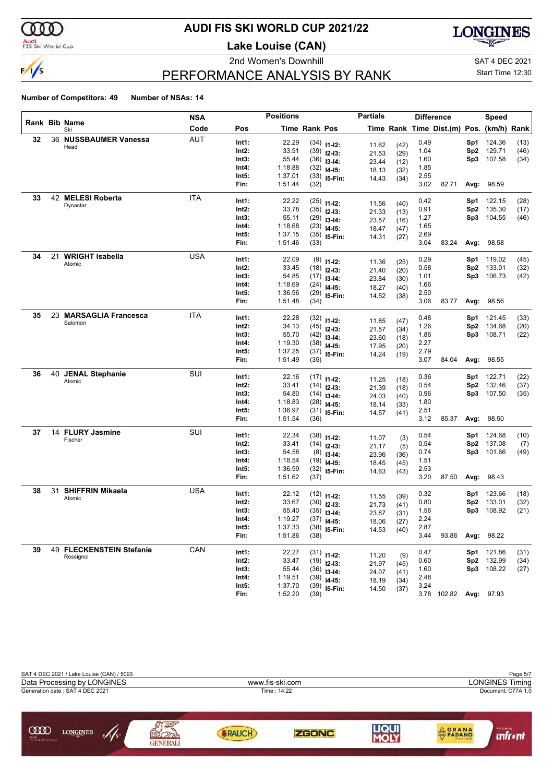

# **AUDI FIS SKI WORLD CUP 2021/22**

**Lake Louise (CAN)**





# Start Time 12:30

# PERFORMANCE ANALYSIS BY RANK

|    |    |                             | <b>NSA</b> |                | <b>Positions</b>   |                      |                                | <b>Partials</b> |              |              | <b>Difference</b>                        |            | <b>Speed</b> |      |
|----|----|-----------------------------|------------|----------------|--------------------|----------------------|--------------------------------|-----------------|--------------|--------------|------------------------------------------|------------|--------------|------|
|    |    | Rank Bib Name<br>Ski        | Code       | Pos            |                    | <b>Time Rank Pos</b> |                                |                 |              |              | Time Rank Time Dist.(m) Pos. (km/h) Rank |            |              |      |
| 32 |    | 36 NUSSBAUMER Vanessa       | <b>AUT</b> | Int1:          | 22.29              |                      | $(34)$ 11-12:                  | 11.62           | (42)         | 0.49         |                                          | Sp1        | 124.36       | (13) |
|    |    | Head                        |            | Int2:          | 33.91              |                      | $(39)$ 12-13:                  | 21.53           | (29)         | 1.04         |                                          | Sp2        | 129.71       | (46) |
|    |    |                             |            | Int3:          | 55.44              |                      | $(36)$ 13-14:                  | 23.44           | (12)         | 1.60         |                                          | Sp3        | 107.58       | (34) |
|    |    |                             |            | Int4:          | 1:18.88            |                      | $(32)$ 14-15:                  | 18.13           | (32)         | 1.85         |                                          |            |              |      |
|    |    |                             |            | Int5:          | 1:37.01            |                      | $(33)$ 15-Fin:                 | 14.43           | (34)         | 2.55         |                                          |            |              |      |
|    |    |                             |            | Fin:           | 1:51.44            | (32)                 |                                |                 |              | 3.02         | 82.71                                    | Avg:       | 98.59        |      |
| 33 |    | 42 MELESI Roberta           | <b>ITA</b> | Int1:          | 22.22              |                      |                                |                 |              | 0.42         |                                          | Sp1        | 122.15       | (28) |
|    |    | Dynastar                    |            | Int2:          | 33.78              |                      | $(25)$ 11-12:                  | 11.56           | (40)         | 0.91         |                                          | Sp2        | 135.30       | (17) |
|    |    |                             |            | Int3:          | 55.11              |                      | $(35)$ 12-13:<br>$(29)$ 13-14: | 21.33           | (13)         | 1.27         |                                          | Sp3        | 104.55       | (46) |
|    |    |                             |            | Int4:          | 1:18.68            |                      | $(23)$ 14-15:                  | 23.57           | (16)         | 1.65         |                                          |            |              |      |
|    |    |                             |            | Int5:          | 1:37.15            |                      | $(35)$ 15-Fin:                 | 18.47           | (47)         | 2.69         |                                          |            |              |      |
|    |    |                             |            | Fin:           | 1:51.46            | (33)                 |                                | 14.31           | (27)         | 3.04         | 83.24                                    | Avg:       | 98.58        |      |
| 34 | 21 | <b>WRIGHT Isabella</b>      | <b>USA</b> | Int1:          | 22.09              |                      |                                |                 |              | 0.29         |                                          |            | 119.02       | (45) |
|    |    | Atomic                      |            | Int2:          | 33.45              |                      | $(9)$ 11-12:                   | 11.36           | (25)         | 0.58         |                                          | Sp1<br>Sp2 | 133.01       | (32) |
|    |    |                             |            | Int3:          | 54.85              |                      | $(18)$ 12-13:                  | 21.40           | (20)         | 1.01         |                                          | Sp3        | 106.73       | (42) |
|    |    |                             |            | Int4:          | 1:18.69            |                      | $(17)$ 13-14:                  | 23.84           | (30)         | 1.66         |                                          |            |              |      |
|    |    |                             |            | Int5:          | 1:36.96            |                      | $(24)$ 14-15:                  | 18.27           | (40)         | 2.50         |                                          |            |              |      |
|    |    |                             |            | Fin:           | 1:51.48            | (34)                 | $(29)$ 15-Fin:                 | 14.52           | (38)         | 3.06         | 83.77                                    | Avg:       | 98.56        |      |
| 35 |    | 23 MARSAGLIA Francesca      | <b>ITA</b> |                |                    |                      |                                |                 |              |              |                                          |            |              |      |
|    |    | Salomon                     |            | Int1:          | 22.28              |                      | $(32)$ 11-12:                  | 11.85           | (47)         | 0.48         |                                          | Sp1        | 121.45       | (33) |
|    |    |                             |            | Int2:          | 34.13              |                      | $(45)$ 12-13:                  | 21.57           | (34)         | 1.26         |                                          | Sp2        | 134.68       | (20) |
|    |    |                             |            | Int3:          | 55.70              |                      | $(42)$ 13-14:                  | 23.60           | (18)         | 1.86         |                                          | Sp3        | 108.71       | (22) |
|    |    |                             |            | Int4:<br>Int5: | 1:19.30<br>1:37.25 |                      | $(38)$ 14-15:                  | 17.95           | (20)         | 2.27<br>2.79 |                                          |            |              |      |
|    |    |                             |            | Fin:           | 1:51.49            | (35)                 | $(37)$ 15-Fin:                 | 14.24           | (19)         | 3.07         | 84.04                                    | Avg:       | 98.55        |      |
| 36 | 40 | <b>JENAL Stephanie</b>      | SUI        |                |                    |                      |                                |                 |              |              |                                          |            |              |      |
|    |    | Atomic                      |            | Int1:          | 22.16              |                      | $(17)$ 11-12:                  | 11.25           | (18)         | 0.36         |                                          | Sp1        | 122.71       | (22) |
|    |    |                             |            | Int2:          | 33.41              |                      | $(14)$ 12-13:                  | 21.39           | (18)         | 0.54         |                                          | Sp2        | 132.46       | (37) |
|    |    |                             |            | Int3:          | 54.80              |                      | $(14)$ 13-14:                  | 24.03           | (40)         | 0.96         |                                          | Sp3        | 107.50       | (35) |
|    |    |                             |            | Int4:          | 1:18.83            |                      | $(28)$ 14-15:                  | 18.14           | (33)         | 1.80         |                                          |            |              |      |
|    |    |                             |            | Int5:          | 1:36.97            |                      | $(31)$ 15-Fin:                 | 14.57           | (41)         | 2.51         |                                          |            |              |      |
|    |    |                             |            | Fin:           | 1:51.54            | (36)                 |                                |                 |              | 3.12         | 85.37                                    | Avg:       | 98.50        |      |
| 37 |    | 14 FLURY Jasmine<br>Fischer | SUI        | Int1:          | 22.34              |                      | $(38)$ 11-12:                  | 11.07           | (3)          | 0.54         |                                          | Sp1        | 124.68       | (10) |
|    |    |                             |            | Int2:          | 33.41              |                      | $(14)$ 12-13:                  | 21.17           | (5)          | 0.54         |                                          | Sp2        | 137.08       | (7)  |
|    |    |                             |            | Int3:          | 54.58              |                      | $(8)$ 13-14:                   | 23.96           | (36)         | 0.74         |                                          | Sp3        | 101.66       | (49) |
|    |    |                             |            | Int4:          | 1:18.54            |                      | $(19)$ 14-15:                  | 18.45           | (45)         | 1.51         |                                          |            |              |      |
|    |    |                             |            | Int5:          | 1:36.99            |                      | $(32)$ 15-Fin:                 | 14.63           | (43)         | 2.53         |                                          |            |              |      |
|    |    |                             |            | Fin:           | 1:51.62            | (37)                 |                                |                 |              | 3.20         | 87.50                                    | Avg:       | 98.43        |      |
| 38 | 31 | <b>SHIFFRIN Mikaela</b>     | <b>USA</b> | Int1:          | 22.12              |                      | $(12)$ 11-12:                  | 11.55           | (39)         | 0.32         |                                          | Sp1        | 123.66       | (18) |
|    |    | Atomic                      |            | Int2:          | 33.67              |                      | $(30)$ 12-13:                  | 21.73           | (41)         | 0.80         |                                          | Sp2        | 133.01       | (32) |
|    |    |                             |            | Int3:          | 55.40              |                      | $(35)$ 13-14:                  | 23.87           | (31)         | 1.56         |                                          | Sp3        | 108.92       | (21) |
|    |    |                             |            | Int4:          | 1:19.27            |                      | $(37)$ 14-15:                  | 18.06           | (27)         | 2.24         |                                          |            |              |      |
|    |    |                             |            | Int5:          | 1:37.33            |                      | $(38)$ 15-Fin:                 | 14.53           | (40)         | 2.87         |                                          |            |              |      |
|    |    |                             |            | Fin:           | 1:51.86            | (38)                 |                                |                 |              | 3.44         | 93.86                                    | Avg:       | 98.22        |      |
| 39 |    | 49 FLECKENSTEIN Stefanie    | CAN        | Int1:          | 22.27              |                      | $(31)$ 11-12:                  |                 |              | 0.47         |                                          | Sp1        | 121.86       | (31) |
|    |    | Rossignol                   |            | Int2:          | 33.47              |                      | $(19)$ 12-13:                  | 11.20           | (9)          | 0.60         |                                          | Sp2        | 132.99       | (34) |
|    |    |                             |            | Int3:          | 55.44              |                      | $(36)$ 13-14:                  | 21.97<br>24.07  | (45)<br>(41) | 1.60         |                                          | Sp3        | 108.22       | (27) |
|    |    |                             |            | Int4:          | 1:19.51            | (39)                 | $14 - 15$ :                    | 18.19           | (34)         | 2.48         |                                          |            |              |      |
|    |    |                             |            | Int5:          | 1:37.70            |                      | $(39)$ 15-Fin:                 | 14.50           | (37)         | 3.24         |                                          |            |              |      |
|    |    |                             |            | Fin:           | 1:52.20            | (39)                 |                                |                 |              | 3.78         | 102.82                                   | Avg:       | 97.93        |      |

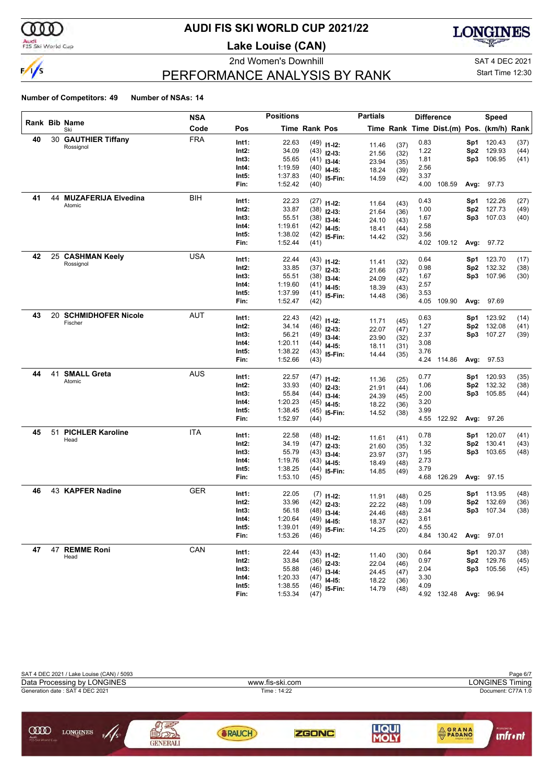

#### Audi<br>FIS Ski World Cup

# **AUDI FIS SKI WORLD CUP 2021/22**

**Lake Louise (CAN)**





# PERFORMANCE ANALYSIS BY RANK

Start Time 12:30

|    |    |                         | <b>NSA</b> |       | <b>Positions</b> |               |                | <b>Partials</b> |              |      | <b>Difference</b>                        |                 | Speed      |      |
|----|----|-------------------------|------------|-------|------------------|---------------|----------------|-----------------|--------------|------|------------------------------------------|-----------------|------------|------|
|    |    | Rank Bib Name<br>Ski    | Code       | Pos   |                  | Time Rank Pos |                |                 |              |      | Time Rank Time Dist.(m) Pos. (km/h) Rank |                 |            |      |
| 40 |    | 30 GAUTHIER Tiffany     | <b>FRA</b> | Int1: | 22.63            |               | $(49)$ 11-12:  | 11.46           | (37)         | 0.83 |                                          | Sp1             | 120.43     | (37) |
|    |    | Rossignol               |            | Int2: | 34.09            |               | $(43)$ 12-13:  | 21.56           | (32)         | 1.22 |                                          | Sp <sub>2</sub> | 129.93     | (44) |
|    |    |                         |            | Int3: | 55.65            |               | $(41)$ 13-14:  | 23.94           | (35)         | 1.81 |                                          | Sp3             | 106.95     | (41) |
|    |    |                         |            | Int4: | 1:19.59          |               | $(40)$ 14-15:  | 18.24           | (39)         | 2.56 |                                          |                 |            |      |
|    |    |                         |            | Int5: | 1:37.83          |               | $(40)$ 15-Fin: | 14.59           | (42)         | 3.37 |                                          |                 |            |      |
|    |    |                         |            | Fin:  | 1:52.42          | (40)          |                |                 |              | 4.00 | 108.59                                   | Avg:            | 97.73      |      |
| 41 |    | 44 MUZAFERIJA Elvedina  | BIH        | Int1: | 22.23            |               | $(27)$ 11-12:  | 11.64           | (43)         | 0.43 |                                          | Sp1             | 122.26     | (27) |
|    |    | Atomic                  |            | Int2: | 33.87            |               | $(38)$ 12-13:  | 21.64           | (36)         | 1.00 |                                          | Sp <sub>2</sub> | 127.73     | (49) |
|    |    |                         |            | Int3: | 55.51            |               | $(38)$ 13-14:  | 24.10           | (43)         | 1.67 |                                          | Sp3             | 107.03     | (40) |
|    |    |                         |            | Int4: | 1:19.61          |               | $(42)$ 14-15:  | 18.41           | (44)         | 2.58 |                                          |                 |            |      |
|    |    |                         |            | Int5: | 1:38.02          |               | $(42)$ 15-Fin: | 14.42           | (32)         | 3.56 |                                          |                 |            |      |
|    |    |                         |            | Fin:  | 1:52.44          | (41)          |                |                 |              |      | 4.02 109.12                              |                 | Avg: 97.72 |      |
| 42 |    | 25 CASHMAN Keely        | <b>USA</b> | Int1: | 22.44            |               | $(43)$ 11-12:  |                 |              | 0.64 |                                          | Sp1             | 123.70     | (17) |
|    |    | Rossignol               |            | Int2: | 33.85            |               | $(37)$ 12-13:  | 11.41<br>21.66  | (32)<br>(37) | 0.98 |                                          | Sp <sub>2</sub> | 132.32     | (38) |
|    |    |                         |            | Int3: | 55.51            |               | $(38)$ 13-14:  | 24.09           | (42)         | 1.67 |                                          | Sp3             | 107.96     | (30) |
|    |    |                         |            | Int4: | 1:19.60          |               | $(41)$ 14-15:  | 18.39           | (43)         | 2.57 |                                          |                 |            |      |
|    |    |                         |            | Int5: | 1:37.99          |               | $(41)$ 15-Fin: | 14.48           | (36)         | 3.53 |                                          |                 |            |      |
|    |    |                         |            | Fin:  | 1:52.47          | (42)          |                |                 |              | 4.05 | 109.90                                   | Avg:            | 97.69      |      |
| 43 |    | 20 SCHMIDHOFER Nicole   | AUT        | Int1: | 22.43            |               | $(42)$ 11-12:  |                 |              | 0.63 |                                          | Sp1             | 123.92     | (14) |
|    |    | Fischer                 |            | Int2: | 34.14            |               | $(46)$ 12-13:  | 11.71<br>22.07  | (45)         | 1.27 |                                          | Sp <sub>2</sub> | 132.08     | (41) |
|    |    |                         |            | Int3: | 56.21            |               | $(49)$ 13-14:  | 23.90           | (47)         | 2.37 |                                          | Sp3             | 107.27     | (39) |
|    |    |                         |            | Int4: | 1:20.11          |               | $(44)$ 14-15:  | 18.11           | (32)<br>(31) | 3.08 |                                          |                 |            |      |
|    |    |                         |            | Int5: | 1:38.22          |               | $(43)$ 15-Fin: | 14.44           | (35)         | 3.76 |                                          |                 |            |      |
|    |    |                         |            | Fin:  | 1:52.66          | (43)          |                |                 |              |      | 4.24 114.86                              |                 | Avg: 97.53 |      |
| 44 | 41 | <b>SMALL Greta</b>      | <b>AUS</b> | Int1: | 22.57            |               | $(47)$ 11-12:  |                 |              | 0.77 |                                          | Sp1             | 120.93     | (35) |
|    |    | Atomic                  |            | Int2: | 33.93            |               | $(40)$ 12-13:  | 11.36<br>21.91  | (25)<br>(44) | 1.06 |                                          | Sp <sub>2</sub> | 132.32     | (38) |
|    |    |                         |            | Int3: | 55.84            |               | $(44)$ 13-14:  | 24.39           | (45)         | 2.00 |                                          | Sp3             | 105.85     | (44) |
|    |    |                         |            | Int4: | 1:20.23          |               | $(45)$ 14-15:  | 18.22           | (36)         | 3.20 |                                          |                 |            |      |
|    |    |                         |            | Int5: | 1:38.45          |               | $(45)$ 15-Fin: | 14.52           | (38)         | 3.99 |                                          |                 |            |      |
|    |    |                         |            | Fin:  | 1:52.97          | (44)          |                |                 |              | 4.55 | 122.92                                   | Avg:            | 97.26      |      |
| 45 | 51 | <b>PICHLER Karoline</b> | ITA        | Int1: | 22.58            |               | $(48)$ 11-12:  |                 |              | 0.78 |                                          | Sp1             | 120.07     | (41) |
|    |    | Head                    |            | Int2: | 34.19            |               | $(47)$ 12-13:  | 11.61<br>21.60  | (41)<br>(35) | 1.32 |                                          | Sp <sub>2</sub> | 130.41     | (43) |
|    |    |                         |            | Int3: | 55.79            |               | $(43)$ 13-14:  | 23.97           | (37)         | 1.95 |                                          | Sp3             | 103.65     | (48) |
|    |    |                         |            | Int4: | 1:19.76          |               | $(43)$ 14-15:  | 18.49           | (48)         | 2.73 |                                          |                 |            |      |
|    |    |                         |            | Int5: | 1:38.25          |               | $(44)$ 15-Fin: | 14.85           | (49)         | 3.79 |                                          |                 |            |      |
|    |    |                         |            | Fin:  | 1:53.10          | (45)          |                |                 |              |      | 4.68 126.29                              |                 | Avg: 97.15 |      |
| 46 |    | 43 KAPFER Nadine        | <b>GER</b> | Int1: | 22.05            |               | $(7)$ 11-12:   | 11.91           | (48)         | 0.25 |                                          | Sp1             | 113.95     | (48) |
|    |    |                         |            | Int2: | 33.96            |               | $(42)$ 12-13:  | 22.22           | (48)         | 1.09 |                                          | Sp <sub>2</sub> | 132.69     | (36) |
|    |    |                         |            | Int3: | 56.18            |               | $(48)$ 13-14:  | 24.46           | (48)         | 2.34 |                                          | Sp3             | 107.34     | (38) |
|    |    |                         |            | Int4: | 1:20.64          |               | $(49)$ 14-15:  | 18.37           | (42)         | 3.61 |                                          |                 |            |      |
|    |    |                         |            | Int5: | 1:39.01          |               | $(49)$ 15-Fin: | 14.25           | (20)         | 4.55 |                                          |                 |            |      |
|    |    |                         |            | Fin:  | 1:53.26          | (46)          |                |                 |              |      | 4.84 130.42                              |                 | Avg: 97.01 |      |
| 47 |    | 47 REMME Roni           | CAN        | Int1: | 22.44            |               | $(43)$ 11-12:  |                 |              | 0.64 |                                          | Sp1             | 120.37     | (38) |
|    |    | Head                    |            | Int2: | 33.84            |               | $(36)$ 12-13:  | 11.40<br>22.04  | (30)<br>(46) | 0.97 |                                          | Sp2             | 129.76     | (45) |
|    |    |                         |            | Int3: | 55.88            |               | $(46)$ 13-14:  | 24.45           | (47)         | 2.04 |                                          |                 | Sp3 105.56 | (45) |
|    |    |                         |            | Int4: | 1:20.33          |               | $(47)$ 14-15:  | 18.22           | (36)         | 3.30 |                                          |                 |            |      |
|    |    |                         |            | Int5: | 1:38.55          |               | $(46)$ 15-Fin: | 14.79           | (48)         | 4.09 |                                          |                 |            |      |
|    |    |                         |            | Fin:  | 1:53.34          | (47)          |                |                 |              |      | 4.92 132.48 Avg: 96.94                   |                 |            |      |

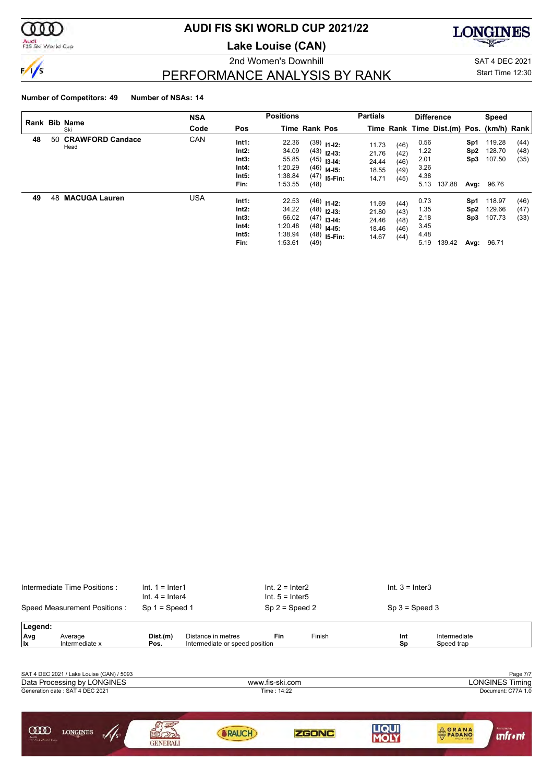

# Audi<br>FIS Ski World Cup

# **AUDI FIS SKI WORLD CUP 2021/22**

**Lake Louise (CAN)**



# $\frac{1}{5}$

2nd Women's Downhill SAT 4 DEC 2021 Start Time 12:30

# PERFORMANCE ANALYSIS BY RANK

| Rank Bib Name |     | <b>NSA</b>                      |      | <b>Positions</b>                                  |                                                          |                      | <b>Partials</b>                                                                    |                                           |                                      | <b>Difference</b>                            |                                          | Speed                                 |                                     |                      |
|---------------|-----|---------------------------------|------|---------------------------------------------------|----------------------------------------------------------|----------------------|------------------------------------------------------------------------------------|-------------------------------------------|--------------------------------------|----------------------------------------------|------------------------------------------|---------------------------------------|-------------------------------------|----------------------|
|               |     | Ski                             | Code | Pos                                               |                                                          | <b>Time Rank Pos</b> |                                                                                    |                                           |                                      |                                              | Time Rank Time Dist.(m) Pos. (km/h) Rank |                                       |                                     |                      |
| 48            | 50. | <b>CRAWFORD Candace</b><br>Head | CAN  | Int1:<br>Int2:<br>Int3:<br>Int4:<br>Int5:<br>Fin: | 22.36<br>34.09<br>55.85<br>1:20.29<br>1:38.84<br>1:53.55 | (48)                 | $(39)$ 11-12:<br>$(43)$ 12-13:<br>$(45)$ 13-14:<br>$(46)$ 14-15:<br>$(47)$ 15-Fin: | 11.73<br>21.76<br>24.44<br>18.55<br>14.71 | (46)<br>(42)<br>(46)<br>(49)<br>(45) | 0.56<br>1.22<br>2.01<br>3.26<br>4.38<br>5.13 | 137.88                                   | Sp1<br>Sp <sub>2</sub><br>Sp3<br>Avg: | 119.28<br>128.70<br>107.50<br>96.76 | (44)<br>(48)<br>(35) |
| 49            | 48  | <b>MACUGA Lauren</b>            | USA  | Int1:<br>Int2:<br>Int3:<br>Int4:<br>Int5:<br>Fin: | 22.53<br>34.22<br>56.02<br>1:20.48<br>1:38.94<br>1:53.61 | (49)                 | $(46)$ 11-12:<br>$(48)$ 12-13:<br>$(47)$ 13-14:<br>$(48)$ 14-15:<br>$(48)$ 15-Fin: | 11.69<br>21.80<br>24.46<br>18.46<br>14.67 | (44)<br>(43)<br>(48)<br>(46)<br>(44) | 0.73<br>1.35<br>2.18<br>3.45<br>4.48<br>5.19 | 139.42                                   | Sp1<br>Sp2<br>Sp3<br>Avg:             | 118.97<br>129.66<br>107.73<br>96.71 | (46)<br>(47)<br>(33) |

| Intermediate Time Positions:                                                                                | $Int. 1 = Inter1$<br>$Int. 4 = Inter4$ | $Int. 2 = Inter2$<br>Int. $5 =$ Inter $5$              | $Int. 3 = Inter3$ |                                                          |
|-------------------------------------------------------------------------------------------------------------|----------------------------------------|--------------------------------------------------------|-------------------|----------------------------------------------------------|
| Speed Measurement Positions:                                                                                | $Sp 1 = Speed 1$                       | $Sp 2 = Speed 2$                                       | $Sp 3 = Speed 3$  |                                                          |
| Legend:<br>Avg<br>Average<br>l Ix<br>Intermediate x                                                         | Distance in metres<br>Dist.(m)<br>Pos. | <b>Fin</b><br>Finish<br>Intermediate or speed position | Int<br>Sp         | Intermediate<br>Speed trap                               |
| SAT 4 DEC 2021 / Lake Louise (CAN) / 5093<br>Data Processing by LONGINES<br>Generation date: SAT 4 DEC 2021 |                                        | www.fis-ski.com<br>Time: 14:22                         |                   | Page 7/7<br><b>LONGINES Timing</b><br>Document: C77A 1.0 |
| ഝ<br><b>LONGINES</b><br>5/1/s<br>Audi<br>FIS Ski World Cup                                                  | GENERALI                               | <b>ZGONC</b><br><b>BRAUCH</b>                          | LIQU              | Promoted by<br><b>EXAMAND</b><br><b>unfront</b>          |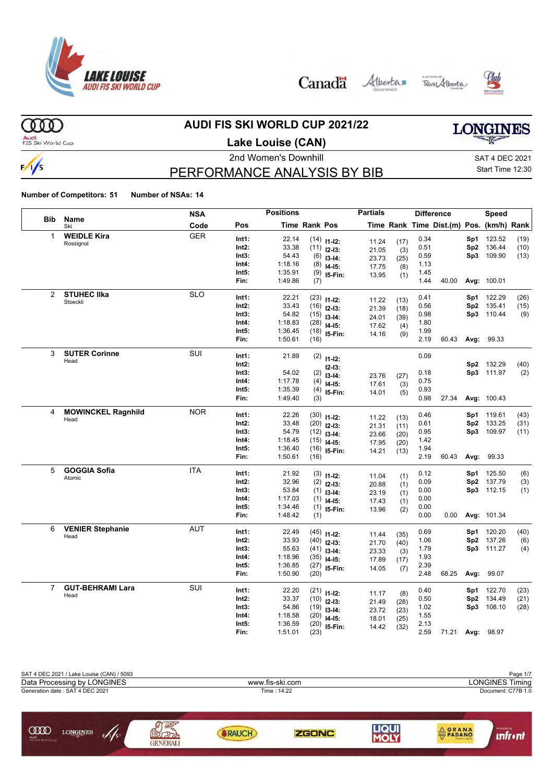







 $000$ Audi<br>FIS Ski World Cup

 $\frac{1}{s}$ 

# **AUDI FIS SKI WORLD CUP 2021/22**

**Lake Louise (CAN)**



# PERFORMANCE ANALYSIS BY BIB

2nd Women's Downhill SAT 4 DEC 2021 Start Time 12:30

|                |                           | <b>NSA</b> |          | <b>Positions</b> |                      |                           | <b>Partials</b> |             |      | <b>Difference</b>                        |      | <b>Speed</b> |      |
|----------------|---------------------------|------------|----------|------------------|----------------------|---------------------------|-----------------|-------------|------|------------------------------------------|------|--------------|------|
| <b>Bib</b>     | Name<br>Ski               | Code       | Pos      |                  | <b>Time Rank Pos</b> |                           |                 |             |      | Time Rank Time Dist.(m) Pos. (km/h) Rank |      |              |      |
| $\mathbf{1}$   | <b>WEIDLE Kira</b>        | <b>GER</b> | Int1:    | 22.14            |                      | $(14)$ 11-12:             | 11.24           | (17)        | 0.34 |                                          | Sp1  | 123.52       | (19) |
|                | Rossignol                 |            | Int2:    | 33.38            |                      | $(11)$ 12-13:             | 21.05           | (3)         | 0.51 |                                          | Sp2  | 136.44       | (10) |
|                |                           |            | Int3:    | 54.43            | (6)                  | $13-14:$                  | 23.73           | (25)        | 0.59 |                                          |      | Sp3 109.90   | (13) |
|                |                           |            | Int4:    | 1:18.16          | (8)                  | $14-15:$                  | 17.75           | (8)         | 1.13 |                                          |      |              |      |
|                |                           |            | Int5:    | 1:35.91          |                      | $(9)$ 15-Fin:             | 13.95           | (1)         | 1.45 |                                          |      |              |      |
|                |                           |            | Fin:     | 1:49.86          | (7)                  |                           |                 |             | 1.44 | 40.00                                    |      | Avg: 100.01  |      |
| $\overline{2}$ | <b>STUHEC IIka</b>        | <b>SLO</b> | Int1:    | 22.21            | (23)                 | $11 - 12$ :               |                 | (13)        | 0.41 |                                          | Sp1  | 122.29       | (26) |
|                | Stoeckli                  |            | Int2:    | 33.43            | (16)                 | $12-13:$                  | 11.22<br>21.39  | (18)        | 0.56 |                                          | Sp2  | 135.41       | (15) |
|                |                           |            | Int3:    | 54.82            |                      | $(15)$ 13-14:             | 24.01           | (39)        | 0.98 |                                          | Sp3  | 110.44       | (9)  |
|                |                           |            | Int4:    | 1:18.83          | (28)                 | $14-15:$                  | 17.62           | (4)         | 1.80 |                                          |      |              |      |
|                |                           |            | Int5:    | 1:36.45          | (18)                 | I5-Fin:                   | 14.16           | (9)         | 1.99 |                                          |      |              |      |
|                |                           |            | Fin:     | 1:50.61          | (16)                 |                           |                 |             | 2.19 | 60.43                                    | Avg: | 99.33        |      |
| 3              | <b>SUTER Corinne</b>      | SUI        | Int1:    | 21.89            |                      | $(2)$ 11-12:              |                 |             | 0.09 |                                          |      |              |      |
|                | Head                      |            | $Int2$ : |                  |                      |                           |                 |             |      |                                          | Sp2  | 132.29       | (40) |
|                |                           |            | Int3:    | 54.02            | (2)                  | $12 - 13:$<br>$13 - 14$ : |                 |             | 0.18 |                                          |      | Sp3 111.97   | (2)  |
|                |                           |            | Int4:    | 1:17.78          | (4)                  | $14-15:$                  | 23.76<br>17.61  | (27)<br>(3) | 0.75 |                                          |      |              |      |
|                |                           |            | Int5:    | 1:35.39          | (4)                  | 15-Fin:                   | 14.01           | (5)         | 0.93 |                                          |      |              |      |
|                |                           |            | Fin:     | 1:49.40          | (3)                  |                           |                 |             | 0.98 | 27.34                                    |      | Avg: 100.43  |      |
| 4              | <b>MOWINCKEL Ragnhild</b> | <b>NOR</b> | Int1:    | 22.26            | (30)                 |                           |                 |             | 0.46 |                                          | Sp1  | 119.61       | (43) |
|                | Head                      |            | Int2:    | 33.48            | (20)                 | $11 - 12$ :<br>$12-13:$   | 11.22           | (13)        | 0.61 |                                          | Sp2  | 133.25       | (31) |
|                |                           |            | Int3:    | 54.79            | (12)                 | $13-14:$                  | 21.31           | (11)        | 0.95 |                                          | Sp3  | 109.97       | (11) |
|                |                           |            | Int4:    | 1:18.45          | (15)                 | $14-15:$                  | 23.66<br>17.95  | (20)        | 1.42 |                                          |      |              |      |
|                |                           |            | Int5:    | 1:36.40          | (16)                 | I5-Fin:                   |                 | (20)        | 1.94 |                                          |      |              |      |
|                |                           |            | Fin:     | 1:50.61          | (16)                 |                           | 14.21           | (13)        | 2.19 | 60.43                                    | Avg: | 99.33        |      |
| 5              | <b>GOGGIA Sofia</b>       | <b>ITA</b> | Int1:    | 21.92            |                      | $(3)$ 11-12:              |                 |             | 0.12 |                                          | Sp1  | 125.50       | (6)  |
|                | Atomic                    |            | Int2:    | 32.96            | (2)                  | $12-13:$                  | 11.04           | (1)         | 0.09 |                                          | Sp2  | 137.79       | (3)  |
|                |                           |            | Int3:    | 53.84            | (1)                  | $13-14:$                  | 20.88<br>23.19  | (1)         | 0.00 |                                          |      | Sp3 112.15   | (1)  |
|                |                           |            | Int4:    | 1:17.03          | (1)                  | $14-15:$                  | 17.43           | (1)         | 0.00 |                                          |      |              |      |
|                |                           |            | Int5:    | 1:34.46          | (1)                  | I5-Fin:                   | 13.96           | (1)<br>(2)  | 0.00 |                                          |      |              |      |
|                |                           |            | Fin:     | 1:48.42          | (1)                  |                           |                 |             | 0.00 | 0.00                                     |      | Avg: 101.34  |      |
| 6              | <b>VENIER Stephanie</b>   | <b>AUT</b> | Int1:    | 22.49            |                      | $(45)$ 11-12:             |                 |             | 0.69 |                                          | Sp1  | 120.20       | (40) |
|                | Head                      |            | Int2:    | 33.93            | (40)                 | $12-13:$                  | 11.44           | (35)        | 1.06 |                                          | Sp2  | 137.26       | (6)  |
|                |                           |            | Int3:    | 55.63            |                      | $(41)$ 13-14:             | 21.70<br>23.33  | (40)<br>(3) | 1.79 |                                          |      | Sp3 111.27   | (4)  |
|                |                           |            | Int4:    | 1:18.96          |                      | $(35)$ 14-15:             | 17.89           | (17)        | 1.93 |                                          |      |              |      |
|                |                           |            | Int5:    | 1:36.85          |                      | $(27)$ 15-Fin:            | 14.05           | (7)         | 2.39 |                                          |      |              |      |
|                |                           |            | Fin:     | 1:50.90          | (20)                 |                           |                 |             | 2.48 | 68.25                                    | Avg: | 99.07        |      |
| $\overline{7}$ | <b>GUT-BEHRAMI Lara</b>   | SUI        | Int1:    | 22.20            |                      | $(21)$ 11-12:             |                 |             | 0.40 |                                          | Sp1  | 122.70       | (23) |
|                | Head                      |            | $Int2$ : | 33.37            |                      | $(10)$ 12-13:             | 11.17<br>21.49  | (8)<br>(28) | 0.50 |                                          | Sp2  | 134.49       | (21) |
|                |                           |            | Int3:    | 54.86            |                      | $(19)$ 13-14:             | 23.72           | (23)        | 1.02 |                                          | Sp3  | 108.10       | (28) |
|                |                           |            | Int4:    | 1:18.58          | (20)                 | $14-15$ :                 | 18.01           | (25)        | 1.55 |                                          |      |              |      |
|                |                           |            | Int5:    | 1:36.59          | (20)                 | 15-Fin:                   | 14.42           | (32)        | 2.13 |                                          |      |              |      |
|                |                           |            | Fin:     | 1:51.01          | (23)                 |                           |                 |             | 2.59 | 71.21                                    |      | Avg: 98.97   |      |

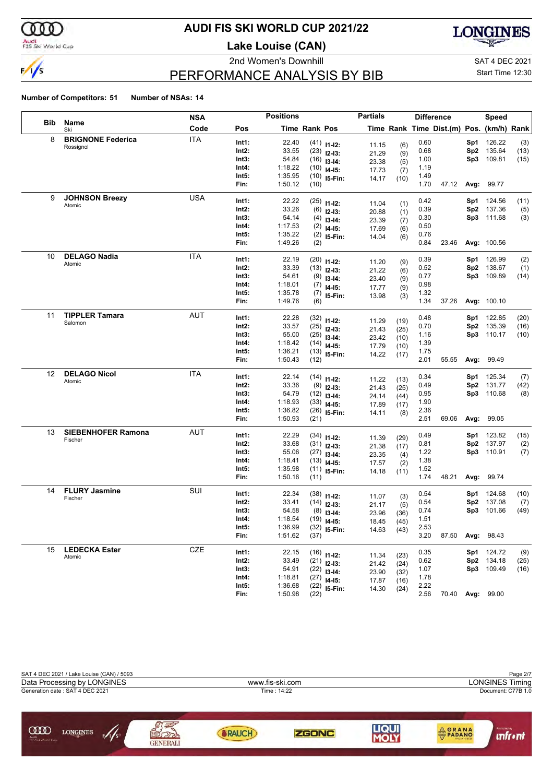

### Audi<br>FIS Ski World Cup

# **AUDI FIS SKI WORLD CUP 2021/22**

**Lake Louise (CAN)**



2nd Women's Downhill and SAT 4 DEC 2021

# Start Time 12:30

### PERFORMANCE ANALYSIS BY BIB

|            |                                | <b>NSA</b> |                | <b>Positions</b>   |                      |                                | <b>Partials</b> |            |              | <b>Difference</b>                        |                 | Speed            |      |
|------------|--------------------------------|------------|----------------|--------------------|----------------------|--------------------------------|-----------------|------------|--------------|------------------------------------------|-----------------|------------------|------|
| <b>Bib</b> | Name<br>Ski                    | Code       | Pos            |                    | <b>Time Rank Pos</b> |                                |                 |            |              | Time Rank Time Dist.(m) Pos. (km/h) Rank |                 |                  |      |
| 8          | <b>BRIGNONE Federica</b>       | <b>ITA</b> | Int1:          | 22.40              |                      | $(41)$ 11-12:                  | 11.15           | (6)        | 0.60         |                                          | Sp1             | 126.22           | (3)  |
|            | Rossignol                      |            | Int2:          | 33.55              |                      | $(23)$ 12-13:                  | 21.29           | (9)        | 0.68         |                                          | Sp <sub>2</sub> | 135.64           | (13) |
|            |                                |            | Int3:          | 54.84              |                      | $(16)$ 13-14:                  | 23.38           | (5)        | 1.00         |                                          | Sp3             | 109.81           | (15) |
|            |                                |            | Int4:          | 1:18.22            |                      | $(10)$ 14-15:                  | 17.73           | (7)        | 1.19         |                                          |                 |                  |      |
|            |                                |            | Int5:          | 1:35.95            |                      | $(10)$ 15-Fin:                 | 14.17           | (10)       | 1.49         |                                          |                 |                  |      |
|            |                                |            | Fin:           | 1:50.12            | (10)                 |                                |                 |            | 1.70         | 47.12                                    | Avg:            | 99.77            |      |
| 9          | <b>JOHNSON Breezy</b>          | <b>USA</b> | Int1:          | 22.22              |                      | $(25)$ 11-12:                  |                 |            | 0.42         |                                          | Sp1             | 124.56           | (11) |
|            | Atomic                         |            | Int2:          | 33.26              |                      | $(6)$ 12-13:                   | 11.04<br>20.88  | (1)        | 0.39         |                                          | Sp2             | 137.36           | (5)  |
|            |                                |            | Int3:          | 54.14              |                      | $(4)$ 13-14:                   | 23.39           | (1)        | 0.30         |                                          | Sp3             | 111.68           | (3)  |
|            |                                |            | Int4:          | 1:17.53            |                      | $(2)$ 14-15:                   | 17.69           | (7)<br>(6) | 0.50         |                                          |                 |                  |      |
|            |                                |            | Int5:          | 1:35.22            |                      | $(2)$ 15-Fin:                  | 14.04           | (6)        | 0.76         |                                          |                 |                  |      |
|            |                                |            | Fin:           | 1:49.26            | (2)                  |                                |                 |            | 0.84         | 23.46                                    |                 | Avg: 100.56      |      |
| 10         | <b>DELAGO Nadia</b>            | <b>ITA</b> | Int1:          | 22.19              |                      |                                |                 |            | 0.39         |                                          | Sp1             | 126.99           | (2)  |
|            | Atomic                         |            | Int2:          | 33.39              |                      | $(20)$ 11-12:<br>$(13)$ 12-13: | 11.20           | (9)        | 0.52         |                                          | Sp <sub>2</sub> | 138.67           | (1)  |
|            |                                |            | Int3:          | 54.61              |                      | $(9)$ 13-14:                   | 21.22           | (6)        | 0.77         |                                          | Sp3             | 109.89           | (14) |
|            |                                |            | Int4:          | 1:18.01            |                      | $(7)$ 14-15:                   | 23.40           | (9)        | 0.98         |                                          |                 |                  |      |
|            |                                |            | Int5:          | 1:35.78            |                      | $(7)$ 15-Fin:                  | 17.77           | (9)        | 1.32         |                                          |                 |                  |      |
|            |                                |            | Fin:           | 1:49.76            | (6)                  |                                | 13.98           | (3)        | 1.34         | 37.26                                    |                 | Avg: 100.10      |      |
| 11         | <b>TIPPLER Tamara</b>          | <b>AUT</b> |                |                    |                      |                                |                 |            |              |                                          |                 |                  |      |
|            | Salomon                        |            | Int1:<br>Int2: | 22.28<br>33.57     |                      | $(32)$ 11-12:                  | 11.29           | (19)       | 0.48         |                                          | Sp1<br>Sp2      | 122.85           | (20) |
|            |                                |            | Int3:          | 55.00              |                      | $(25)$ 12-13:                  | 21.43           | (25)       | 0.70<br>1.16 |                                          | Sp3             | 135.39<br>110.17 | (16) |
|            |                                |            | Int4:          | 1:18.42            |                      | $(25)$ 13-14:                  | 23.42           | (10)       | 1.39         |                                          |                 |                  | (10) |
|            |                                |            | Int5:          | 1:36.21            |                      | $(14)$ 14-15:                  | 17.79           | (10)       | 1.75         |                                          |                 |                  |      |
|            |                                |            | Fin:           | 1:50.43            | (12)                 | $(13)$ 15-Fin:                 | 14.22           | (17)       | 2.01         | 55.55                                    | Avg:            | 99.49            |      |
| 12         | <b>DELAGO Nicol</b>            | <b>ITA</b> |                |                    |                      |                                |                 |            |              |                                          |                 |                  |      |
|            | Atomic                         |            | Int1:          | 22.14              |                      | $(14)$ 11-12:                  | 11.22           | (13)       | 0.34         |                                          | Sp1             | 125.34           | (7)  |
|            |                                |            | Int2:          | 33.36              |                      | $(9)$ 12-13:                   | 21.43           | (25)       | 0.49         |                                          | Sp <sub>2</sub> | 131.77           | (42) |
|            |                                |            | Int3:<br>Int4: | 54.79              |                      | $(12)$ 13-14:                  | 24.14           | (44)       | 0.95         |                                          | Sp3             | 110.68           | (8)  |
|            |                                |            | Int5:          | 1:18.93<br>1:36.82 |                      | $(33)$ 14-15:                  | 17.89           | (17)       | 1.90<br>2.36 |                                          |                 |                  |      |
|            |                                |            | Fin:           | 1:50.93            | (21)                 | $(26)$ 15-Fin:                 | 14.11           | (8)        | 2.51         | 69.06                                    | Avg:            | 99.05            |      |
| 13         | <b>SIEBENHOFER Ramona</b>      | AUT        |                |                    |                      |                                |                 |            |              |                                          |                 |                  |      |
|            | Fischer                        |            | Int1:          | 22.29              |                      | $(34)$ 11-12:                  | 11.39           | (29)       | 0.49         |                                          | Sp1             | 123.82           | (15) |
|            |                                |            | Int2:          | 33.68              |                      | $(31)$ 12-13:                  | 21.38           | (17)       | 0.81         |                                          | Sp <sub>2</sub> | 137.97           | (2)  |
|            |                                |            | Int3:          | 55.06              |                      | $(27)$ 13-14:                  | 23.35           | (4)        | 1.22         |                                          | Sp3             | 110.91           | (7)  |
|            |                                |            | Int4:          | 1:18.41            |                      | $(13)$ 14-15:                  | 17.57           | (2)        | 1.38         |                                          |                 |                  |      |
|            |                                |            | Int5:<br>Fin:  | 1:35.98<br>1:50.16 | (11)                 | $(11)$ 15-Fin:                 | 14.18           | (11)       | 1.52<br>1.74 | 48.21                                    | Avg:            | 99.74            |      |
| 14         | <b>FLURY Jasmine</b>           | SUI        |                |                    |                      |                                |                 |            |              |                                          |                 |                  |      |
|            | Fischer                        |            | Int1:          | 22.34              |                      | $(38)$ 11-12:                  | 11.07           | (3)        | 0.54         |                                          | Sp1             | 124.68           | (10) |
|            |                                |            | Int2:          | 33.41              |                      | $(14)$ 12-13:                  | 21.17           | (5)        | 0.54         |                                          | Sp <sub>2</sub> | 137.08           | (7)  |
|            |                                |            | Int3:          | 54.58              |                      | $(8)$ 13-14:                   | 23.96           | (36)       | 0.74         |                                          | Sp3             | 101.66           | (49) |
|            |                                |            | Int4:          | 1:18.54            |                      | $(19)$ 14-15:                  | 18.45           | (45)       | 1.51         |                                          |                 |                  |      |
|            |                                |            | Int5:<br>Fin:  | 1:36.99<br>1:51.62 | (37)                 | $(32)$ 15-Fin:                 | 14.63           | (43)       | 2.53<br>3.20 | 87.50                                    | Avg:            | 98.43            |      |
|            |                                |            |                |                    |                      |                                |                 |            |              |                                          |                 |                  |      |
| 15         | <b>LEDECKA Ester</b><br>Atomic | CZE        | Int1:          | 22.15              |                      | $(16)$ 11-12:                  | 11.34           | (23)       | 0.35         |                                          | Sp1             | 124.72           | (9)  |
|            |                                |            | Int2:          | 33.49              |                      | $(21)$ 12-13:                  | 21.42           | (24)       | 0.62         |                                          | Sp <sub>2</sub> | 134.18           | (25) |
|            |                                |            | Int3:          | 54.91              |                      | $(22)$ 13-14:                  | 23.90           | (32)       | 1.07         |                                          | Sp3             | 109.49           | (16) |
|            |                                |            | Int4:          | 1:18.81            |                      | $(27)$ 14-15:                  | 17.87           | (16)       | 1.78         |                                          |                 |                  |      |
|            |                                |            | Int5:          | 1:36.68            |                      | $(22)$ 15-Fin:                 | 14.30           | (24)       | 2.22         |                                          |                 |                  |      |
|            |                                |            | Fin:           | 1:50.98            | (22)                 |                                |                 |            | 2.56         | 70.40                                    | Avg:            | 99.00            |      |

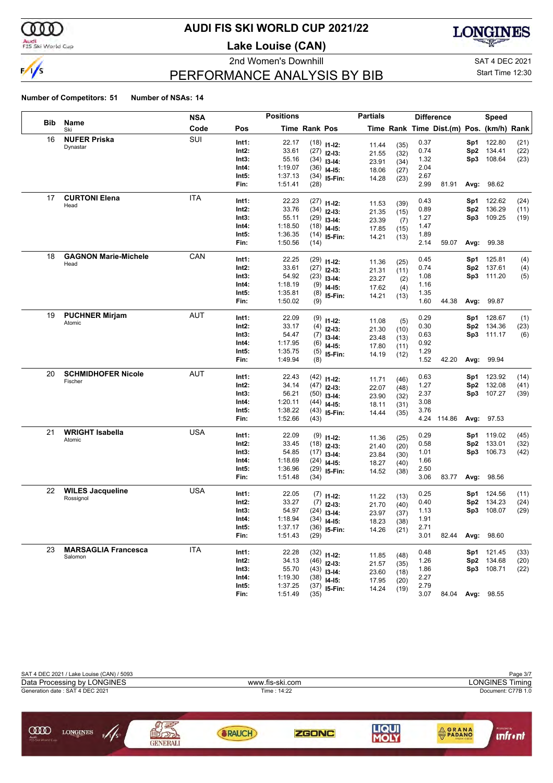

### Audi<br>FIS Ski World Cup

# **AUDI FIS SKI WORLD CUP 2021/22**

**Lake Louise (CAN)**





# PERFORMANCE ANALYSIS BY BIB

Start Time 12:30

|            |                             | <b>NSA</b> |       | <b>Positions</b> |                      |                | <b>Partials</b> |              |      | <b>Difference</b>                        |                 | <b>Speed</b>     |      |
|------------|-----------------------------|------------|-------|------------------|----------------------|----------------|-----------------|--------------|------|------------------------------------------|-----------------|------------------|------|
| <b>Bib</b> | Name<br>Ski                 | Code       | Pos   |                  | <b>Time Rank Pos</b> |                |                 |              |      | Time Rank Time Dist.(m) Pos. (km/h) Rank |                 |                  |      |
| 16         | <b>NUFER Priska</b>         | SUI        | Int1: | 22.17            |                      | $(18)$ 11-12:  | 11.44           | (35)         | 0.37 |                                          | Sp1             | 122.80           | (21) |
|            | Dynastar                    |            | Int2: | 33.61            |                      | $(27)$ 12-13:  | 21.55           | (32)         | 0.74 |                                          | Sp <sub>2</sub> | 134.41           | (22) |
|            |                             |            | Int3: | 55.16            |                      | $(34)$ 13-14:  | 23.91           | (34)         | 1.32 |                                          | Sp3             | 108.64           | (23) |
|            |                             |            | Int4: | 1:19.07          |                      | $(36)$ 14-15:  | 18.06           | (27)         | 2.04 |                                          |                 |                  |      |
|            |                             |            | Int5: | 1:37.13          |                      | $(34)$ 15-Fin: | 14.28           | (23)         | 2.67 |                                          |                 |                  |      |
|            |                             |            | Fin:  | 1:51.41          | (28)                 |                |                 |              | 2.99 | 81.91                                    | Avg:            | 98.62            |      |
| 17         | <b>CURTONI Elena</b>        | ITA        | Int1: | 22.23            |                      | $(27)$ 11-12:  | 11.53           | (39)         | 0.43 |                                          | Sp1             | 122.62           | (24) |
|            | Head                        |            | Int2: | 33.76            |                      | $(34)$ 12-13:  | 21.35           | (15)         | 0.89 |                                          | Sp <sub>2</sub> | 136.29           | (11) |
|            |                             |            | Int3: | 55.11            |                      | $(29)$ 13-14:  | 23.39           | (7)          | 1.27 |                                          | Sp3             | 109.25           | (19) |
|            |                             |            | Int4: | 1:18.50          |                      | $(18)$ 14-15:  | 17.85           | (15)         | 1.47 |                                          |                 |                  |      |
|            |                             |            | Int5: | 1:36.35          |                      | $(14)$ 15-Fin: | 14.21           | (13)         | 1.89 |                                          |                 |                  |      |
|            |                             |            | Fin:  | 1:50.56          | (14)                 |                |                 |              | 2.14 | 59.07                                    | Avg:            | 99.38            |      |
| 18         | <b>GAGNON Marie-Michele</b> | CAN        | Int1: | 22.25            |                      | $(29)$ 11-12:  | 11.36           | (25)         | 0.45 |                                          | Sp1             | 125.81           | (4)  |
|            | Head                        |            | Int2: | 33.61            |                      | $(27)$ 12-13:  | 21.31           | (11)         | 0.74 |                                          | Sp <sub>2</sub> | 137.61           | (4)  |
|            |                             |            | Int3: | 54.92            |                      | $(23)$ 13-14:  | 23.27           | (2)          | 1.08 |                                          | Sp3             | 111.20           | (5)  |
|            |                             |            | Int4: | 1:18.19          |                      | $(9)$ 14-15:   | 17.62           | (4)          | 1.16 |                                          |                 |                  |      |
|            |                             |            | Int5: | 1:35.81          |                      | $(8)$ 15-Fin:  | 14.21           | (13)         | 1.35 |                                          |                 |                  |      |
|            |                             |            | Fin:  | 1:50.02          | (9)                  |                |                 |              | 1.60 | 44.38                                    | Avg:            | 99.87            |      |
| 19         | <b>PUCHNER Mirjam</b>       | AUT        | Int1: | 22.09            |                      | $(9)$ 11-12:   | 11.08           | (5)          | 0.29 |                                          | Sp1             | 128.67           | (1)  |
|            | Atomic                      |            | Int2: | 33.17            |                      | $(4)$ 12-13:   | 21.30           | (10)         | 0.30 |                                          | Sp <sub>2</sub> | 134.36           | (23) |
|            |                             |            | Int3: | 54.47            |                      | $(7)$ 13-14:   | 23.48           | (13)         | 0.63 |                                          | Sp3             | 111.17           | (6)  |
|            |                             |            | Int4: | 1:17.95          |                      | $(6)$ 14-15:   | 17.80           | (11)         | 0.92 |                                          |                 |                  |      |
|            |                             |            | Int5: | 1:35.75          |                      | $(5)$ 15-Fin:  | 14.19           | (12)         | 1.29 |                                          |                 |                  |      |
|            |                             |            | Fin:  | 1:49.94          | (8)                  |                |                 |              | 1.52 | 42.20                                    | Avg:            | 99.94            |      |
| 20         | <b>SCHMIDHOFER Nicole</b>   | AUT        | Int1: | 22.43            |                      | $(42)$ 11-12:  |                 |              | 0.63 |                                          | Sp1             | 123.92           | (14) |
|            | Fischer                     |            | Int2: | 34.14            |                      | $(47)$ 12-13:  | 11.71<br>22.07  | (46)<br>(48) | 1.27 |                                          | Sp <sub>2</sub> | 132.08           | (41) |
|            |                             |            | Int3: | 56.21            |                      | $(50)$ 13-14:  | 23.90           | (32)         | 2.37 |                                          | Sp3             | 107.27           | (39) |
|            |                             |            | Int4: | 1:20.11          |                      | $(44)$ 14-15:  | 18.11           | (31)         | 3.08 |                                          |                 |                  |      |
|            |                             |            | Int5: | 1:38.22          |                      | $(43)$ 15-Fin: | 14.44           | (35)         | 3.76 |                                          |                 |                  |      |
|            |                             |            | Fin:  | 1:52.66          | (43)                 |                |                 |              |      | 4.24 114.86                              |                 | Avg: 97.53       |      |
| 21         | <b>WRIGHT Isabella</b>      | USA        | Int1: | 22.09            |                      | $(9)$ 11-12:   | 11.36           | (25)         | 0.29 |                                          | Sp1             | 119.02           | (45) |
|            | Atomic                      |            | Int2: | 33.45            |                      | $(18)$ 12-13:  | 21.40           | (20)         | 0.58 |                                          | Sp <sub>2</sub> | 133.01           | (32) |
|            |                             |            | Int3: | 54.85            |                      | $(17)$ 13-14:  | 23.84           | (30)         | 1.01 |                                          | Sp3             | 106.73           | (42) |
|            |                             |            | Int4: | 1:18.69          |                      | $(24)$ 14-15:  | 18.27           | (40)         | 1.66 |                                          |                 |                  |      |
|            |                             |            | Int5: | 1:36.96          |                      | $(29)$ 15-Fin: | 14.52           | (38)         | 2.50 |                                          |                 |                  |      |
|            |                             |            | Fin:  | 1:51.48          | (34)                 |                |                 |              | 3.06 | 83.77                                    | Avg:            | 98.56            |      |
| 22         | <b>WILES Jacqueline</b>     | <b>USA</b> | Int1: | 22.05            |                      | $(7)$ 11-12:   | 11.22           | (13)         | 0.25 |                                          | Sp1             | 124.56           | (11) |
|            | Rossignol                   |            | Int2: | 33.27            |                      | $(7)$ 12-13:   | 21.70           | (40)         | 0.40 |                                          | Sp <sub>2</sub> | 134.23           | (24) |
|            |                             |            | Int3: | 54.97            |                      | $(24)$ 13-14:  | 23.97           | (37)         | 1.13 |                                          | Sp3             | 108.07           | (29) |
|            |                             |            | Int4: | 1:18.94          |                      | $(34)$ 14-15:  | 18.23           | (38)         | 1.91 |                                          |                 |                  |      |
|            |                             |            | Int5: | 1:37.17          |                      | $(36)$ 15-Fin: | 14.26           | (21)         | 2.71 |                                          |                 |                  |      |
|            |                             |            | Fin:  | 1:51.43          | (29)                 |                |                 |              | 3.01 | 82.44                                    | Avg:            | 98.60            |      |
| 23         | <b>MARSAGLIA Francesca</b>  | ITA        | Int1: | 22.28            |                      | $(32)$ 11-12:  | 11.85           | (48)         | 0.48 |                                          | Sp1             | 121.45           | (33) |
|            | Salomon                     |            | Int2: | 34.13            |                      | $(46)$ 12-13:  | 21.57           | (35)         | 1.26 |                                          | Sp <sub>2</sub> | 134.68           | (20) |
|            |                             |            | Int3: | 55.70            |                      | $(43)$ 13-14:  | 23.60           | (18)         | 1.86 |                                          |                 | Sp3 108.71       | (22) |
|            |                             |            | Int4: | 1:19.30          |                      | $(38)$ 14-15:  | 17.95           | (20)         | 2.27 |                                          |                 |                  |      |
|            |                             |            | Int5: | 1:37.25          |                      | $(37)$ 15-Fin: | 14.24           | (19)         | 2.79 |                                          |                 |                  |      |
|            |                             |            | Fin:  | 1:51.49          | (35)                 |                |                 |              | 3.07 |                                          |                 | 84.04 Avg: 98.55 |      |

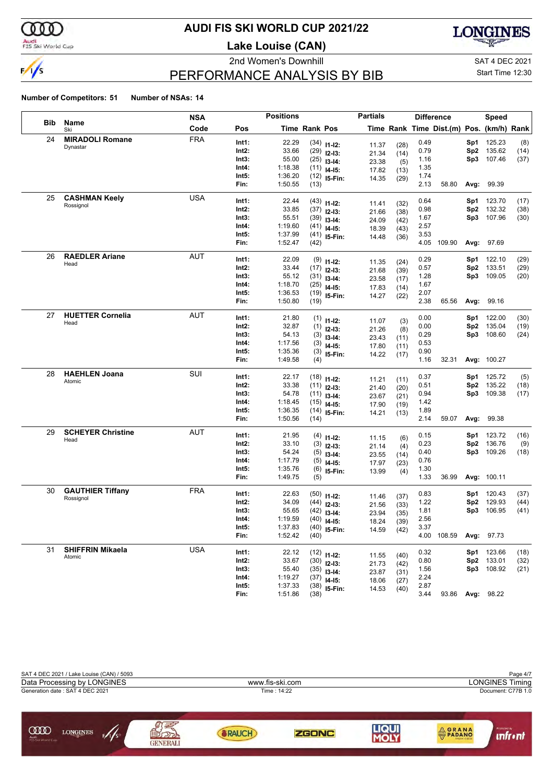

## Audi<br>FIS Ski World Cup

# **AUDI FIS SKI WORLD CUP 2021/22**

**Lake Louise (CAN)**





# PERFORMANCE ANALYSIS BY BIB

2nd Women's Downhill and SAT 4 DEC 2021 Start Time 12:30

|     |                                   | NSA        |                | <b>Positions</b>   |                      |                                | <b>Partials</b> |              | <b>Difference</b> |                                          |                        | Speed            |              |
|-----|-----------------------------------|------------|----------------|--------------------|----------------------|--------------------------------|-----------------|--------------|-------------------|------------------------------------------|------------------------|------------------|--------------|
| Bib | Name<br>Ski                       | Code       | Pos            |                    | <b>Time Rank Pos</b> |                                |                 |              |                   | Time Rank Time Dist.(m) Pos. (km/h) Rank |                        |                  |              |
| 24  | <b>MIRADOLI Romane</b>            | <b>FRA</b> | Int1:          | 22.29              |                      | $(34)$ 11-12:                  |                 |              | 0.49              |                                          | Sp1                    | 125.23           | (8)          |
|     | Dynastar                          |            | Int2:          | 33.66              |                      | $(29)$ 12-13:                  | 11.37           | (28)         | 0.79              |                                          | Sp <sub>2</sub>        | 135.62           | (14)         |
|     |                                   |            | Int3:          | 55.00              | (25)                 | $13-14:$                       | 21.34<br>23.38  | (14)<br>(5)  | 1.16              |                                          | Sp3                    | 107.46           | (37)         |
|     |                                   |            | Int4:          | 1:18.38            | (11)                 | $14 - 15$ :                    | 17.82           | (13)         | 1.35              |                                          |                        |                  |              |
|     |                                   |            | Int5:          | 1:36.20            | (12)                 | 15-Fin:                        | 14.35           | (29)         | 1.74              |                                          |                        |                  |              |
|     |                                   |            | Fin:           | 1:50.55            | (13)                 |                                |                 |              | 2.13              | 58.80                                    | Avg:                   | 99.39            |              |
| 25  | <b>CASHMAN Keely</b>              | <b>USA</b> | Int1:          | 22.44              | (43)                 |                                |                 |              | 0.64              |                                          | Sp1                    | 123.70           | (17)         |
|     | Rossignol                         |            | Int2:          | 33.85              | (37)                 | $11 - 12$ :                    | 11.41           | (32)         | 0.98              |                                          | Sp <sub>2</sub>        | 132.32           | (38)         |
|     |                                   |            | Int3:          | 55.51              | (39)                 | $12 - 13:$<br>$13-14:$         | 21.66           | (38)         | 1.67              |                                          | Sp3                    | 107.96           | (30)         |
|     |                                   |            | Int4:          | 1:19.60            | (41)                 | $14 - 15:$                     | 24.09           | (42)         | 2.57              |                                          |                        |                  |              |
|     |                                   |            | Int5:          | 1:37.99            | (41)                 | 15-Fin:                        | 18.39<br>14.48  | (43)<br>(36) | 3.53              |                                          |                        |                  |              |
|     |                                   |            | Fin:           | 1:52.47            | (42)                 |                                |                 |              | 4.05              | 109.90                                   | Avg:                   | 97.69            |              |
| 26  | <b>RAEDLER Ariane</b>             | AUT        | Int1:          | 22.09              |                      |                                |                 |              | 0.29              |                                          | Sp1                    | 122.10           | (29)         |
|     | Head                              |            | Int2:          | 33.44              |                      | $(9)$ 11-12:                   | 11.35           | (24)         | 0.57              |                                          | Sp <sub>2</sub>        | 133.51           | (29)         |
|     |                                   |            | Int3:          | 55.12              |                      | $(17)$ 12-13:<br>$(31)$ 13-14: | 21.68           | (39)         | 1.28              |                                          | Sp3                    | 109.05           | (20)         |
|     |                                   |            | Int4:          | 1:18.70            | (25)                 |                                | 23.58           | (17)         | 1.67              |                                          |                        |                  |              |
|     |                                   |            | Int5:          | 1:36.53            | (19)                 | $14 - 15$ :                    | 17.83           | (14)         | 2.07              |                                          |                        |                  |              |
|     |                                   |            | Fin:           | 1:50.80            | (19)                 | 15-Fin:                        | 14.27           | (22)         | 2.38              | 65.56                                    |                        | Avg: 99.16       |              |
| 27  | <b>HUETTER Cornelia</b>           | <b>AUT</b> |                |                    |                      |                                |                 |              |                   |                                          |                        |                  |              |
|     | Head                              |            | Int1:<br>Int2: | 21.80<br>32.87     |                      | $(1)$ 11-12:                   | 11.07           | (3)          | 0.00<br>0.00      |                                          | Sp1<br>Sp <sub>2</sub> | 122.00<br>135.04 | (30)         |
|     |                                   |            | Int3:          | 54.13              | (1)                  | $12 - 13:$                     | 21.26           | (8)          | 0.29              |                                          | Sp3                    | 108.60           | (19)<br>(24) |
|     |                                   |            | Int4:          | 1:17.56            | (3)<br>(3)           | $13-14:$                       | 23.43           | (11)         | 0.53              |                                          |                        |                  |              |
|     |                                   |            | Int5:          | 1:35.36            | (3)                  | $14 - 15$ :                    | 17.80           | (11)         | 0.90              |                                          |                        |                  |              |
|     |                                   |            | Fin:           | 1:49.58            | (4)                  | 15-Fin:                        | 14.22           | (17)         | 1.16              | 32.31                                    |                        | Avg: 100.27      |              |
| 28  | <b>HAEHLEN Joana</b>              | SUI        |                |                    |                      |                                |                 |              |                   |                                          |                        |                  |              |
|     | Atomic                            |            | Int1:          | 22.17              |                      | $(18)$ 11-12:                  | 11.21           | (11)         | 0.37              |                                          | Sp1                    | 125.72           | (5)          |
|     |                                   |            | Int2:          | 33.38              |                      | $(11)$ 12-13:                  | 21.40           | (20)         | 0.51              |                                          | Sp <sub>2</sub>        | 135.22           | (18)         |
|     |                                   |            | Int3:<br>Int4: | 54.78<br>1:18.45   | (11)                 | $13-14:$                       | 23.67           | (21)         | 0.94<br>1.42      |                                          | Sp3                    | 109.38           | (17)         |
|     |                                   |            | Int5:          | 1:36.35            | (15)<br>(14)         | $14 - 15$ :                    | 17.90           | (19)         | 1.89              |                                          |                        |                  |              |
|     |                                   |            | Fin:           | 1:50.56            | (14)                 | 15-Fin:                        | 14.21           | (13)         | 2.14              | 59.07                                    | Avg:                   | 99.38            |              |
| 29  | <b>SCHEYER Christine</b>          | <b>AUT</b> |                |                    |                      |                                |                 |              |                   |                                          |                        |                  |              |
|     | Head                              |            | Int1:          | 21.95              | (4)                  | $11 - 12$ :                    | 11.15           | (6)          | 0.15              |                                          | Sp1                    | 123.72           | (16)         |
|     |                                   |            | Int2:          | 33.10              | (3)                  | $12 - 13:$                     | 21.14           | (4)          | 0.23              |                                          | Sp <sub>2</sub>        | 136.76           | (9)          |
|     |                                   |            | Int3:          | 54.24              | (5)                  | $13-14:$                       | 23.55           | (14)         | 0.40              |                                          | Sp3                    | 109.26           | (18)         |
|     |                                   |            | Int4:<br>Int5: | 1:17.79<br>1:35.76 | (5)                  | $14 - 15$ :                    | 17.97           | (23)         | 0.76<br>1.30      |                                          |                        |                  |              |
|     |                                   |            | Fin:           | 1:49.75            | (6)<br>(5)           | 15-Fin:                        | 13.99           | (4)          | 1.33              | 36.99                                    |                        | Avg: 100.11      |              |
| 30  | <b>GAUTHIER Tiffany</b>           | <b>FRA</b> |                |                    |                      |                                |                 |              |                   |                                          |                        |                  |              |
|     | Rossignol                         |            | Int1:          | 22.63              |                      | $(50)$ 11-12:                  | 11.46           | (37)         | 0.83              |                                          | Sp1                    | 120.43           | (37)         |
|     |                                   |            | Int2:          | 34.09              |                      | $(44)$ 12-13:                  | 21.56           | (33)         | 1.22              |                                          | Sp <sub>2</sub>        | 129.93           | (44)         |
|     |                                   |            | Int3:          | 55.65              |                      | $(42)$ 13-14:                  | 23.94           | (35)         | 1.81              |                                          | Sp3                    | 106.95           | (41)         |
|     |                                   |            | Int4:          | 1:19.59            |                      | $(40)$ 14-15:                  | 18.24           | (39)         | 2.56              |                                          |                        |                  |              |
|     |                                   |            | Int5:<br>Fin:  | 1:37.83<br>1:52.42 | (40)                 | $(40)$ 15-Fin:                 | 14.59           | (42)         | 3.37              | 4.00 108.59                              |                        | Avg: 97.73       |              |
|     |                                   |            |                |                    |                      |                                |                 |              |                   |                                          |                        |                  |              |
| 31  | <b>SHIFFRIN Mikaela</b><br>Atomic | <b>USA</b> | Int1:          | 22.12              |                      | $(12)$ 11-12:                  | 11.55           | (40)         | 0.32              |                                          | Sp1                    | 123.66           | (18)         |
|     |                                   |            | Int2:          | 33.67              |                      | $(30)$ 12-13:                  | 21.73           | (42)         | 0.80              |                                          | Sp2                    | 133.01           | (32)         |
|     |                                   |            | Int3:          | 55.40              |                      | $(35)$ 13-14:                  | 23.87           | (31)         | 1.56              |                                          |                        | Sp3 108.92       | (21)         |
|     |                                   |            | Int4:          | 1:19.27            |                      | $(37)$ 14-15:                  | 18.06           | (27)         | 2.24              |                                          |                        |                  |              |
|     |                                   |            | Int5:<br>Fin:  | 1:37.33<br>1:51.86 |                      | $(38)$ 15-Fin:                 | 14.53           | (40)         | 2.87<br>3.44      |                                          |                        | 93.86 Avg: 98.22 |              |
|     |                                   |            |                |                    | (38)                 |                                |                 |              |                   |                                          |                        |                  |              |

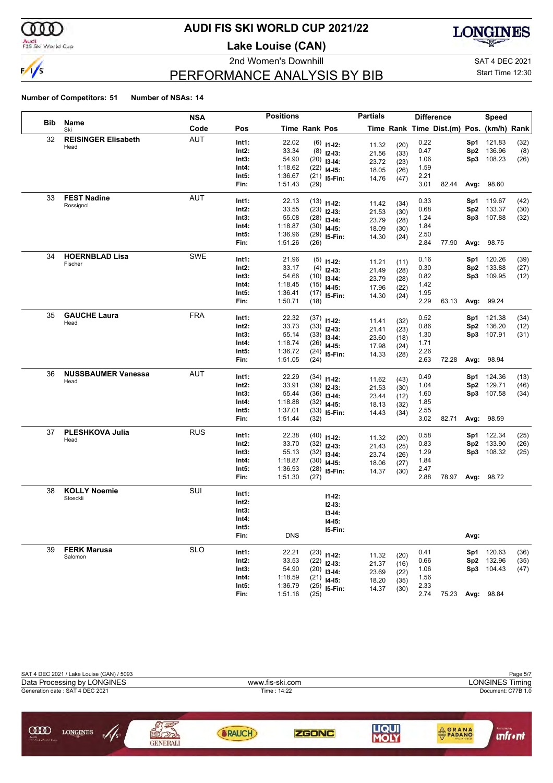

## Audi<br>FIS Ski World Cup

# **AUDI FIS SKI WORLD CUP 2021/22**

**Lake Louise (CAN)**





# PERFORMANCE ANALYSIS BY BIB

Start Time 12:30

|     |                            | NSA        |                | <b>Positions</b> |               |                                | <b>Partials</b> |              |      | <b>Difference</b>                        |                 | Speed             |              |
|-----|----------------------------|------------|----------------|------------------|---------------|--------------------------------|-----------------|--------------|------|------------------------------------------|-----------------|-------------------|--------------|
| Bib | Name<br>Ski                | Code       | Pos            |                  | Time Rank Pos |                                |                 |              |      | Time Rank Time Dist.(m) Pos. (km/h) Rank |                 |                   |              |
| 32  | <b>REISINGER Elisabeth</b> | <b>AUT</b> | Int1:          | 22.02            |               | $(6)$ 11-12:                   | 11.32           | (20)         | 0.22 |                                          | Sp1             | 121.83            | (32)         |
|     | Head                       |            | Int2:          | 33.34            |               | $(8)$ 12-13:                   | 21.56           | (33)         | 0.47 |                                          | Sp2             | 136.96            | (8)          |
|     |                            |            | Int3:          | 54.90            |               | $(20)$ 13-14:                  | 23.72           | (23)         | 1.06 |                                          | Sp3             | 108.23            | (26)         |
|     |                            |            | Int4:          | 1:18.62          |               | $(22)$ 14-15:                  | 18.05           | (26)         | 1.59 |                                          |                 |                   |              |
|     |                            |            | Int5:          | 1:36.67          |               | $(21)$ 15-Fin:                 | 14.76           | (47)         | 2.21 |                                          |                 |                   |              |
|     |                            |            | Fin:           | 1:51.43          | (29)          |                                |                 |              | 3.01 | 82.44                                    |                 | Avg: 98.60        |              |
| 33  | <b>FEST Nadine</b>         | <b>AUT</b> | Int1:          | 22.13            |               | $(13)$ 11-12:                  |                 |              | 0.33 |                                          | Sp1             | 119.67            | (42)         |
|     | Rossignol                  |            | Int2:          | 33.55            |               | $(23)$ 12-13:                  | 11.42<br>21.53  | (34)<br>(30) | 0.68 |                                          | Sp <sub>2</sub> | 133.37            | (30)         |
|     |                            |            | Int3:          | 55.08            |               | $(28)$ 13-14:                  | 23.79           | (28)         | 1.24 |                                          |                 | Sp3 107.88        | (32)         |
|     |                            |            | Int4:          | 1:18.87          |               | $(30)$ 14-15:                  | 18.09           | (30)         | 1.84 |                                          |                 |                   |              |
|     |                            |            | Int5:          | 1:36.96          |               | $(29)$ 15-Fin:                 | 14.30           | (24)         | 2.50 |                                          |                 |                   |              |
|     |                            |            | Fin:           | 1:51.26          | (26)          |                                |                 |              | 2.84 | 77.90                                    |                 | Avg: 98.75        |              |
| 34  | <b>HOERNBLAD Lisa</b>      | SWE        | Int1:          | 21.96            |               | $(5)$ 11-12:                   |                 |              | 0.16 |                                          | Sp1             | 120.26            | (39)         |
|     | Fischer                    |            | Int2:          | 33.17            |               | $(4)$ 12-13:                   | 11.21           | (11)         | 0.30 |                                          | Sp <sub>2</sub> | 133.88            | (27)         |
|     |                            |            | Int3:          | 54.66            |               | $(10)$ 13-14:                  | 21.49           | (28)         | 0.82 |                                          | Sp3             | 109.95            | (12)         |
|     |                            |            | Int4:          | 1:18.45          |               | $(15)$ 14-15:                  | 23.79           | (28)         | 1.42 |                                          |                 |                   |              |
|     |                            |            | Int5:          | 1:36.41          |               | $(17)$ 15-Fin:                 | 17.96<br>14.30  | (22)<br>(24) | 1.95 |                                          |                 |                   |              |
|     |                            |            | Fin:           | 1:50.71          | (18)          |                                |                 |              | 2.29 | 63.13                                    |                 | Avg: 99.24        |              |
| 35  | <b>GAUCHE Laura</b>        | <b>FRA</b> | Int1:          | 22.32            |               |                                |                 |              | 0.52 |                                          | Sp1             | 121.38            | (34)         |
|     | Head                       |            | Int2:          | 33.73            |               | $(37)$ 11-12:<br>$(33)$ 12-13: | 11.41           | (32)         | 0.86 |                                          | Sp <sub>2</sub> | 136.20            | (12)         |
|     |                            |            | Int3:          | 55.14            |               | $(33)$ 13-14:                  | 21.41           | (23)         | 1.30 |                                          |                 | Sp3 107.91        | (31)         |
|     |                            |            | Int4:          | 1:18.74          |               | $(26)$ 14-15:                  | 23.60           | (18)         | 1.71 |                                          |                 |                   |              |
|     |                            |            | Int5:          | 1:36.72          |               | $(24)$ 15-Fin:                 | 17.98           | (24)         | 2.26 |                                          |                 |                   |              |
|     |                            |            | Fin:           | 1:51.05          | (24)          |                                | 14.33           | (28)         | 2.63 | 72.28                                    |                 | Avg: 98.94        |              |
| 36  | <b>NUSSBAUMER Vanessa</b>  | <b>AUT</b> | Int1:          | 22.29            |               |                                |                 |              | 0.49 |                                          | Sp1             | 124.36            | (13)         |
|     | Head                       |            | Int2:          | 33.91            |               | $(34)$ 11-12:                  | 11.62           | (43)         | 1.04 |                                          | Sp <sub>2</sub> | 129.71            | (46)         |
|     |                            |            | Int3:          | 55.44            |               | $(39)$ 12-13:                  | 21.53           | (30)         | 1.60 |                                          | Sp3             | 107.58            | (34)         |
|     |                            |            | Int4:          | 1:18.88          |               | $(36)$ 13-14:<br>$(32)$ 14-15: | 23.44           | (12)         | 1.85 |                                          |                 |                   |              |
|     |                            |            | Int5:          | 1:37.01          |               | $(33)$ 15-Fin:                 | 18.13           | (32)         | 2.55 |                                          |                 |                   |              |
|     |                            |            | Fin:           | 1:51.44          | (32)          |                                | 14.43           | (34)         | 3.02 | 82.71                                    |                 | Avg: 98.59        |              |
| 37  | PLESHKOVA Julia            | <b>RUS</b> |                | 22.38            |               |                                |                 |              | 0.58 |                                          |                 |                   |              |
|     | Head                       |            | Int1:<br>Int2: | 33.70            |               | $(40)$ 11-12:                  | 11.32           | (20)         | 0.83 |                                          | Sp1<br>Sp2      | 122.34<br>133.90  | (25)<br>(26) |
|     |                            |            | Int3:          | 55.13            |               | $(32)$ 12-13:                  | 21.43           | (25)         | 1.29 |                                          |                 | Sp3 108.32        | (25)         |
|     |                            |            | Int4:          | 1:18.87          |               | $(32)$ 13-14:                  | 23.74           | (26)         | 1.84 |                                          |                 |                   |              |
|     |                            |            | Int5:          | 1:36.93          |               | $(30)$ 14-15:                  | 18.06           | (27)         | 2.47 |                                          |                 |                   |              |
|     |                            |            | Fin:           | 1:51.30          | (27)          | $(28)$ 15-Fin:                 | 14.37           | (30)         | 2.88 | 78.97                                    |                 | <b>Avg: 98.72</b> |              |
| 38  | <b>KOLLY Noemie</b>        | SUI        | Int1:          |                  |               |                                |                 |              |      |                                          |                 |                   |              |
|     | Stoeckli                   |            | Int2:          |                  |               | $11 - 12$ :                    |                 |              |      |                                          |                 |                   |              |
|     |                            |            | Int3:          |                  |               | $12 - 13:$                     |                 |              |      |                                          |                 |                   |              |
|     |                            |            | Int4:          |                  |               | $13 - 14$ :                    |                 |              |      |                                          |                 |                   |              |
|     |                            |            | Int5:          |                  |               | I4-I5:                         |                 |              |      |                                          |                 |                   |              |
|     |                            |            | Fin:           | <b>DNS</b>       |               | 15-Fin:                        |                 |              |      |                                          | Avg:            |                   |              |
| 39  | <b>FERK Marusa</b>         | <b>SLO</b> | Int1:          | 22.21            |               |                                |                 |              | 0.41 |                                          |                 | <b>Sp1</b> 120.63 | (36)         |
|     | Salomon                    |            | Int2:          | 33.53            |               | $(23)$ 11-12:                  | 11.32           | (20)         | 0.66 |                                          |                 | Sp2 132.96        | (35)         |
|     |                            |            | Int3:          | 54.90            |               | $(22)$ 12-13:<br>$(20)$ 13-14: | 21.37           | (16)         | 1.06 |                                          |                 | Sp3 104.43        | (47)         |
|     |                            |            | Int4:          | 1:18.59          |               | $(21)$ 14-15:                  | 23.69           | (22)         | 1.56 |                                          |                 |                   |              |
|     |                            |            | Int5:          | 1:36.79          |               | $(25)$ 15-Fin:                 | 18.20           | (35)         | 2.33 |                                          |                 |                   |              |
|     |                            |            | Fin:           | 1:51.16          | (25)          |                                | 14.37           | (30)         | 2.74 | 75.23 Avg: 98.84                         |                 |                   |              |

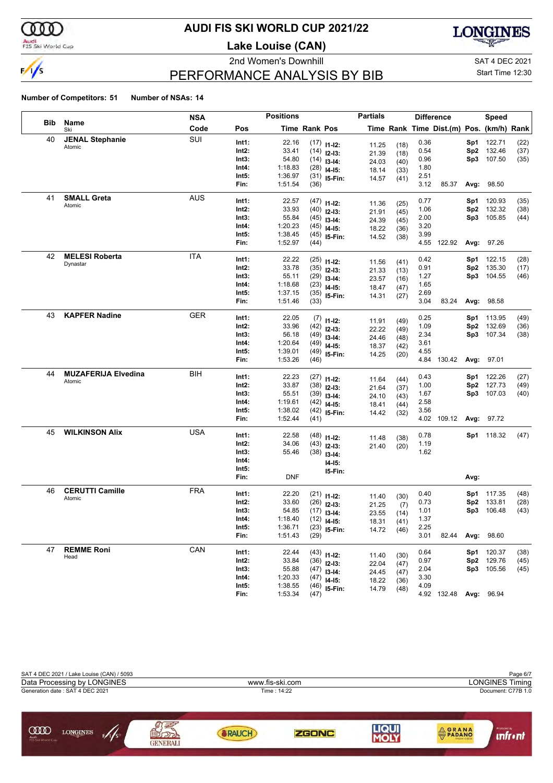

## Audi<br>FIS Ski World Cup

# **AUDI FIS SKI WORLD CUP 2021/22**

**Lake Louise (CAN)**





# PERFORMANCE ANALYSIS BY BIB

Start Time 12:30

|            |                            | <b>NSA</b> |                | <b>Positions</b> |               |                                 | <b>Partials</b> |              |              | <b>Difference</b>                        |                 | <b>Speed</b>                    |              |
|------------|----------------------------|------------|----------------|------------------|---------------|---------------------------------|-----------------|--------------|--------------|------------------------------------------|-----------------|---------------------------------|--------------|
| <b>Bib</b> | Name<br>Ski                | Code       | Pos            |                  | Time Rank Pos |                                 |                 |              |              | Time Rank Time Dist.(m) Pos. (km/h) Rank |                 |                                 |              |
| 40         | <b>JENAL Stephanie</b>     | SUI        | Int1:          | 22.16            |               | $(17)$ 11-12:                   | 11.25           | (18)         | 0.36         |                                          | Sp1             | 122.71                          | (22)         |
|            | Atomic                     |            | Int2:          | 33.41            |               | $(14)$ 12-13:                   | 21.39           | (18)         | 0.54         |                                          | Sp2             | 132.46                          | (37)         |
|            |                            |            | Int3:          | 54.80            |               | $(14)$ 13-14:                   | 24.03           | (40)         | 0.96         |                                          |                 | Sp3 107.50                      | (35)         |
|            |                            |            | Int4:          | 1:18.83          |               | $(28)$ 14-15:                   | 18.14           | (33)         | 1.80         |                                          |                 |                                 |              |
|            |                            |            | Int5:          | 1:36.97          |               | $(31)$ 15-Fin:                  | 14.57           | (41)         | 2.51         |                                          |                 |                                 |              |
|            |                            |            | Fin:           | 1:51.54          | (36)          |                                 |                 |              | 3.12         | 85.37                                    |                 | Avg: 98.50                      |              |
| 41         | <b>SMALL Greta</b>         | <b>AUS</b> | Int1:          | 22.57            |               | $(47)$ 11-12:                   |                 |              | 0.77         |                                          | Sp1             | 120.93                          | (35)         |
|            | Atomic                     |            | Int2:          | 33.93            |               | $(40)$ 12-13:                   | 11.36           | (25)         | 1.06         |                                          | Sp <sub>2</sub> | 132.32                          | (38)         |
|            |                            |            | Int3:          | 55.84            |               | $(45)$ 13-14:                   | 21.91<br>24.39  | (45)<br>(45) | 2.00         |                                          |                 | Sp3 105.85                      | (44)         |
|            |                            |            | Int4:          | 1:20.23          |               | $(45)$ 14-15:                   | 18.22           | (36)         | 3.20         |                                          |                 |                                 |              |
|            |                            |            | Int5:          | 1:38.45          |               | $(45)$ 15-Fin:                  | 14.52           | (38)         | 3.99         |                                          |                 |                                 |              |
|            |                            |            | Fin:           | 1:52.97          | (44)          |                                 |                 |              |              | 4.55 122.92                              |                 | Avg: 97.26                      |              |
| 42         | <b>MELESI Roberta</b>      | <b>ITA</b> | Int1:          | 22.22            |               | $(25)$ 11-12:                   |                 |              | 0.42         |                                          | Sp1             | 122.15                          | (28)         |
|            | Dynastar                   |            | Int2:          | 33.78            |               | $(35)$ 12-13:                   | 11.56           | (41)         | 0.91         |                                          | Sp2             | 135.30                          | (17)         |
|            |                            |            | Int3:          | 55.11            |               | $(29)$ 13-14:                   | 21.33           | (13)         | 1.27         |                                          |                 | Sp3 104.55                      | (46)         |
|            |                            |            | Int4:          | 1:18.68          |               | $(23)$ 14-15:                   | 23.57<br>18.47  | (16)         | 1.65         |                                          |                 |                                 |              |
|            |                            |            | Int5:          | 1:37.15          |               | $(35)$ 15-Fin:                  | 14.31           | (47)         | 2.69         |                                          |                 |                                 |              |
|            |                            |            | Fin:           | 1:51.46          | (33)          |                                 |                 | (27)         | 3.04         | 83.24                                    |                 | Avg: 98.58                      |              |
| 43         | <b>KAPFER Nadine</b>       | <b>GER</b> | Int1:          | 22.05            |               |                                 |                 |              | 0.25         |                                          |                 | <b>Sp1</b> 113.95               | (49)         |
|            |                            |            | Int2:          | 33.96            |               | $(7)$ 11-12:                    | 11.91           | (49)         | 1.09         |                                          | Sp <sub>2</sub> | 132.69                          | (36)         |
|            |                            |            | Int3:          | 56.18            |               | $(42)$ 12-13:<br>$(49)$ 13-14:  | 22.22           | (49)         | 2.34         |                                          |                 | Sp3 107.34                      | (38)         |
|            |                            |            | Int4:          | 1:20.64          |               | $(49)$ 14-15:                   | 24.46           | (48)         | 3.61         |                                          |                 |                                 |              |
|            |                            |            | Int5:          | 1:39.01          |               | $(49)$ 15-Fin:                  | 18.37           | (42)         | 4.55         |                                          |                 |                                 |              |
|            |                            |            | Fin:           | 1:53.26          | (46)          |                                 | 14.25           | (20)         |              | 4.84 130.42                              |                 | Avg: 97.01                      |              |
| 44         | <b>MUZAFERIJA Elvedina</b> | BIH        | Int1:          | 22.23            |               |                                 |                 |              | 0.43         |                                          |                 | Sp1 122.26                      | (27)         |
|            | Atomic                     |            | Int2:          | 33.87            |               | $(27)$ 11-12:<br>$(38)$ 12-13:  | 11.64           | (44)         | 1.00         |                                          | Sp <sub>2</sub> | 127.73                          | (49)         |
|            |                            |            | Int3:          | 55.51            |               | $(39)$ 13-14:                   | 21.64           | (37)         | 1.67         |                                          |                 | Sp3 107.03                      | (40)         |
|            |                            |            | Int4:          | 1:19.61          |               | $(42)$ 14-15:                   | 24.10           | (43)         | 2.58         |                                          |                 |                                 |              |
|            |                            |            | Int5:          | 1:38.02          |               | $(42)$ 15-Fin:                  | 18.41           | (44)         | 3.56         |                                          |                 |                                 |              |
|            |                            |            | Fin:           | 1:52.44          | (41)          |                                 | 14.42           | (32)         |              | 4.02 109.12                              |                 | Avg: 97.72                      |              |
| 45         | <b>WILKINSON Alix</b>      | <b>USA</b> | Int1:          | 22.58            |               |                                 |                 |              | 0.78         |                                          |                 | Sp1 118.32                      | (47)         |
|            |                            |            | Int2:          | 34.06            |               | $(48)$ 11-12:                   | 11.48           | (38)         | 1.19         |                                          |                 |                                 |              |
|            |                            |            | Int3:          | 55.46            |               | $(43)$ 12-13:                   | 21.40           | (20)         | 1.62         |                                          |                 |                                 |              |
|            |                            |            | Int4:          |                  |               | $(38)$ 13-14:                   |                 |              |              |                                          |                 |                                 |              |
|            |                            |            | Int5:          |                  |               | $14-15:$                        |                 |              |              |                                          |                 |                                 |              |
|            |                            |            | Fin:           | <b>DNF</b>       |               | 15-Fin:                         |                 |              |              |                                          | Avg:            |                                 |              |
| 46         | <b>CERUTTI Camille</b>     | <b>FRA</b> | Int1:          | 22.20            |               |                                 |                 |              | 0.40         |                                          |                 | Sp1 117.35                      | (48)         |
|            | Atomic                     |            | Int2:          | 33.60            |               | $(21)$ 11-12:                   | 11.40           | (30)         | 0.73         |                                          | Sp <sub>2</sub> | 133.81                          | (28)         |
|            |                            |            | Int3:          | 54.85            |               | $(26)$ 12-13:                   | 21.25           | (7)          | 1.01         |                                          |                 | Sp3 106.48                      | (43)         |
|            |                            |            | Int4:          | 1:18.40          |               | $(17)$ 13-14:                   | 23.55           | (14)         | 1.37         |                                          |                 |                                 |              |
|            |                            |            | Int5:          | 1:36.71          |               | $(12)$ 14-15:<br>$(23)$ 15-Fin: | 18.31           | (41)         | 2.25         |                                          |                 |                                 |              |
|            |                            |            | Fin:           | 1:51.43          | (29)          |                                 | 14.72           | (46)         | 3.01         | 82.44                                    |                 | Avg: 98.60                      |              |
| 47         | <b>REMME Roni</b>          | CAN        |                |                  |               |                                 |                 |              |              |                                          |                 |                                 |              |
|            | Head                       |            | Int1:<br>Int2: | 22.44<br>33.84   |               | $(43)$ 11-12:                   | 11.40           | (30)         | 0.64<br>0.97 |                                          |                 | <b>Sp1</b> 120.37<br>Sp2 129.76 | (38)<br>(45) |
|            |                            |            | Int3:          | 55.88            |               | $(36)$ 12-13:                   | 22.04           | (47)         | 2.04         |                                          |                 | Sp3 105.56                      | (45)         |
|            |                            |            | Int4:          | 1:20.33          |               | $(47)$ 13-14:                   | 24.45           | (47)         | 3.30         |                                          |                 |                                 |              |
|            |                            |            | Int5:          | 1:38.55          |               | $(47)$ 14-15:                   | 18.22           | (36)         | 4.09         |                                          |                 |                                 |              |
|            |                            |            | Fin:           | 1:53.34          | (47)          | $(46)$ 15-Fin:                  | 14.79           | (48)         |              | 4.92 132.48 Avg: 96.94                   |                 |                                 |              |
|            |                            |            |                |                  |               |                                 |                 |              |              |                                          |                 |                                 |              |

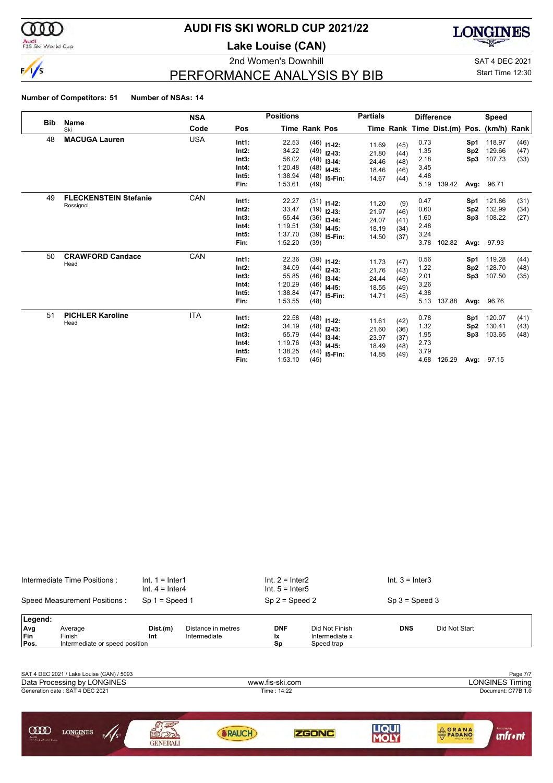

### Audi<br>FIS Ski World Cup

# **AUDI FIS SKI WORLD CUP 2021/22**

**Lake Louise (CAN)**

2nd Women's Downhill SAT 4 DEC 2021



# PERFORMANCE ANALYSIS BY BIB

Start Time 12:30

|            |                              | <b>Positions</b><br><b>NSA</b> |                |                |                                          | <b>Partials</b>                                  |                |              | <b>Difference</b> |                                          | <b>Speed</b>           |                  |              |
|------------|------------------------------|--------------------------------|----------------|----------------|------------------------------------------|--------------------------------------------------|----------------|--------------|-------------------|------------------------------------------|------------------------|------------------|--------------|
| <b>Bib</b> | Name<br>Ski                  | Code                           | Pos            |                | <b>Time Rank Pos</b>                     |                                                  |                |              |                   | Time Rank Time Dist.(m) Pos. (km/h) Rank |                        |                  |              |
| 48         | <b>MACUGA Lauren</b>         | <b>USA</b>                     | Int1:<br>Int2: | 22.53<br>34.22 |                                          | $(46)$ 11-12:<br>$(49)$ 12-13:                   | 11.69          | (45)         | 0.73<br>1.35      |                                          | Sp1<br>Sp <sub>2</sub> | 118.97<br>129.66 | (46)<br>(47) |
|            |                              |                                | Int3:          | 56.02          |                                          | $(48)$ 13-14:                                    | 21.80          | (44)         | 2.18              |                                          | Sp3                    | 107.73           | (33)         |
|            |                              |                                | Int4:          | 1:20.48        |                                          | $(48)$ 14-15:                                    | 24.46          | (48)         | 3.45              |                                          |                        |                  |              |
|            |                              |                                | Int5:          | 1:38.94        |                                          | $(48)$ 15-Fin:                                   | 18.46<br>14.67 | (46)         | 4.48              |                                          |                        |                  |              |
|            |                              |                                | Fin:           | 1:53.61        | (49)                                     |                                                  |                | (44)         | 5.19              | 139.42                                   | Avg:                   | 96.71            |              |
| 49         | <b>FLECKENSTEIN Stefanie</b> | CAN                            | Int1:          | 22.27          |                                          | $(31)$ 11-12:                                    |                |              | 0.47              |                                          | Sp1                    | 121.86           | (31)         |
|            | Rossignol                    |                                | Int2:          | 33.47          |                                          | $(19)$ 12-13:                                    | 11.20          | (9)          | 0.60              |                                          | Sp <sub>2</sub>        | 132.99           | (34)         |
|            |                              |                                | Int3:          | 55.44          |                                          |                                                  | 21.97<br>24.07 | (46)<br>(41) | 1.60              |                                          | Sp3                    | 108.22           | (27)         |
|            |                              |                                | Int4:          | 1:19.51        |                                          | $(36)$ 13-14:<br>$(39)$ 14-15:<br>$(39)$ 15-Fin: | 18.19          | (34)         | 2.48              |                                          |                        |                  |              |
|            |                              |                                | Int5:          | 1:37.70        |                                          |                                                  | 14.50          | (37)         | 3.24              |                                          |                        |                  |              |
|            |                              |                                | Fin:           | 1:52.20        | (39)                                     |                                                  |                |              | 3.78              | 102.82                                   |                        | Avg: 97.93       |              |
| 50         | <b>CRAWFORD Candace</b>      | CAN                            | Int1:          | 22.36          |                                          | $(39)$ 11-12:                                    |                |              | 0.56              |                                          | Sp1                    | 119.28           | (44)         |
|            | Head                         |                                | Int2:          | 34.09          |                                          | $(44)$ 12-13:                                    | 11.73<br>21.76 | (47)         | 1.22              |                                          | Sp2                    | 128.70           | (48)         |
|            |                              |                                | Int3:          | 55.85          |                                          | $(46)$ 13-14:                                    | 24.44          | (43)<br>(46) | 2.01              |                                          | Sp3                    | 107.50           | (35)         |
|            |                              |                                | Int4:          | 1:20.29        |                                          | $(46)$ 14-15:                                    | 18.55          | (49)         | 3.26              |                                          |                        |                  |              |
|            |                              |                                | Int5:          | 1:38.84        |                                          | $(47)$ 15-Fin:                                   | 14.71          | (45)         | 4.38              |                                          |                        |                  |              |
|            |                              |                                | Fin:           | 1:53.55        | (48)                                     |                                                  |                |              | 5.13              | 137.88                                   | Avg:                   | 96.76            |              |
| 51         | <b>PICHLER Karoline</b>      | <b>ITA</b>                     | Int1:          | 22.58          |                                          | $(48)$ 11-12:                                    |                |              | 0.78              |                                          | Sp1                    | 120.07           | (41)         |
|            | Head                         |                                | Int2:          | 34.19          |                                          | $(48)$ 12-13:                                    | 11.61          | (42)         | 1.32              |                                          | Sp <sub>2</sub>        | 130.41           | (43)         |
|            |                              |                                | Int3:          | 55.79          |                                          | $(44)$ 13-14:                                    | 21.60<br>23.97 | (36)         | 1.95              |                                          | Sp3                    | 103.65           | (48)         |
|            |                              |                                | Int4:          | 1:19.76        |                                          |                                                  |                | (37)         | 2.73              |                                          |                        |                  |              |
|            |                              |                                | Int5:          | 1:38.25        | $(43)$ 14-15:<br>18.49<br>$(44)$ 15-Fin: | (48)<br>14.85<br>(49)                            | 3.79           |              |                   |                                          |                        |                  |              |
|            |                              |                                | Fin:           | 1:53.10        | (45)                                     |                                                  |                |              | 4.68              | 126.29                                   |                        | Avg: 97.15       |              |

|                                  | Intermediate Time Positions:              | $Int. 1 = Inter1$<br>$Int. 4 = Inter4$ |                    | $Int. 2 = Inter2$<br>$Int. 5 = Inter5$ |                              | $Int. 3 = Inter3$ |                                                                   |
|----------------------------------|-------------------------------------------|----------------------------------------|--------------------|----------------------------------------|------------------------------|-------------------|-------------------------------------------------------------------|
|                                  | Speed Measurement Positions:              | $Sp 1 = Speed 1$                       |                    | $Sp 2 = Speed 2$                       |                              | $Sp 3 = Speed 3$  |                                                                   |
| Legend:<br>Avg                   | Average                                   | Dist.(m)                               | Distance in metres | <b>DNF</b>                             | Did Not Finish               | <b>DNS</b>        | Did Not Start                                                     |
| Fin<br>Pos.                      | Finish<br>Intermediate or speed position  | Int                                    | Intermediate       | lχ<br>Sp                               | Intermediate x<br>Speed trap |                   |                                                                   |
|                                  |                                           |                                        |                    |                                        |                              |                   |                                                                   |
|                                  | SAT 4 DEC 2021 / Lake Louise (CAN) / 5093 |                                        |                    |                                        |                              |                   | Page 7/7                                                          |
|                                  | Data Processing by LONGINES               |                                        |                    | www.fis-ski.com                        |                              |                   | <b>LONGINES Timing</b>                                            |
|                                  | Generation date: SAT 4 DEC 2021           |                                        |                    | Time: 14:22                            |                              |                   | Document: C77B 1.0                                                |
|                                  |                                           |                                        |                    |                                        |                              |                   |                                                                   |
| യ്ത<br>Audi<br>FIS Ski World Cup | <b>LONGINES</b><br>5/1/s                  | GENERALI                               | RAUCH              |                                        | <b>ZGONC</b>                 | LIQUI             | Promoted by<br>PADANO<br><b>unfr</b> · nt<br><b>ITALIAN CHEES</b> |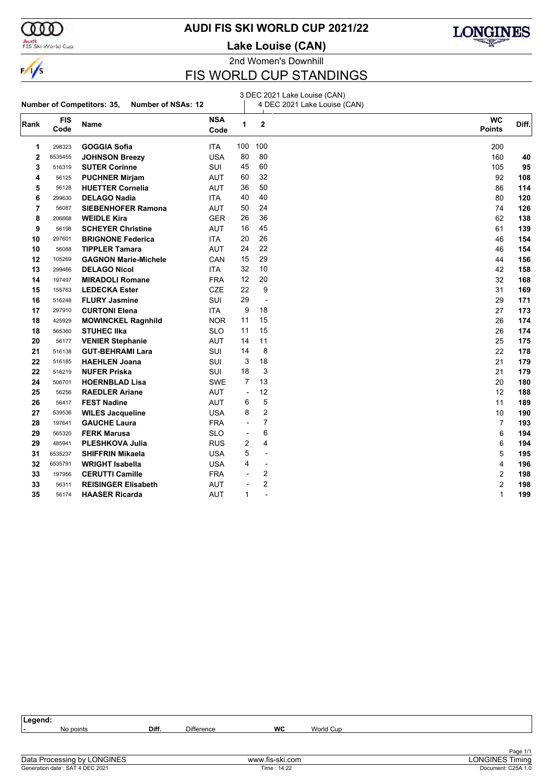

#### Audi<br>FIS Ski World Cup

**AUDI FIS SKI WORLD CUP 2021/22**

**Lake Louise (CAN)**



2nd Women's Downhill

# FIS WORLD CUP STANDINGS

#### **Number of Competitors: 35, Number of NSAs: 12** 3 DEC 2021 Lake Louise (CAN) 4 DEC 2021 Lake Louise (CAN) **Rank FIS Code Name NSA Code WC** Diff. **Points <sup>2</sup>** 298323 **GOGGIA Sofia** ITA 100 100 200 6535455 **JOHNSON Breezy** USA 80 80 160 **40 3** 516319 **SUTER Corinne 105 <b>95 516319 SUI 45 60 105 <b>96 105 96**  56125 **PUCHNER Mirjam** AUT 60 32 92 **108** 56128 **HUETTER Cornelia** AUT 36 50 86 **114** 299630 **DELAGO Nadia** ITA 40 40 80 **120** 56087 **SIEBENHOFER Ramona** AUT 50 24 74 **126** 206668 **WEIDLE Kira** GER 26 36 62 **138** 56198 **SCHEYER Christine AUT 16 45 139 61 139**  297601 **BRIGNONE Federica** ITA 20 26 46 **154** 56088 **TIPPLER Tamara** AUT 24 22 46 **154** 105269 **GAGNON Marie-Michele** CAN 15 29 44 **156** 299466 **DELAGO Nicol** ITA 32 10 42 **158** 197497 **MIRADOLI Romane** FRA 12 20 32 **168** 155763 **LEDECKA Ester** CZE 22 9 31 **169** 516248 **FLURY Jasmine** SUI 29 - 29 **171** 297910 **CURTONI Elena** ITA 9 18 27 **173** 425929 **MOWINCKEL Ragnhild** NOR 11 15 26 **174** 565360 **STUHEC IIka** SLO 11 15 26 **174** 26 **174**  56177 **VENIER Stephanie** AUT 14 11 25 **175** 516138 **GUT-BEHRAMI Lara** SUI 14 8 22 **178** 516185 **HAEHLEN Joana** SUI 3 18 21 **179** 516219 **NUFER Priska** SUI 18 3 21 **179** 506701 **HOERNBLAD Lisa** SWE 7 13 20 **180** 56256 **RAEDLER Ariane** AUT - 12 12 **188** 56417 **FEST Nadine** AUT 6 5 11 **189** 539536 **WILES Jacqueline** USA 8 2 10 **190** 197641 **GAUCHE Laura** FRA - 7 7 **193** 565320 **FERK Marusa** SLO - 6 6 **194** 485941 **PLESHKOVA Julia** RUS 2 4 6 **194** 6535237 **SHIFFRIN Mikaela** USA 5 - 5 **195** 6535791 **WRIGHT Isabella** USA 4 - 4 **196** 197956 **CERUTTI Camille** FRA - 2 2 **198** 56311 **REISINGER Elisabeth** AUT - 2 2 **198** 56174 **HAASER Ricarda** AUT 1 - 1 **199**

**Legend: -** No points **Diff.** Difference **WC** World Cup Page 1/1<br>LONGINES Timing Data Processing by LONGINES www.fis-ski.com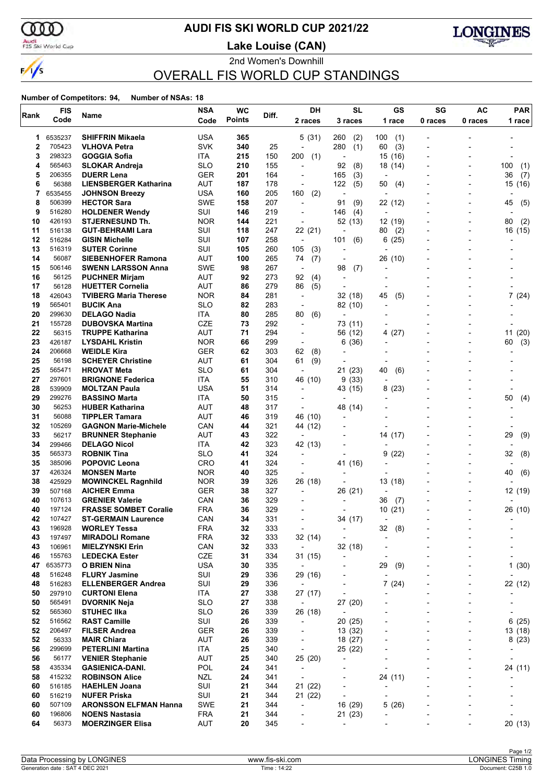

# **AUDI FIS SKI WORLD CUP 2021/22**

Audi<br>FIS Ski World Cup

2nd Women's Downhill **Lake Louise (CAN)**



OVERALL FIS WORLD CUP STANDINGS

|          | <b>FIS</b>       |                                           | <b>NSA</b>        | <b>WC</b>     |            | DH                       | <b>SL</b>                | GS                       | SG                       | <b>AC</b>                | <b>PAR</b>               |
|----------|------------------|-------------------------------------------|-------------------|---------------|------------|--------------------------|--------------------------|--------------------------|--------------------------|--------------------------|--------------------------|
| Rank     | Code             | Name                                      | Code              | <b>Points</b> | Diff.      | 2 races                  | 3 races                  | 1 race                   | 0 races                  | 0 races                  | 1 race                   |
|          |                  |                                           |                   |               |            |                          |                          |                          |                          |                          |                          |
| 1        | 6535237          | <b>SHIFFRIN Mikaela</b>                   | <b>USA</b>        | 365           |            | 5(31)                    | (2)<br>260               | 100<br>(1)               |                          |                          |                          |
| 2        | 705423           | <b>VLHOVA Petra</b>                       | <b>SVK</b>        | 340           | 25         | $\overline{a}$           | 280<br>(1)               | (3)<br>60                | ÷                        |                          |                          |
| 3        | 298323           | <b>GOGGIA Sofia</b>                       | ITA               | 215           | 150        | 200<br>(1)               |                          | 15<br>(16)               |                          |                          |                          |
| 4        | 565463           | <b>SLOKAR Andreja</b>                     | <b>SLO</b>        | 210           | 155        | $\overline{a}$           | 92<br>(8)                | 18 (14)                  |                          |                          | 100<br>(1)               |
| 5        | 206355           | <b>DUERR Lena</b>                         | <b>GER</b>        | 201           | 164        | $\overline{a}$           | (3)<br>165               | $\overline{\phantom{a}}$ |                          |                          | 36<br>(7)                |
| 6        | 56388            | <b>LIENSBERGER Katharina</b>              | AUT               | 187           | 178        | ÷                        | 122<br>(5)               | 50<br>(4)                |                          |                          | (16)<br>15               |
| 7        | 6535455          | <b>JOHNSON Breezy</b>                     | <b>USA</b>        | 160           | 205        | (2)<br>160               | $\blacksquare$           |                          |                          |                          |                          |
| 8        | 506399           | <b>HECTOR Sara</b>                        | <b>SWE</b>        | 158           | 207        | $\overline{a}$           | 91<br>(9)                | 22 (12)                  |                          |                          | 45<br>(5)                |
| 9        | 516280           | <b>HOLDENER Wendy</b>                     | SUI               | 146           | 219        |                          | 146<br>(4)               |                          |                          |                          |                          |
| 10       | 426193           | <b>STJERNESUND Th.</b>                    | <b>NOR</b>        | 144           | 221        | $\blacksquare$           | 52 (13)                  | 12 (19)                  |                          |                          | 80<br>(2)                |
| 11       | 516138           | <b>GUT-BEHRAMI Lara</b>                   | SUI               | 118           | 247        | 22 (21)                  |                          | (2)<br>80                |                          |                          | 16 (15)                  |
| 12       | 516284           | <b>GISIN Michelle</b>                     | SUI               | 107           | 258        | $\overline{\phantom{a}}$ | 101<br>(6)               | 6<br>(25)                |                          |                          |                          |
| 13       | 516319           | <b>SUTER Corinne</b>                      | SUI               | 105           | 260        | 105<br>(3)               |                          |                          |                          |                          |                          |
| 14       | 56087            | <b>SIEBENHOFER Ramona</b>                 | AUT               | 100           | 265        | 74<br>(7)                | $\overline{\phantom{a}}$ | 26 (10)                  |                          |                          |                          |
| 15       | 506146           | <b>SWENN LARSSON Anna</b>                 | <b>SWE</b>        | 98            | 267        | $\overline{a}$           | 98<br>(7)                |                          |                          |                          |                          |
| 16       | 56125            | <b>PUCHNER Mirjam</b>                     | AUT               | 92            | 273        | 92<br>(4)                | $\overline{a}$           |                          |                          |                          |                          |
| 17       | 56128            | <b>HUETTER Cornelia</b>                   | <b>AUT</b>        | 86            | 279        | 86<br>(5)                | L,                       | $\overline{\phantom{a}}$ |                          |                          |                          |
| 18       | 426043           | <b>TVIBERG Maria Therese</b>              | <b>NOR</b>        | 84            | 281        | $\blacksquare$           | 32 (18)                  | 45<br>(5)                |                          |                          | 7(24)                    |
| 19       | 565401           | <b>BUCIK Ana</b>                          | <b>SLO</b>        | 82            | 283        | $\blacksquare$           | 82 (10)                  | $\overline{\phantom{0}}$ |                          |                          |                          |
| 20       | 299630           | <b>DELAGO Nadia</b>                       | ITA               | 80            | 285        | 80<br>(6)                |                          |                          |                          |                          |                          |
| 21       | 155728           | <b>DUBOVSKA Martina</b>                   | <b>CZE</b>        | 73            | 292        | ÷                        | 73 (11)                  |                          |                          |                          |                          |
| 22       | 56315            | <b>TRUPPE Katharina</b>                   | AUT               | 71            | 294        | $\overline{a}$           | 56 (12)                  | (27)<br>4                |                          |                          | 11(20)                   |
| 23       | 426187           | <b>LYSDAHL Kristin</b>                    | <b>NOR</b>        | 66            | 299        | $\overline{\phantom{a}}$ | 6(36)                    |                          |                          |                          | (3)<br>60                |
| 24       | 206668           | <b>WEIDLE Kira</b>                        | <b>GER</b>        | 62            | 303        | 62<br>(8)                | $\overline{\phantom{a}}$ |                          |                          |                          |                          |
| 25       | 56198            | <b>SCHEYER Christine</b>                  | AUT               | 61            | 304        | (9)<br>61                |                          |                          |                          |                          |                          |
| 25       | 565471           | <b>HROVAT Meta</b>                        | <b>SLO</b>        | 61            | 304        | $\overline{\phantom{a}}$ | 21 (23)                  | 40<br>(6)                |                          |                          |                          |
| 27       | 297601           | <b>BRIGNONE Federica</b>                  | ITA               | 55            | 310        | 46 (10)                  | 9(33)                    |                          |                          |                          |                          |
| 28       | 539909           | <b>MOLTZAN Paula</b>                      | <b>USA</b>        | 51            | 314        | $\overline{\phantom{a}}$ | 43 (15)                  | 8<br>(23)                |                          |                          |                          |
| 29       | 299276           | <b>BASSINO Marta</b>                      | ITA               | 50            | 315        | $\overline{\phantom{a}}$ | $\overline{\phantom{a}}$ |                          |                          |                          | (4)<br>50                |
| 30       | 56253            | <b>HUBER Katharina</b>                    | AUT               | 48            | 317        | $\overline{a}$           | 48 (14)                  |                          |                          |                          |                          |
| 31       | 56088            | <b>TIPPLER Tamara</b>                     | AUT               | 46            | 319        | 46 (10)                  | $\blacksquare$           | $\blacksquare$           |                          |                          |                          |
| 32       | 105269           | <b>GAGNON Marie-Michele</b>               | CAN               | 44            | 321        | 44 (12)                  |                          |                          |                          |                          |                          |
| 33       | 56217            | <b>BRUNNER Stephanie</b>                  | <b>AUT</b>        | 43            | 322        | $\overline{a}$           |                          | 14 (17)                  |                          |                          | 29<br>(9)                |
| 34       | 299466           | <b>DELAGO Nicol</b>                       | ITA               | 42            | 323        | 42 (13)                  |                          |                          |                          |                          |                          |
| 35       | 565373           | <b>ROBNIK Tina</b>                        | <b>SLO</b>        | 41            | 324        | $\overline{\phantom{a}}$ |                          | 9<br>(22)                |                          |                          | 32<br>(8)                |
| 35       | 385096           | <b>POPOVIC Leona</b>                      | <b>CRO</b>        | 41            | 324        |                          | 41 (16)                  |                          |                          |                          |                          |
| 37       | 426324           | <b>MONSEN Marte</b>                       | <b>NOR</b>        | 40            | 325        | $\overline{a}$           | $\overline{\phantom{a}}$ |                          |                          |                          | (6)<br>40                |
| 38       | 425929           | <b>MOWINCKEL Ragnhild</b>                 | <b>NOR</b>        | 39            | 326        | 26 (18)                  | $\overline{\phantom{a}}$ | 13 (18)                  |                          |                          |                          |
| 39       | 507168           | <b>AICHER Emma</b>                        | <b>GER</b>        | 38            | 327        | $\overline{a}$           | 26 (21)                  |                          |                          |                          | 12 (19)                  |
| 40       | 107613           | <b>GRENIER Valerie</b>                    | CAN               | 36            | 329        |                          | $\overline{\phantom{a}}$ | 36<br>(7)                |                          |                          |                          |
| 40       | 197124           | <b>FRASSE SOMBET Coralie</b>              | <b>FRA</b>        | 36            | 329        |                          |                          | 10<br>(21)               |                          |                          | 26 (10)                  |
| 42       | 107427           | <b>ST-GERMAIN Laurence</b>                | CAN               | 34            | 331        |                          | 34 (17)                  | $\overline{\phantom{a}}$ |                          |                          |                          |
| 43       | 196928           | <b>WORLEY Tessa</b>                       | <b>FRA</b>        | 32            | 333        | $\overline{\phantom{a}}$ | $\overline{a}$           | (8)<br>32                |                          |                          |                          |
| 43       | 197497           | <b>MIRADOLI Romane</b>                    | <b>FRA</b>        | 32            | 333        | 32 (14)                  | L,                       | ÷,                       |                          |                          |                          |
| 43       | 106961           | <b>MIELZYNSKI Erin</b>                    | CAN               | 32            | 333        | $\overline{\phantom{a}}$ | 32 (18)                  |                          |                          |                          |                          |
| 46       | 155763           | <b>LEDECKA Ester</b>                      | CZE               | 31            | 334        | 31(15)                   | $\overline{\phantom{a}}$ |                          |                          |                          | $\overline{\phantom{0}}$ |
| 47       | 6535773          | <b>O BRIEN Nina</b>                       | <b>USA</b>        | 30            | 335        | $\overline{\phantom{a}}$ |                          | 29<br>(9)                | ÷                        |                          | 1(30)                    |
| 48       | 516248           | <b>FLURY Jasmine</b>                      | SUI               | 29            | 336        | 29 (16)                  |                          |                          |                          |                          |                          |
| 48       | 516283           | <b>ELLENBERGER Andrea</b>                 | SUI               | 29            | 336        | $\overline{\phantom{a}}$ | $\overline{a}$           | 7<br>(24)                | $\overline{a}$           |                          | 22 (12)                  |
| 50<br>50 | 297910<br>565491 | <b>CURTONI Elena</b>                      | ITA<br><b>SLO</b> | 27<br>27      | 338<br>338 | 27 (17)                  | $\overline{\phantom{a}}$ |                          | $\overline{\phantom{0}}$ |                          |                          |
|          |                  | <b>DVORNIK Neja</b><br><b>STUHEC IIka</b> |                   |               |            | $\overline{\phantom{a}}$ | 27 (20)                  |                          |                          |                          |                          |
| 52       | 565360           |                                           | <b>SLO</b>        | 26            | 339        | 26 (18)                  | $\overline{a}$           |                          | $\overline{a}$           |                          |                          |
| 52<br>52 | 516562           | <b>RAST Camille</b>                       | SUI               | 26            | 339        | $\overline{\phantom{a}}$ | 20(25)                   |                          | $\blacksquare$           |                          | 6(25)                    |
|          | 206497           | <b>FILSER Andrea</b>                      | <b>GER</b>        | 26            | 339        |                          | 13 (32)                  |                          |                          |                          | 13 (18)                  |
| 52       | 56333            | <b>MAIR Chiara</b>                        | <b>AUT</b>        | 26            | 339        | $\overline{a}$           | 18 (27)                  | $\overline{\phantom{a}}$ | $\overline{\phantom{a}}$ | $\overline{\phantom{a}}$ | 8(23)                    |
| 56       | 299699           | <b>PETERLINI Martina</b>                  | ITA               | 25            | 340        | $\overline{\phantom{a}}$ | 25 (22)                  |                          | $\overline{\phantom{a}}$ |                          |                          |
| 56       | 56177            | <b>VENIER Stephanie</b>                   | <b>AUT</b>        | 25            | 340        | 25 (20)                  | $\overline{\phantom{a}}$ |                          |                          |                          |                          |
| 58       | 435334           | <b>GASIENICA-DANI.</b>                    | POL               | 24            | 341        | $\overline{\phantom{a}}$ |                          | $\overline{\phantom{0}}$ |                          |                          | 24 (11)                  |
| 58       | 415232           | <b>ROBINSON Alice</b>                     | <b>NZL</b>        | 24            | 341        | $\overline{\phantom{a}}$ |                          | 24 (11)                  | $\overline{\phantom{0}}$ |                          |                          |
| 60       | 516185           | <b>HAEHLEN Joana</b>                      | SUI               | 21            | 344        | 21(22)                   |                          |                          |                          |                          |                          |
| 60       | 516219           | <b>NUFER Priska</b>                       | SUI               | 21            | 344        | 21 (22)                  | $\overline{a}$           | ٠                        |                          |                          |                          |
| 60       | 507109           | <b>ARONSSON ELFMAN Hanna</b>              | <b>SWE</b>        | 21            | 344        | $\overline{\phantom{a}}$ | 16 (29)                  | 5<br>(26)                |                          |                          |                          |
| 60       | 196806           | <b>NOENS Nastasia</b>                     | <b>FRA</b>        | 21            | 344        |                          | 21 (23)                  |                          |                          |                          |                          |
| 64       | 56373            | <b>MOERZINGER Elisa</b>                   | <b>AUT</b>        | 20            | 345        | -                        | $\overline{\phantom{a}}$ | $\overline{\phantom{0}}$ |                          |                          | 20(13)                   |
|          |                  |                                           |                   |               |            |                          |                          |                          |                          |                          |                          |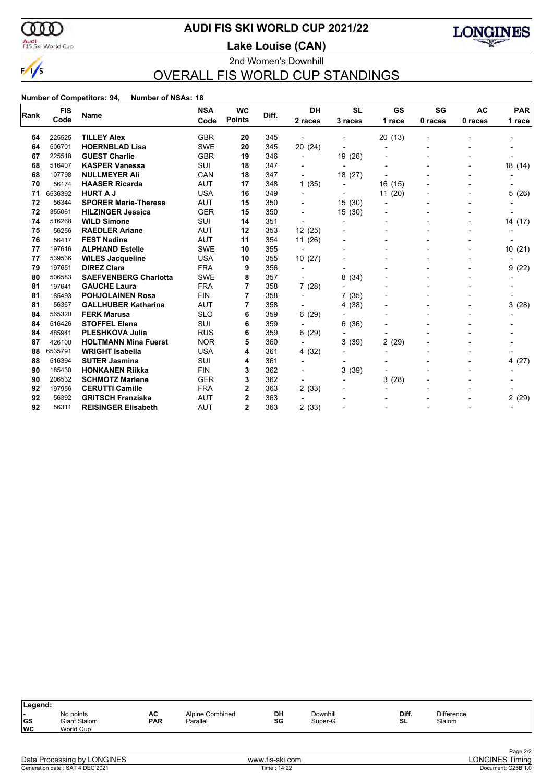

# **AUDI FIS SKI WORLD CUP 2021/22**

Audi<br>FIS Ski World Cup

2nd Women's Downhill **Lake Louise (CAN)**



# OVERALL FIS WORLD CUP STANDINGS

|      | <b>FIS</b> | Name                         | <b>NSA</b> | <b>WC</b>     | Diff. | <b>DH</b>                | <b>SL</b>                | GS                       | SG             | <b>AC</b> | <b>PAR</b> |
|------|------------|------------------------------|------------|---------------|-------|--------------------------|--------------------------|--------------------------|----------------|-----------|------------|
| Rank | Code       |                              | Code       | <b>Points</b> |       | 2 races                  | 3 races                  | 1 race                   | 0 races        | 0 races   | 1 race     |
| 64   | 225525     | <b>TILLEY Alex</b>           | <b>GBR</b> | 20            | 345   |                          |                          | 20(13)                   |                |           |            |
| 64   | 506701     | <b>HOERNBLAD Lisa</b>        | <b>SWE</b> | 20            | 345   | 20 (24)                  |                          | $\overline{\phantom{a}}$ | $\blacksquare$ |           |            |
| 67   | 225518     | <b>GUEST Charlie</b>         | <b>GBR</b> | 19            | 346   | $\blacksquare$           | 19 (26)                  |                          |                |           |            |
| 68   | 516407     | <b>KASPER Vanessa</b>        | <b>SUI</b> | 18            | 347   |                          | $\overline{\phantom{a}}$ |                          |                |           | 18 (14)    |
| 68   | 107798     | <b>NULLMEYER Ali</b>         | CAN        | 18            | 347   |                          | 18 (27)                  |                          |                |           |            |
| 70   | 56174      | <b>HAASER Ricarda</b>        | <b>AUT</b> | 17            | 348   | 1(35)                    | $\overline{\phantom{a}}$ | 16(15)                   |                |           |            |
| 71   | 6536392    | <b>HURT A J</b>              | <b>USA</b> | 16            | 349   |                          |                          | 11(20)                   |                |           | 5(26)      |
| 72   | 56344      | <b>SPORER Marie-Therese</b>  | <b>AUT</b> | 15            | 350   |                          | 15 (30)                  |                          |                |           |            |
| 72   | 355061     | <b>HILZINGER Jessica</b>     | <b>GER</b> | 15            | 350   |                          | 15(30)                   |                          |                |           |            |
| 74   | 516268     | <b>WILD Simone</b>           | <b>SUI</b> | 14            | 351   | $\blacksquare$           |                          |                          |                |           | 14 (17)    |
| 75   | 56256      | <b>RAEDLER Ariane</b>        | AUT        | 12            | 353   | 12(25)                   |                          |                          |                |           |            |
| 76   | 56417      | <b>FEST Nadine</b>           | <b>AUT</b> | 11            | 354   | 11(26)                   |                          |                          |                |           |            |
| 77   | 197616     | <b>ALPHAND Estelle</b>       | <b>SWE</b> | 10            | 355   | $\overline{\phantom{a}}$ | -                        |                          | $\blacksquare$ |           | 10(21)     |
| 77   | 539536     | <b>WILES Jacqueline</b>      | <b>USA</b> | 10            | 355   | 10(27)                   |                          |                          |                |           |            |
| 79   | 197651     | <b>DIREZ Clara</b>           | <b>FRA</b> | 9             | 356   |                          |                          |                          |                |           | 9(22)      |
| 80   | 506583     | <b>SAEFVENBERG Charlotta</b> | <b>SWE</b> | 8             | 357   |                          | 8(34)                    |                          |                |           |            |
| 81   | 197641     | <b>GAUCHE Laura</b>          | <b>FRA</b> | 7             | 358   | 7(28)                    | $\overline{\phantom{0}}$ |                          |                |           |            |
| 81   | 185493     | <b>POHJOLAINEN Rosa</b>      | <b>FIN</b> | 7             | 358   | $\blacksquare$           | 7(35)                    |                          |                |           |            |
| 81   | 56367      | <b>GALLHUBER Katharina</b>   | AUT        | 7             | 358   |                          | 4 (38)                   |                          |                |           | 3(28)      |
| 84   | 565320     | <b>FERK Marusa</b>           | <b>SLO</b> | 6             | 359   | 6(29)                    |                          |                          |                |           |            |
| 84   | 516426     | <b>STOFFEL Elena</b>         | <b>SUI</b> | 6             | 359   | $\overline{\phantom{0}}$ | 6(36)                    |                          |                |           |            |
| 84   | 485941     | <b>PLESHKOVA Julia</b>       | <b>RUS</b> | 6             | 359   | 6(29)                    |                          |                          |                |           |            |
| 87   | 426100     | <b>HOLTMANN Mina Fuerst</b>  | <b>NOR</b> | 5             | 360   |                          | 3(39)                    | 2(29)                    |                |           |            |
| 88   | 6535791    | <b>WRIGHT Isabella</b>       | <b>USA</b> | 4             | 361   | 4 (32)                   |                          |                          |                |           |            |
| 88   | 516394     | <b>SUTER Jasmina</b>         | SUI        | 4             | 361   |                          | -                        |                          |                |           | 4 (27)     |
| 90   | 185430     | <b>HONKANEN Riikka</b>       | <b>FIN</b> | 3             | 362   |                          | 3(39)                    |                          |                |           |            |
| 90   | 206532     | <b>SCHMOTZ Marlene</b>       | <b>GER</b> | 3             | 362   | $\blacksquare$           |                          | 3(28)                    |                |           |            |
| 92   | 197956     | <b>CERUTTI Camille</b>       | <b>FRA</b> | 2             | 363   | 2(33)                    |                          |                          |                |           |            |
| 92   | 56392      | <b>GRITSCH Franziska</b>     | AUT        | 2             | 363   |                          |                          |                          |                |           | 2(29)      |
| 92   | 56311      | <b>REISINGER Elisabeth</b>   | <b>AUT</b> | $\mathbf{2}$  | 363   | 2(33)                    |                          |                          |                |           |            |

| Legend:                    |                                                      |                  |                             |          |                     |                    |                             |  |
|----------------------------|------------------------------------------------------|------------------|-----------------------------|----------|---------------------|--------------------|-----------------------------|--|
| . .<br>$ $ GS<br><b>WC</b> | No points<br><b>Giant Slalom</b><br><b>World Cup</b> | AC<br><b>PAR</b> | Alpine Combined<br>Parallel | DH<br>SG | Downhill<br>Super-G | Diff.<br><b>SL</b> | <b>Difference</b><br>Slalom |  |
|                            |                                                      |                  |                             |          |                     |                    |                             |  |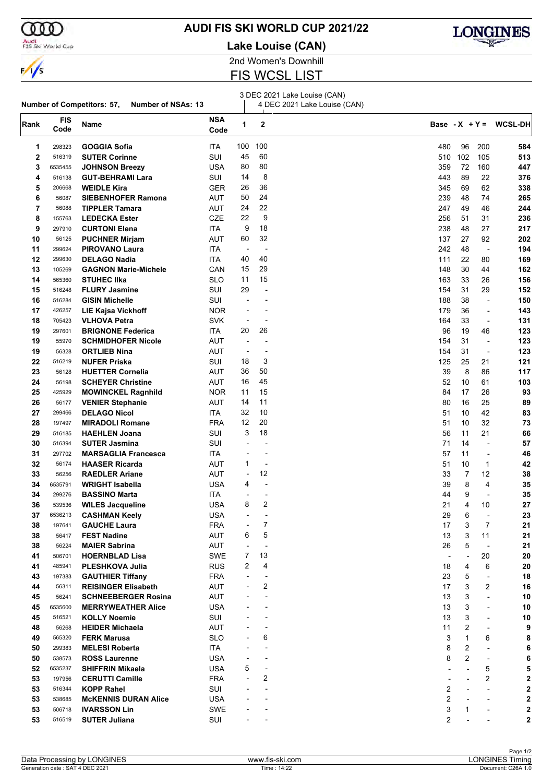

#### Audi<br>FIS Ski World Cup

**Number of Competitors: 57, Number of NSAs: 13**

# **AUDI FIS SKI WORLD CUP 2021/22**

**Lake Louise (CAN)**



2nd Women's Downhill

# FIS WCSL LIST

 $\mathbb{R}$ 

3 DEC 2021 Lake Louise (CAN)

4 DEC 2021 Lake Louise (CAN)

| Rank     | <b>FIS</b><br>Code | Name                        | <b>NSA</b><br>Code | 1                        | $\mathbf 2$              |                |                          |                          | Base - $X + Y = WCSL-DH$ |
|----------|--------------------|-----------------------------|--------------------|--------------------------|--------------------------|----------------|--------------------------|--------------------------|--------------------------|
| 1        | 298323             | <b>GOGGIA Sofia</b>         | ITA                | 100                      | 100                      | 480            | 96                       | 200                      | 584                      |
| 2        | 516319             | <b>SUTER Corinne</b>        | SUI                | 45                       | 60                       | 510            | 102                      | 105                      | 513                      |
| 3        | 6535455            | <b>JOHNSON Breezy</b>       | <b>USA</b>         | 80                       | 80                       | 359            | 72                       | 160                      | 447                      |
| 4        | 516138             | <b>GUT-BEHRAMI Lara</b>     | SUI                | 14                       | 8                        | 443            | 89                       | 22                       | 376                      |
| 5        | 206668             | <b>WEIDLE Kira</b>          | <b>GER</b>         | 26                       | 36                       | 345            | 69                       | 62                       | 338                      |
| 6        | 56087              | <b>SIEBENHOFER Ramona</b>   | AUT                | 50                       | 24                       | 239            | 48                       | 74                       | 265                      |
| 7        | 56088              | <b>TIPPLER Tamara</b>       | AUT                | 24                       | 22                       | 247            | 49                       | 46                       | 244                      |
| 8        | 155763             | <b>LEDECKA Ester</b>        | CZE                | 22                       | 9                        | 256            | 51                       | 31                       | 236                      |
| 9        | 297910             | <b>CURTONI Elena</b>        | ITA                | 9                        | 18                       | 238            | 48                       | 27                       | 217                      |
| 10       | 56125              | <b>PUCHNER Mirjam</b>       | AUT                | 60                       | 32                       | 137            | 27                       | 92                       | 202                      |
| 11       | 299624             | <b>PIROVANO Laura</b>       | ITA                | $\overline{\phantom{a}}$ | ÷,                       | 242            | 48                       | $\overline{\phantom{a}}$ | 194                      |
| 12       | 299630             | <b>DELAGO Nadia</b>         | ITA                | 40                       | 40                       | 111            | 22                       | 80                       | 169                      |
| 13       | 105269             | <b>GAGNON Marie-Michele</b> | CAN                | 15                       | 29                       | 148            | 30                       | 44                       | 162                      |
| 14       | 565360             | <b>STUHEC IIka</b>          | SLO                | 11                       | 15                       | 163            | 33                       | 26                       | 156                      |
| 15       | 516248             | <b>FLURY Jasmine</b>        | SUI                | 29                       | $\blacksquare$           | 154            | 31                       | 29                       | 152                      |
| 16       | 516284             | <b>GISIN Michelle</b>       | SUI                |                          |                          | 188            | 38                       | $\overline{\phantom{a}}$ | 150                      |
| 17       | 426257             | <b>LIE Kajsa Vickhoff</b>   | <b>NOR</b>         |                          | $\overline{\phantom{0}}$ | 179            | 36                       | $\overline{\phantom{a}}$ | 143                      |
| 18       | 705423             | <b>VLHOVA Petra</b>         | <b>SVK</b>         |                          | $\overline{a}$           | 164            | 33                       | $\overline{\phantom{a}}$ | 131                      |
| 19       | 297601             | <b>BRIGNONE Federica</b>    | ITA.               | 20                       | 26                       | 96             | 19                       | 46                       | 123                      |
| 19       | 55970              | <b>SCHMIDHOFER Nicole</b>   | AUT                |                          |                          | 154            | 31                       | $\overline{\phantom{a}}$ | 123                      |
| 19       | 56328              | <b>ORTLIEB Nina</b>         | <b>AUT</b>         |                          | ÷                        | 154            | 31                       | ÷,                       | 123                      |
| 22       | 516219             | <b>NUFER Priska</b>         | SUI                | 18                       | 3                        | 125            | 25                       | 21                       | 121                      |
|          | 56128              |                             |                    | 36                       | 50                       | 39             | 8                        |                          |                          |
| 23<br>24 | 56198              | <b>HUETTER Cornelia</b>     | AUT                | 16                       | 45                       | 52             | 10                       | 86<br>61                 | 117                      |
|          |                    | <b>SCHEYER Christine</b>    | AUT                | 11                       | 15                       | 84             | 17                       |                          | 103<br>93                |
| 25       | 425929             | <b>MOWINCKEL Ragnhild</b>   | <b>NOR</b>         | 14                       | 11                       |                |                          | 26                       |                          |
| 26       | 56177              | <b>VENIER Stephanie</b>     | AUT                |                          |                          | 80             | 16                       | 25                       | 89                       |
| 27       | 299466             | <b>DELAGO Nicol</b>         | ITA                | 32                       | 10                       | 51             | 10                       | 42                       | 83                       |
| 28       | 197497             | <b>MIRADOLI Romane</b>      | <b>FRA</b>         | 12                       | 20                       | 51             | 10                       | 32                       | 73                       |
| 29       | 516185             | <b>HAEHLEN Joana</b>        | SUI                | 3                        | 18                       | 56             | 11                       | 21                       | 66                       |
| 30       | 516394             | <b>SUTER Jasmina</b>        | SUI                |                          |                          | 71             | 14                       | ÷,                       | 57                       |
| 31       | 297702             | <b>MARSAGLIA Francesca</b>  | ITA                |                          | $\overline{a}$           | 57             | 11                       | $\overline{\phantom{a}}$ | 46                       |
| 32       | 56174              | <b>HAASER Ricarda</b>       | AUT                | 1                        | ÷,                       | 51             | 10                       | 1                        | 42                       |
| 33       | 56256              | <b>RAEDLER Ariane</b>       | <b>AUT</b>         | $\overline{a}$           | 12                       | 33             | $\overline{7}$           | 12                       | 38                       |
| 34       | 6535791            | <b>WRIGHT Isabella</b>      | <b>USA</b>         | 4                        | ÷,                       | 39             | 8                        | $\overline{4}$           | 35                       |
| 34       | 299276             | <b>BASSINO Marta</b>        | ITA.               | $\overline{\phantom{a}}$ | $\overline{a}$           | 44             | 9                        | $\overline{\phantom{a}}$ | 35                       |
| 36       | 539536             | <b>WILES Jacqueline</b>     | <b>USA</b>         | 8                        | 2                        | 21             | 4                        | 10                       | 27                       |
| 37       | 6536213            | <b>CASHMAN Keely</b>        | USA                |                          |                          | 29             | 6                        | $\overline{\phantom{a}}$ | 23                       |
| 38       | 197641             | <b>GAUCHE Laura</b>         | <b>FRA</b>         |                          | $\overline{7}$           | 17             | 3                        | 7                        | 21                       |
| 38       | 56417              | <b>FEST Nadine</b>          | <b>AUT</b>         | 6                        | 5                        | 13             | 3                        | 11                       | 21                       |
| 38       | 56224              | <b>MAIER Sabrina</b>        | <b>AUT</b>         |                          | $\overline{a}$           | 26             | 5                        | $\overline{\phantom{a}}$ | 21                       |
| 41       | 506701             | <b>HOERNBLAD Lisa</b>       | SWE                | 7                        | 13                       | $\overline{a}$ | $\overline{\phantom{a}}$ | 20                       | 20                       |
| 41       | 485941             | PLESHKOVA Julia             | <b>RUS</b>         | 2                        | 4                        | 18             | 4                        | 6                        | 20                       |
| 43       | 197383             | <b>GAUTHIER Tiffany</b>     | <b>FRA</b>         |                          | $\overline{a}$           | 23             | 5                        | $\overline{\phantom{a}}$ | 18                       |
| 44       | 56311              | <b>REISINGER Elisabeth</b>  | AUT                |                          | 2                        | 17             | 3                        | 2                        | 16                       |
| 45       | 56241              | <b>SCHNEEBERGER Rosina</b>  | <b>AUT</b>         |                          | $\blacksquare$           | 13             | 3                        | L,                       | 10                       |
| 45       | 6535600            | <b>MERRYWEATHER Alice</b>   | <b>USA</b>         |                          |                          | 13             | 3                        | $\blacksquare$           | 10                       |
| 45       | 516521             | <b>KOLLY Noemie</b>         | SUI                |                          |                          | 13             | 3                        | $\overline{\phantom{a}}$ | 10                       |
| 48       | 56268              | <b>HEIDER Michaela</b>      | AUT                |                          | $\overline{\phantom{a}}$ | 11             | 2                        | $\overline{a}$           | 9                        |
| 49       | 565320             | <b>FERK Marusa</b>          | <b>SLO</b>         |                          | 6                        | 3              | 1                        | 6                        | 8                        |
| 50       | 299383             | <b>MELESI Roberta</b>       | ITA                |                          | $\overline{\phantom{a}}$ | 8              | 2                        | $\overline{a}$           | 6                        |
| 50       | 538573             | <b>ROSS Laurenne</b>        | <b>USA</b>         |                          | $\overline{\phantom{a}}$ | 8              | $\overline{2}$           |                          |                          |
| 52       | 6535237            | <b>SHIFFRIN Mikaela</b>     | <b>USA</b>         | 5                        | ÷,                       |                |                          | 5                        |                          |
| 53       | 197956             | <b>CERUTTI Camille</b>      | <b>FRA</b>         |                          | 2                        |                |                          | $\sqrt{2}$               | 2                        |
| 53       | 516344             | <b>KOPP Rahel</b>           | SUI                |                          | $\overline{a}$           | 2              |                          |                          | 2                        |
| 53       | 538685             | <b>McKENNIS DURAN Alice</b> | <b>USA</b>         |                          |                          | 2              |                          |                          | 2                        |
| 53       | 506718             | <b>IVARSSON Lin</b>         | SWE                |                          |                          | 3              | 1                        |                          | $\overline{\mathbf{c}}$  |
| 53       | 516519             | <b>SUTER Juliana</b>        | SUI                |                          |                          | 2              |                          |                          | 2                        |
|          |                    |                             |                    |                          |                          |                |                          |                          |                          |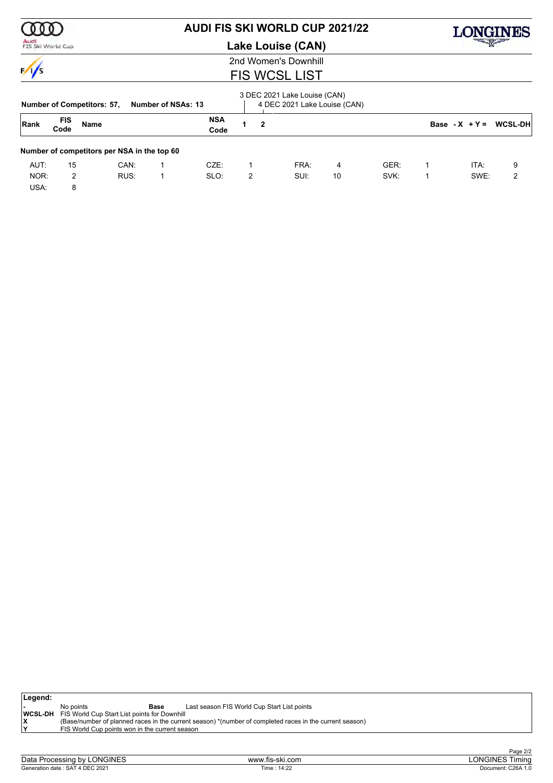

## Audi<br>FIS Ski World Cup

# **AUDI FIS SKI WORLD CUP 2021/22**

**Lake Louise (CAN)**



2nd Women's Downhill

# FIS WCSL LIST

|      |                    | <b>Number of Competitors: 57,</b>           |      | Number of NSAs: 13 |                    |   |   | 3 DEC 2021 Lake Louise (CAN)<br>4 DEC 2021 Lake Louise (CAN) |    |      |                  |                 |
|------|--------------------|---------------------------------------------|------|--------------------|--------------------|---|---|--------------------------------------------------------------|----|------|------------------|-----------------|
| Rank | <b>FIS</b><br>Code | Name                                        |      |                    | <b>NSA</b><br>Code |   | 2 |                                                              |    |      | Base - $X + Y =$ | <b>WCSL-DHI</b> |
|      |                    | Number of competitors per NSA in the top 60 |      |                    |                    |   |   |                                                              |    |      |                  |                 |
| AUT: | 15                 |                                             | CAN: |                    | CZE:               |   |   | FRA:                                                         | 4  | GER: | ITA:             | 9               |
| NOR: | 2                  |                                             | RUS: |                    | SLO:               | 2 |   | SUI:                                                         | 10 | SVK: | SWE:             | 2               |
| USA: | 8                  |                                             |      |                    |                    |   |   |                                                              |    |      |                  |                 |

| Legend: |           |                                                             |                                                                                                         |
|---------|-----------|-------------------------------------------------------------|---------------------------------------------------------------------------------------------------------|
|         | No points | Base                                                        | Last season FIS World Cup Start List points                                                             |
|         |           | <b>WCSL-DH</b> FIS World Cup Start List points for Downhill |                                                                                                         |
|         |           |                                                             | (Base/number of planned races in the current season) *(number of completed races in the current season) |
| ١Y      |           | FIS World Cup points won in the current season              |                                                                                                         |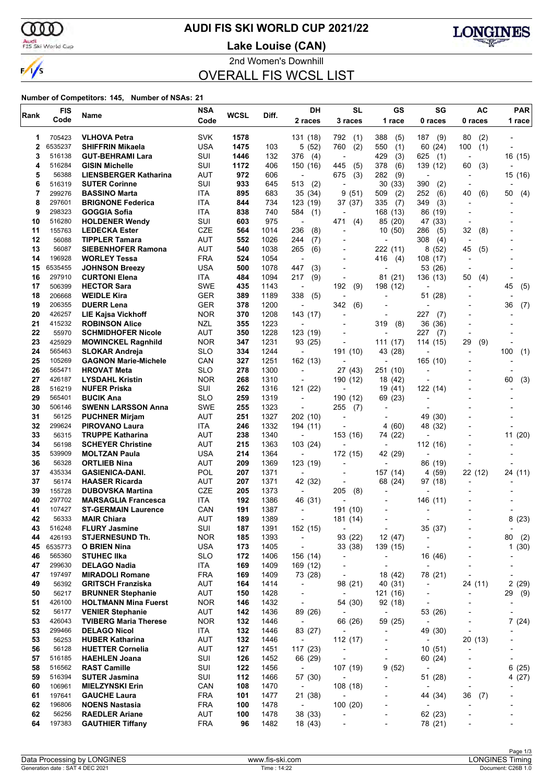$\alpha$ Audi<br>FIS Ski World Cup

 $\frac{1}{\sqrt{2}}$ 

# **AUDI FIS SKI WORLD CUP 2021/22**

**Lake Louise (CAN)**



2nd Women's Downhill

OVERALL FIS WCSL LIST

| Rank     | <b>FIS</b>      | Name                                                    | <b>NSA</b>        | WCSL       | Diff.        | DH                                   | <b>SL</b>                           | GS                                  | SG                                  | AC                             | <b>PAR</b>               |
|----------|-----------------|---------------------------------------------------------|-------------------|------------|--------------|--------------------------------------|-------------------------------------|-------------------------------------|-------------------------------------|--------------------------------|--------------------------|
|          | Code            |                                                         | Code              |            |              | 2 races                              | 3 races                             | 1 race                              | 0 races                             | 0 races                        | 1 race                   |
| 1        | 705423          | <b>VLHOVA Petra</b>                                     | <b>SVK</b>        | 1578       |              | 131 (18)                             | 792<br>(1)                          | 388<br>(5)                          | 187<br>(9)                          | 80<br>(2)                      |                          |
| 2        | 6535237         | <b>SHIFFRIN Mikaela</b>                                 | <b>USA</b>        | 1475       | 103          | 5(52)                                | 760<br>(2)                          | 550<br>(1)                          | 60 (24)                             | 100<br>(1)                     |                          |
| 3        | 516138          | <b>GUT-BEHRAMI Lara</b>                                 | SUI               | 1446       | 132          | 376<br>(4)                           | $\overline{a}$                      | 429<br>(3)                          | 625<br>(1)                          |                                | 16 (15)                  |
| 4        | 516284          | <b>GISIN Michelle</b>                                   | SUI               | 1172       | 406          | 150 (16)                             | 445<br>(5)                          | 378<br>(6)                          | 139 (12)                            | (3)<br>60                      |                          |
| 5        | 56388           | <b>LIENSBERGER Katharina</b>                            | AUT               | 972        | 606          | ÷,                                   | 675<br>(3)                          | 282<br>(9)                          | Ĭ.                                  |                                | 15 (16)                  |
| 6        | 516319          | <b>SUTER Corinne</b>                                    | SUI               | 933        | 645          | 513<br>(2)                           | $\blacksquare$                      | 30<br>(33)                          | 390<br>(2)                          |                                |                          |
| 7        | 299276          | <b>BASSINO Marta</b>                                    | ITA               | 895        | 683          | 35 (34)                              | 9(51)                               | (2)<br>509                          | 252<br>(6)                          | 40<br>(6)                      | 50<br>(4)                |
| 8        | 297601          | <b>BRIGNONE Federica</b>                                | ITA               | 844        | 734          | 123 (19)                             | 37 (37)                             | 335<br>(7)                          | 349<br>(3)                          |                                |                          |
| 9        | 298323          | GOGGIA Sofia                                            | ITA               | 838        | 740          | 584<br>(1)                           |                                     | 168 (13)                            | 86 (19)                             |                                |                          |
| 10       | 516280          | <b>HOLDENER Wendy</b>                                   | SUI               | 603        | 975          | $\overline{\phantom{a}}$             | 471<br>(4)                          | 85 (20)                             | 47 (33)                             | $\overline{\phantom{a}}$       |                          |
| 11       | 155763          | <b>LEDECKA Ester</b>                                    | <b>CZE</b>        | 564        | 1014         | 236<br>(8)                           | ÷,                                  | (50)<br>10                          | 286<br>(5)                          | 32<br>(8)                      |                          |
| 12<br>13 | 56088<br>56087  | <b>TIPPLER Tamara</b>                                   | AUT<br><b>AUT</b> | 552        | 1026<br>1038 | 244<br>(7)<br>265                    |                                     | ٠                                   | 308<br>(4)<br>8(52)                 | $\overline{\phantom{a}}$<br>45 |                          |
| 14       | 196928          | <b>SIEBENHOFER Ramona</b><br><b>WORLEY Tessa</b>        | <b>FRA</b>        | 540<br>524 | 1054         | (6)<br>÷,                            | $\blacksquare$                      | 222 (11)<br>416<br>(4)              | 108 (17)                            | (5)                            |                          |
| 15       | 6535455         | <b>JOHNSON Breezy</b>                                   | <b>USA</b>        | 500        | 1078         | 447<br>(3)                           | ÷                                   |                                     | 53 (26)                             |                                |                          |
| 16       | 297910          | <b>CURTONI Elena</b>                                    | ITA               | 484        | 1094         | 217<br>(9)                           | $\blacksquare$                      | 81 (21)                             | 136 (13)                            | 50<br>(4)                      |                          |
| 17       | 506399          | <b>HECTOR Sara</b>                                      | <b>SWE</b>        | 435        | 1143         | $\overline{\phantom{a}}$             | 192<br>(9)                          | 198 (12)                            |                                     |                                | (5)<br>45                |
| 18       | 206668          | <b>WEIDLE Kira</b>                                      | <b>GER</b>        | 389        | 1189         | 338<br>(5)                           | $\overline{\phantom{a}}$            |                                     | 51 (28)                             |                                |                          |
| 19       | 206355          | <b>DUERR Lena</b>                                       | <b>GER</b>        | 378        | 1200         | $\overline{\phantom{a}}$             | 342<br>(6)                          |                                     | $\overline{\phantom{a}}$            |                                | 36<br>(7)                |
| 20       | 426257          | <b>LIE Kajsa Vickhoff</b>                               | <b>NOR</b>        | 370        | 1208         | 143 (17)                             | ÷                                   | ٠                                   | 227<br>(7)                          |                                |                          |
| 21       | 415232          | <b>ROBINSON Alice</b>                                   | NZL               | 355        | 1223         |                                      | -                                   | 319<br>(8)                          | 36 (36)                             |                                |                          |
| 22       | 55970           | <b>SCHMIDHOFER Nicole</b>                               | <b>AUT</b>        | 350        | 1228         | 123 (19)                             |                                     |                                     | 227<br>(7)                          |                                |                          |
| 23       | 425929          | <b>MOWINCKEL Ragnhild</b>                               | <b>NOR</b>        | 347        | 1231         | 93 (25)                              | $\overline{a}$                      | 111 (17)                            | 114 (15)                            | 29<br>(9)                      |                          |
| 24       | 565463          | <b>SLOKAR Andreja</b>                                   | <b>SLO</b>        | 334        | 1244         | $\overline{\phantom{a}}$             | 191 (10)                            | 43 (28)                             |                                     |                                | (1)<br>100               |
| 25       | 105269          | <b>GAGNON Marie-Michele</b>                             | CAN               | 327        | 1251         | 162 (13)                             | $\overline{a}$                      | $\overline{a}$                      | 165 (10)                            |                                |                          |
| 26       | 565471          | <b>HROVAT Meta</b>                                      | <b>SLO</b>        | 278        | 1300         | $\overline{\phantom{a}}$             | 27 (43)                             | 251 (10)                            |                                     |                                |                          |
| 27       | 426187          | <b>LYSDAHL Kristin</b>                                  | <b>NOR</b>        | 268        | 1310         | ÷                                    | 190 (12)                            | 18 (42)                             |                                     |                                | 60<br>(3)                |
| 28       | 516219          | <b>NUFER Priska</b>                                     | SUI               | 262        | 1316         | 121 (22)                             |                                     | 19 (41)                             | 122 (14)                            |                                |                          |
| 29       | 565401          | <b>BUCIK Ana</b>                                        | <b>SLO</b>        | 259        | 1319         | $\overline{\phantom{a}}$             | 190 (12)                            | 69 (23)                             | ۰                                   |                                |                          |
| 30       | 506146          | <b>SWENN LARSSON Anna</b>                               | <b>SWE</b>        | 255        | 1323         | $\overline{\phantom{a}}$             | 255<br>(7)                          | $\overline{a}$                      |                                     |                                |                          |
| 31       | 56125           | <b>PUCHNER Mirjam</b>                                   | <b>AUT</b>        | 251        | 1327         | 202 (10)                             | $\overline{a}$                      |                                     | 49 (30)                             |                                |                          |
| 32<br>33 | 299624          | <b>PIROVANO Laura</b>                                   | ITA               | 246        | 1332         | 194 (11)                             |                                     | (60)<br>4                           | 48 (32)                             |                                |                          |
| 34       | 56315<br>56198  | <b>TRUPPE Katharina</b>                                 | AUT<br><b>AUT</b> | 238        | 1340<br>1363 | $\overline{\phantom{a}}$<br>103 (24) | 153 (16)                            | 74 (22)                             |                                     |                                | 11(20)                   |
| 35       | 539909          | <b>SCHEYER Christine</b><br><b>MOLTZAN Paula</b>        | <b>USA</b>        | 215<br>214 | 1364         | $\overline{\phantom{a}}$             | 172 (15)                            | $\overline{\phantom{a}}$<br>42 (29) | 112 (16)                            |                                |                          |
| 36       | 56328           | <b>ORTLIEB Nina</b>                                     | AUT               | 209        | 1369         | 123 (19)                             | $\overline{\phantom{0}}$            | $\overline{\phantom{0}}$            | 86 (19)                             |                                |                          |
| 37       | 435334          | <b>GASIENICA-DANI.</b>                                  | POL               | 207        | 1371         | $\blacksquare$                       |                                     | 157 (14)                            | 4 (59)                              | 22 (12)                        | 24 (11)                  |
| 37       | 56174           | <b>HAASER Ricarda</b>                                   | AUT               | 207        | 1371         | 42 (32)                              |                                     | 68 (24)                             | 97 (18)                             |                                |                          |
| 39       | 155728          | <b>DUBOVSKA Martina</b>                                 | CZE               | 205        | 1373         | $\overline{\phantom{a}}$             | 205<br>(8)                          |                                     |                                     |                                |                          |
| 40       | 297702          | <b>MARSAGLIA Francesca</b>                              | <b>ITA</b>        | 192        | 1386         | 46 (31)                              |                                     |                                     | 146 (11)                            |                                |                          |
| 41       | 107427          | <b>ST-GERMAIN Laurence</b>                              | CAN               | 191        | 1387         | $\overline{\phantom{a}}$             | 191 (10)                            | ٠                                   |                                     |                                |                          |
| 42       | 56333           | <b>MAIR Chiara</b>                                      | AUT               | 189        | 1389         |                                      | 181 (14)                            |                                     |                                     |                                | 8(23)                    |
| 43       | 516248          | <b>FLURY Jasmine</b>                                    | SUI               | 187        | 1391         | 152 (15)                             | $\overline{\phantom{a}}$            | $\overline{\phantom{a}}$            | 35 (37)                             |                                | $\overline{\phantom{a}}$ |
| 44       | 426193          | <b>STJERNESUND Th.</b>                                  | <b>NOR</b>        | 185        | 1393         | $\overline{\phantom{a}}$             | 93 (22)                             | 12 (47)                             | $\overline{\phantom{a}}$            |                                | 80<br>(2)                |
| 45       | 6535773         | <b>O BRIEN Nina</b>                                     | <b>USA</b>        | 173        | 1405         | $\overline{\phantom{a}}$             | 33 (38)                             | 139 (15)                            | $\overline{\phantom{a}}$            |                                | 1(30)                    |
| 46       | 565360          | <b>STUHEC IIka</b>                                      | <b>SLO</b>        | 172        | 1406         | 156 (14)                             | $\overline{\phantom{a}}$            | $\qquad \qquad \blacksquare$        | 16 (46)                             |                                |                          |
| 47       | 299630          | <b>DELAGO Nadia</b>                                     | ITA               | 169        | 1409         | 169 (12)                             | $\overline{\phantom{a}}$            | $\overline{\phantom{a}}$            |                                     |                                | -                        |
| 47       | 197497          | <b>MIRADOLI Romane</b>                                  | <b>FRA</b>        | 169        | 1409         | 73 (28)                              | $\centerdot$                        | 18 (42)                             | 78 (21)                             | $\overline{\phantom{a}}$       |                          |
| 49       | 56392           | <b>GRITSCH Franziska</b>                                | AUT               | 164        | 1414         | $\overline{\phantom{a}}$             | 98 (21)                             | 40 (31)                             | $\overline{\phantom{a}}$            | 24 (11)                        | 2(29)                    |
| 50       | 56217           | <b>BRUNNER Stephanie</b>                                | AUT               | 150        | 1428         | $\overline{\phantom{a}}$             | $\overline{\phantom{a}}$            | 121 (16)                            | $\overline{\phantom{a}}$            | $\overline{\phantom{a}}$       | 29<br>(9)                |
| 51<br>52 | 426100          | <b>HOLTMANN Mina Fuerst</b>                             | <b>NOR</b><br>AUT | 146        | 1432         | $\overline{\phantom{a}}$             | 54 (30)                             | 92 (18)                             | $\overline{a}$                      |                                |                          |
| 53       | 56177<br>426043 | <b>VENIER Stephanie</b><br><b>TVIBERG Maria Therese</b> | <b>NOR</b>        | 142<br>132 | 1436<br>1446 | 89 (26)<br>$\overline{\phantom{a}}$  | $\overline{\phantom{a}}$<br>66 (26) | $\overline{\phantom{a}}$<br>59 (25) | 53 (26)                             |                                | 7(24)                    |
| 53       | 299466          | <b>DELAGO Nicol</b>                                     | ITA               | 132        | 1446         | 83 (27)                              |                                     |                                     | $\overline{\phantom{a}}$<br>49 (30) | $\overline{\phantom{a}}$       |                          |
| 53       | 56253           | <b>HUBER Katharina</b>                                  | <b>AUT</b>        | 132        | 1446         | $\overline{\phantom{a}}$             | 112 (17)                            | $\blacksquare$                      | $\overline{\phantom{a}}$            | 20 (13)                        |                          |
| 56       | 56128           | <b>HUETTER Cornelia</b>                                 | <b>AUT</b>        | 127        | 1451         | 117 (23)                             | $\overline{\phantom{a}}$            | $\overline{\phantom{0}}$            | 10(51)                              | $\overline{\phantom{a}}$       | $\overline{\phantom{0}}$ |
| 57       | 516185          | <b>HAEHLEN Joana</b>                                    | SUI               | 126        | 1452         | 66 (29)                              | $\overline{a}$                      | $\overline{\phantom{a}}$            | 60 (24)                             |                                | $\overline{\phantom{0}}$ |
| 58       | 516562          | <b>RAST Camille</b>                                     | SUI               | 122        | 1456         | $\overline{\phantom{a}}$             | 107 (19)                            | 9<br>(52)                           | $\overline{\phantom{a}}$            |                                | 6(25)                    |
| 59       | 516394          | <b>SUTER Jasmina</b>                                    | SUI               | 112        | 1466         | 57 (30)                              |                                     | $\overline{\phantom{0}}$            | 51 (28)                             | $\overline{a}$                 | 4 (27)                   |
| 60       | 106961          | <b>MIELZYNSKI Erin</b>                                  | CAN               | 108        | 1470         | $\overline{\phantom{a}}$             | 108(18)                             | $\overline{\phantom{0}}$            |                                     |                                |                          |
| 61       | 197641          | <b>GAUCHE Laura</b>                                     | <b>FRA</b>        | 101        | 1477         | 21 (38)                              |                                     |                                     | 44 (34)                             | 36<br>(7)                      |                          |
| 62       | 196806          | <b>NOENS Nastasia</b>                                   | <b>FRA</b>        | 100        | 1478         | $\overline{\phantom{a}}$             | 100(20)                             | $\overline{a}$                      | $\overline{\phantom{a}}$            |                                |                          |
| 62       | 56256           | <b>RAEDLER Ariane</b>                                   | AUT               | 100        | 1478         | 38 (33)                              | ÷                                   | -                                   | 62 (23)                             |                                |                          |
| 64       | 197383          | <b>GAUTHIER Tiffany</b>                                 | <b>FRA</b>        | 96         | 1482         | 18 (43)                              |                                     |                                     | 78 (21)                             |                                |                          |
|          |                 |                                                         |                   |            |              |                                      |                                     |                                     |                                     |                                |                          |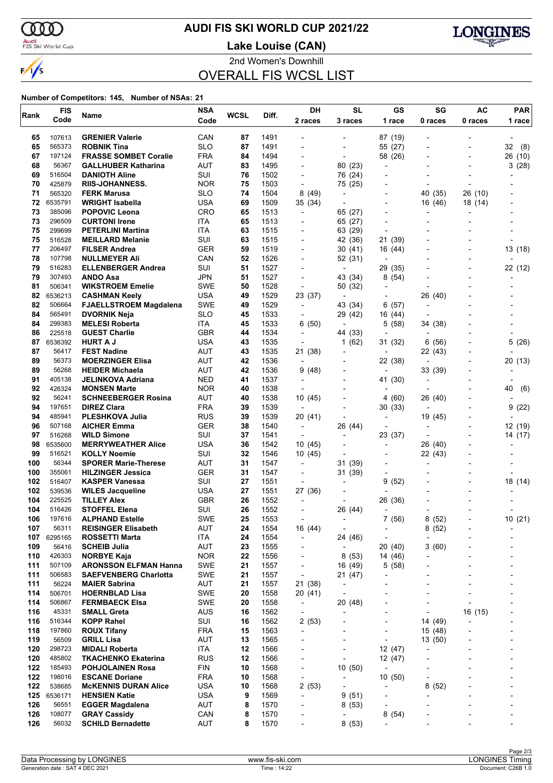

# **AUDI FIS SKI WORLD CUP 2021/22**

Audi<br>FIS Ski World Cup

**Lake Louise (CAN)**



2nd Women's Downhill OVERALL FIS WCSL LIST

| Rank       | <b>FIS</b>       | Name                                                  | <b>NSA</b>               | <b>WCSL</b> | Diff.        | DH                                         | <b>SL</b>                | GS                                  | SG                       | AC      | <b>PAR</b>                      |
|------------|------------------|-------------------------------------------------------|--------------------------|-------------|--------------|--------------------------------------------|--------------------------|-------------------------------------|--------------------------|---------|---------------------------------|
|            | Code             |                                                       | Code                     |             |              | 2 races                                    | 3 races                  | 1 race                              | 0 races                  | 0 races | 1 race                          |
| 65         | 107613           | <b>GRENIER Valerie</b>                                | CAN                      | 87          | 1491         |                                            |                          | 87 (19)                             |                          |         |                                 |
| 65         | 565373           | <b>ROBNIK Tina</b>                                    | <b>SLO</b>               | 87          | 1491         |                                            | $\blacksquare$           | 55 (27)                             |                          |         | 32<br>(8)                       |
| 67         | 197124           | <b>FRASSE SOMBET Coralie</b>                          | <b>FRA</b>               | 84          | 1494         | $\blacksquare$                             | $\overline{\phantom{a}}$ | 58 (26)                             |                          |         | 26 (10)                         |
| 68         | 56367            | <b>GALLHUBER Katharina</b>                            | AUT                      | 83          | 1495         |                                            | 80 (23)                  | $\overline{\phantom{0}}$            |                          |         | 3(28)                           |
| 69         | 516504           | <b>DANIOTH Aline</b>                                  | SUI                      | 76          | 1502         | $\blacksquare$                             | 76 (24)                  | $\overline{\phantom{0}}$            |                          |         |                                 |
| 70         | 425879           | <b>RIIS-JOHANNESS.</b>                                | <b>NOR</b>               | 75          | 1503         | $\overline{a}$                             | 75 (25)                  | $\overline{\phantom{a}}$            | $\overline{\phantom{a}}$ |         |                                 |
| 71         | 565320           | <b>FERK Marusa</b>                                    | <b>SLO</b>               | 74          | 1504         | 8(49)                                      | $\overline{\phantom{a}}$ |                                     | 40 (35)                  | 26 (10) |                                 |
| 72         | 6535791          | <b>WRIGHT Isabella</b>                                | <b>USA</b>               | 69          | 1509         | 35 (34)                                    | $\overline{a}$           |                                     | 16 (46)                  | 18 (14) |                                 |
| 73         | 385096           | <b>POPOVIC Leona</b>                                  | CRO                      | 65          | 1513         | $\overline{\phantom{a}}$                   | 65 (27)                  | $\overline{\phantom{0}}$            | ÷                        |         |                                 |
| 73         | 296509           | <b>CURTONI Irene</b>                                  | ITA                      | 65          | 1513         |                                            | 65 (27)                  |                                     |                          |         |                                 |
| 75<br>75   | 299699<br>516528 | <b>PETERLINI Martina</b>                              | ITA<br>SUI               | 63<br>63    | 1515         |                                            | 63 (29)<br>42 (36)       | $\overline{\phantom{0}}$            |                          |         |                                 |
| 77         | 206497           | <b>MEILLARD Melanie</b><br><b>FILSER Andrea</b>       | <b>GER</b>               | 59          | 1515<br>1519 | $\overline{\phantom{a}}$                   | 30(41)                   | 21 (39)<br>16 (44)                  |                          |         | 13 (18)                         |
| 78         | 107798           | <b>NULLMEYER Ali</b>                                  | CAN                      | 52          | 1526         | $\blacksquare$                             | 52 (31)                  | $\blacksquare$                      |                          |         |                                 |
| 79         | 516283           | <b>ELLENBERGER Andrea</b>                             | SUI                      | 51          | 1527         | $\overline{\phantom{a}}$                   | $\overline{a}$           | 29 (35)                             |                          |         | 22 (12)                         |
| 79         | 307493           | <b>ANDO Asa</b>                                       | JPN                      | 51          | 1527         |                                            | 43 (34)                  | 8(54)                               |                          |         |                                 |
| 81         | 506341           | <b>WIKSTROEM Emelie</b>                               | <b>SWE</b>               | 50          | 1528         | $\overline{\phantom{a}}$                   | 50 (32)                  | $\overline{\phantom{0}}$            |                          |         |                                 |
| 82         | 6536213          | <b>CASHMAN Keely</b>                                  | <b>USA</b>               | 49          | 1529         | 23 (37)                                    | ÷,                       | $\overline{\phantom{0}}$            | 26 (40)                  |         |                                 |
| 82         | 506664           | <b>FJAELLSTROEM Magdalena</b>                         | <b>SWE</b>               | 49          | 1529         | $\overline{\phantom{a}}$                   | 43 (34)                  | 6(57)                               | $\overline{\phantom{a}}$ |         |                                 |
| 84         | 565491           | <b>DVORNIK Neja</b>                                   | <b>SLO</b>               | 45          | 1533         | $\blacksquare$                             | 29 (42)                  | 16 (44)                             |                          |         |                                 |
| 84         | 299383           | <b>MELESI Roberta</b>                                 | ITA                      | 45          | 1533         | 6 (50)                                     | $\overline{a}$           | 5 (58)                              | 34 (38)                  |         |                                 |
| 86         | 225518           | <b>GUEST Charlie</b>                                  | <b>GBR</b>               | 44          | 1534         | $\overline{a}$                             | 44 (33)                  |                                     |                          |         |                                 |
| 87         | 6536392          | <b>HURT A J</b>                                       | <b>USA</b>               | 43          | 1535         | $\blacksquare$                             | 1 $(62)$                 | 31 (32)                             | 6(56)                    |         | 5(26)                           |
| 87         | 56417            | <b>FEST Nadine</b>                                    | <b>AUT</b>               | 43          | 1535         | 21 (38)                                    | ٠                        | $\overline{\phantom{a}}$            | 22 (43)                  |         |                                 |
| 89         | 56373            | <b>MOERZINGER Elisa</b>                               | AUT                      | 42          | 1536         | $\overline{a}$                             |                          | 22 (38)                             | $\overline{\phantom{a}}$ |         | 20 (13)                         |
| 89         | 56268            | <b>HEIDER Michaela</b>                                | <b>AUT</b>               | 42          | 1536         | 9(48)                                      |                          |                                     | 33 (39)                  |         |                                 |
| 91<br>92   | 405138<br>426324 | JELINKOVA Adriana<br><b>MONSEN Marte</b>              | <b>NED</b><br><b>NOR</b> | 41<br>40    | 1537<br>1538 | $\overline{\phantom{a}}$                   | $\overline{a}$           | 41 (30)                             | $\overline{\phantom{a}}$ |         | 40                              |
| 92         | 56241            | <b>SCHNEEBERGER Rosina</b>                            | <b>AUT</b>               | 40          | 1538         | $\overline{\phantom{a}}$<br>10 (45)        |                          | (60)<br>4                           | 26 (40)                  |         | (6)<br>$\overline{\phantom{a}}$ |
| 94         | 197651           | <b>DIREZ Clara</b>                                    | <b>FRA</b>               | 39          | 1539         | $\overline{\phantom{a}}$                   | $\overline{\phantom{0}}$ | 30(33)                              | $\overline{\phantom{a}}$ |         | 9<br>(22)                       |
| 94         | 485941           | <b>PLESHKOVA Julia</b>                                | <b>RUS</b>               | 39          | 1539         | 20 (41)                                    |                          |                                     | 19 (45)                  |         |                                 |
| 96         | 507168           | <b>AICHER Emma</b>                                    | <b>GER</b>               | 38          | 1540         | $\overline{\phantom{a}}$                   | 26 (44)                  |                                     |                          |         | 12 (19)                         |
| 97         | 516268           | <b>WILD Simone</b>                                    | SUI                      | 37          | 1541         | $\overline{\phantom{a}}$                   | $\blacksquare$           | 23 (37)                             | ÷,                       |         | 14 (17)                         |
| 98         | 6535600          | <b>MERRYWEATHER Alice</b>                             | USA                      | 36          | 1542         | 10(45)                                     |                          |                                     | 26 (40)                  |         |                                 |
| 99         | 516521           | <b>KOLLY Noemie</b>                                   | SUI                      | 32          | 1546         | 10(45)                                     |                          |                                     | 22 (43)                  |         |                                 |
| 100        | 56344            | <b>SPORER Marie-Therese</b>                           | AUT                      | 31          | 1547         | $\overline{\phantom{a}}$                   | 31 (39)                  |                                     | ÷                        |         |                                 |
| 100        | 355061           | <b>HILZINGER Jessica</b>                              | <b>GER</b>               | 31          | 1547         |                                            | 31 (39)                  |                                     |                          |         |                                 |
| 102        | 516407           | <b>KASPER Vanessa</b>                                 | SUI                      | 27          | 1551         | $\overline{a}$                             | $\overline{\phantom{a}}$ | (52)<br>9                           |                          |         | 18 (14)                         |
| 102        | 539536           | <b>WILES Jacqueline</b>                               | <b>USA</b>               | 27          | 1551         | 27 (36)                                    | $\overline{\phantom{a}}$ |                                     |                          |         |                                 |
| 104        | 225525           | <b>TILLEY Alex</b>                                    | <b>GBR</b>               | 26          | 1552         |                                            |                          | 26 (36)                             |                          |         |                                 |
| 104<br>106 | 516426<br>197616 | <b>STOFFEL Elena</b><br><b>ALPHAND Estelle</b>        | SUI<br><b>SWE</b>        | 26<br>25    | 1552<br>1553 |                                            | 26 (44)                  | $\overline{\phantom{a}}$<br>7(56)   | 8(52)                    |         | 10 (21)                         |
| 107        | 56311            | <b>REISINGER Elisabeth</b>                            | <b>AUT</b>               | 24          | 1554         | 16 (44)                                    | $\overline{a}$           |                                     | 8(52)                    |         |                                 |
| 107        | 6295165          | <b>ROSSETTI Marta</b>                                 | ITA                      | 24          | 1554         | $\overline{\phantom{a}}$                   | 24 (46)                  | $\overline{\phantom{0}}$            | $\overline{a}$           |         |                                 |
| 109        | 56416            | <b>SCHEIB Julia</b>                                   | AUT                      | 23          | 1555         | $\overline{\phantom{a}}$                   | $\overline{\phantom{a}}$ | 20 (40)                             | 3(60)                    |         |                                 |
| 110        | 426303           | <b>NORBYE Kaja</b>                                    | <b>NOR</b>               | 22          | 1556         |                                            | 8(53)                    | 14 (46)                             | ۰                        |         |                                 |
| 111        | 507109           | <b>ARONSSON ELFMAN Hanna</b>                          | <b>SWE</b>               | 21          | 1557         | $\overline{\phantom{a}}$                   | 16 (49)                  | 5(58)                               | -                        |         | -                               |
| 111        | 506583           | <b>SAEFVENBERG Charlotta</b>                          | <b>SWE</b>               | 21          | 1557         | $\overline{\phantom{a}}$                   | 21 (47)                  |                                     | -                        |         | $\overline{a}$                  |
| 111        | 56224            | <b>MAIER Sabrina</b>                                  | AUT                      | 21          | 1557         | 21 (38)                                    | $\overline{a}$           |                                     |                          |         |                                 |
| 114        | 506701           | <b>HOERNBLAD Lisa</b>                                 | <b>SWE</b>               | 20          | 1558         | 20 (41)                                    | $\overline{a}$           | $\blacksquare$                      | $\overline{a}$           |         | $\overline{a}$                  |
| 114        | 506867           | <b>FERMBAECK Elsa</b>                                 | <b>SWE</b>               | 20          | 1558         | $\overline{\phantom{a}}$                   | 20 (48)                  |                                     | -                        |         |                                 |
| 116        | 45331            | <b>SMALL Greta</b>                                    | <b>AUS</b>               | 16          | 1562         | $\overline{\phantom{a}}$                   |                          |                                     | ÷                        | 16 (15) |                                 |
| 116        | 516344           | <b>KOPP Rahel</b>                                     | SUI                      | 16          | 1562         | 2(53)                                      | $\overline{\phantom{0}}$ | $\overline{\phantom{a}}$            | 14 (49)                  |         | $\overline{a}$                  |
| 118        | 197860           | <b>ROUX Tifany</b>                                    | <b>FRA</b>               | 15          | 1563         | $\overline{\phantom{a}}$                   | $\overline{a}$           | $\overline{\phantom{0}}$            | 15 (48)                  |         | -                               |
| 119        | 56509            | <b>GRILL Lisa</b>                                     | <b>AUT</b>               | 13          | 1565         |                                            |                          |                                     | 13 (50)                  |         |                                 |
| 120<br>120 | 298723<br>485802 | <b>MIDALI Roberta</b>                                 | ITA<br><b>RUS</b>        | 12          | 1566         | $\overline{a}$<br>$\overline{\phantom{0}}$ | $\overline{a}$<br>٠      | 12 (47)                             | -                        |         | -                               |
| 122        | 185493           | <b>TKACHENKO Ekaterina</b><br><b>POHJOLAINEN Rosa</b> | <b>FIN</b>               | 12<br>10    | 1566<br>1568 | $\overline{\phantom{0}}$                   | 10(50)                   | 12 (47)<br>$\overline{\phantom{a}}$ |                          |         |                                 |
| 122        | 198016           | <b>ESCANE Doriane</b>                                 | <b>FRA</b>               | 10          | 1568         | $\overline{\phantom{a}}$                   | $\overline{\phantom{a}}$ | 10(50)                              | -                        |         | $\overline{a}$                  |
| 122        | 538685           | <b>McKENNIS DURAN Alice</b>                           | <b>USA</b>               | 10          | 1568         | 2(53)                                      | $\overline{\phantom{a}}$ | $\overline{a}$                      | 8<br>(52)                |         | -                               |
|            | 125 6536171      | <b>HENSIEN Katie</b>                                  | <b>USA</b>               | 9           | 1569         | $\overline{\phantom{a}}$                   | 9(51)                    |                                     | Ĭ.                       |         |                                 |
| 126        | 56551            | <b>EGGER Magdalena</b>                                | AUT                      | 8           | 1570         | $\overline{\phantom{a}}$                   | 8(53)                    | $\overline{\phantom{a}}$            |                          |         | -                               |
| 126        | 108077           | <b>GRAY Cassidy</b>                                   | CAN                      | 8           | 1570         | ٠                                          | ÷,                       | 8<br>(54)                           |                          |         |                                 |
| 126        | 56032            | <b>SCHILD Bernadette</b>                              | AUT                      | 8           | 1570         |                                            | 8(53)                    |                                     |                          |         |                                 |
|            |                  |                                                       |                          |             |              |                                            |                          |                                     |                          |         |                                 |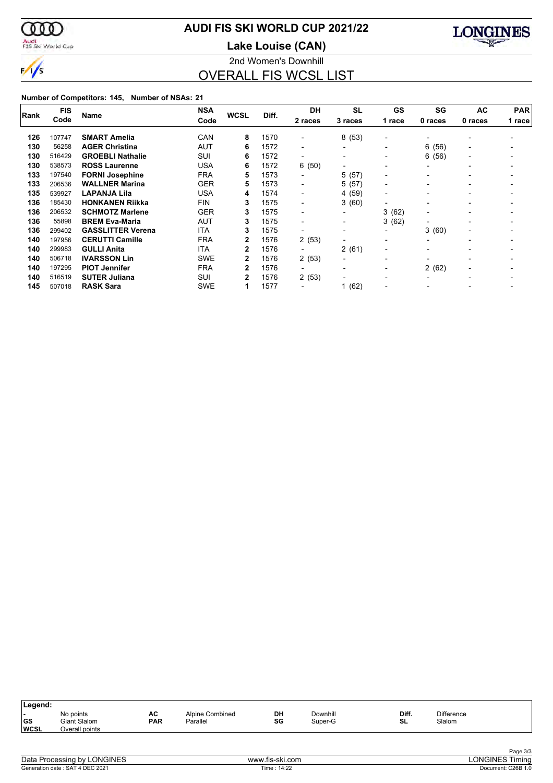

# **AUDI FIS SKI WORLD CUP 2021/22**

Audi<br>FIS Ski World Cup

2nd Women's Downhill **Lake Louise (CAN)**



OVERALL FIS WCSL LIST

| Rank | <b>FIS</b> | Name                     | <b>NSA</b> | <b>WCSL</b>  | Diff. | <b>DH</b>                | <b>SL</b>                | GS                       | SG                       | <b>AC</b>                | <b>PAR</b> |
|------|------------|--------------------------|------------|--------------|-------|--------------------------|--------------------------|--------------------------|--------------------------|--------------------------|------------|
|      | Code       |                          | Code       |              |       | 2 races                  | 3 races                  | 1 race                   | 0 races                  | 0 races                  | 1 race     |
| 126  | 107747     | <b>SMART Amelia</b>      | CAN        | 8            | 1570  |                          | 8(53)                    | $\overline{\phantom{0}}$ |                          |                          |            |
| 130  | 56258      | <b>AGER Christina</b>    | AUT        | 6            | 1572  | $\overline{\phantom{0}}$ | $\blacksquare$           | $\blacksquare$           | 6<br>(56)                | $\overline{\phantom{a}}$ |            |
| 130  | 516429     | <b>GROEBLI Nathalie</b>  | SUI        | 6            | 1572  | $\blacksquare$           | $\blacksquare$           | $\blacksquare$           | 6<br>(56)                | $\overline{\phantom{0}}$ |            |
| 130  | 538573     | <b>ROSS Laurenne</b>     | <b>USA</b> | 6            | 1572  | 6(50)                    | $\blacksquare$           | $\overline{\phantom{0}}$ | $\blacksquare$           | $\overline{\phantom{0}}$ |            |
| 133  | 197540     | <b>FORNI Josephine</b>   | <b>FRA</b> | 5            | 1573  | $\overline{\phantom{0}}$ | 5(57)                    | $\overline{\phantom{0}}$ | $\overline{\phantom{0}}$ | $\overline{\phantom{0}}$ |            |
| 133  | 206536     | <b>WALLNER Marina</b>    | <b>GER</b> | 5            | 1573  | $\blacksquare$           | 5(57)                    | $\overline{\phantom{a}}$ |                          |                          |            |
| 135  | 539927     | <b>LAPANJA Lila</b>      | <b>USA</b> | 4            | 1574  | $\overline{\phantom{0}}$ | 4(59)                    | $\overline{\phantom{0}}$ |                          |                          |            |
| 136  | 185430     | <b>HONKANEN Riikka</b>   | <b>FIN</b> | 3            | 1575  | $\overline{\phantom{0}}$ | 3(60)                    | $\overline{\phantom{0}}$ |                          |                          |            |
| 136  | 206532     | <b>SCHMOTZ Marlene</b>   | <b>GER</b> | 3            | 1575  | $\blacksquare$           | $\blacksquare$           | 3<br>(62)                | $\overline{\phantom{0}}$ |                          |            |
| 136  | 55898      | <b>BREM Eva-Maria</b>    | AUT        | 3            | 1575  | $\overline{\phantom{0}}$ | $\overline{\phantom{a}}$ | 3(62)                    | $\overline{\phantom{a}}$ |                          |            |
| 136  | 299402     | <b>GASSLITTER Verena</b> | <b>ITA</b> | 3            | 1575  | -                        | $\blacksquare$           | $\blacksquare$           | 3(60)                    | $\blacksquare$           |            |
| 140  | 197956     | <b>CERUTTI Camille</b>   | <b>FRA</b> | 2            | 1576  | 2(53)                    | $\blacksquare$           | $\overline{\phantom{0}}$ | $\overline{\phantom{a}}$ | $\overline{\phantom{0}}$ |            |
| 140  | 299983     | <b>GULLI Anita</b>       | <b>ITA</b> | $\mathbf{2}$ | 1576  | -                        | 2(61)                    | $\overline{\phantom{a}}$ |                          |                          |            |
| 140  | 506718     | <b>IVARSSON Lin</b>      | <b>SWE</b> | 2            | 1576  | 2(53)                    | $\overline{\phantom{a}}$ | $\overline{\phantom{a}}$ |                          |                          |            |
| 140  | 197295     | <b>PIOT Jennifer</b>     | <b>FRA</b> | 2            | 1576  | $\overline{\phantom{0}}$ | $\overline{\phantom{0}}$ | $\blacksquare$           | 2(62)                    |                          |            |
| 140  | 516519     | <b>SUTER Juliana</b>     | SUI        | 2            | 1576  | 2(53)                    | $\overline{\phantom{0}}$ | $\overline{\phantom{a}}$ | $\overline{\phantom{a}}$ |                          |            |
| 145  | 507018     | <b>RASK Sara</b>         | <b>SWE</b> |              | 1577  |                          | 1(62)                    |                          |                          |                          |            |

| Legend:                  |                                             |                  |                             |          |                     |             |                             |  |
|--------------------------|---------------------------------------------|------------------|-----------------------------|----------|---------------------|-------------|-----------------------------|--|
| <b>GS</b><br><b>WCSL</b> | No points<br>Giant Slalom<br>Overall points | AC<br><b>PAR</b> | Alpine Combined<br>Parallel | DH<br>SG | Downhill<br>Super-G | Diff.<br>SL | <b>Difference</b><br>Slalom |  |
|                          |                                             |                  |                             |          |                     |             |                             |  |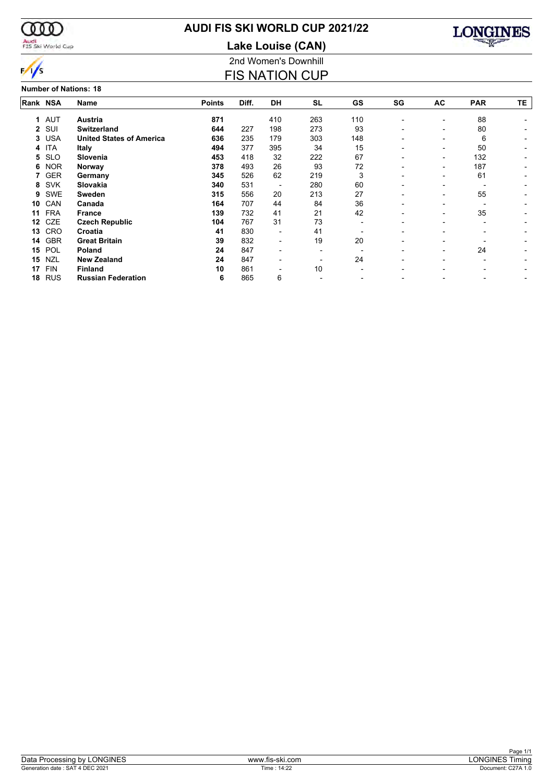

# Audi<br>FIS Ski World Cup

# **AUDI FIS SKI WORLD CUP 2021/22**

2nd Women's Downhill **Lake Louise (CAN)**

FIS NATION CUP



|          |            | <b>Number of Nations: 18</b>    |               |       |                          |           |     |                          |                          |                          |    |
|----------|------------|---------------------------------|---------------|-------|--------------------------|-----------|-----|--------------------------|--------------------------|--------------------------|----|
| Rank NSA |            | Name                            | <b>Points</b> | Diff. | <b>DH</b>                | <b>SL</b> | GS  | SG                       | <b>AC</b>                | <b>PAR</b>               | TE |
| 1        | <b>AUT</b> | Austria                         | 871           |       | 410                      | 263       | 110 | $\overline{\phantom{a}}$ | ٠                        | 88                       |    |
|          | 2 SUI      | <b>Switzerland</b>              | 644           | 227   | 198                      | 273       | 93  |                          | ٠                        | 80                       |    |
| 3        | <b>USA</b> | <b>United States of America</b> | 636           | 235   | 179                      | 303       | 148 |                          | $\overline{\phantom{0}}$ | 6                        |    |
| 4        | ITA        | <b>Italy</b>                    | 494           | 377   | 395                      | 34        | 15  |                          | $\overline{\phantom{0}}$ | 50                       |    |
| 5        | <b>SLO</b> | <b>Slovenia</b>                 | 453           | 418   | 32                       | 222       | 67  |                          | -                        | 132                      |    |
| 6        | <b>NOR</b> | Norway                          | 378           | 493   | 26                       | 93        | 72  |                          | $\overline{\phantom{0}}$ | 187                      |    |
|          | <b>GER</b> | Germany                         | 345           | 526   | 62                       | 219       | 3   |                          | $\overline{\phantom{0}}$ | 61                       | ٠  |
| 8        | <b>SVK</b> | Slovakia                        | 340           | 531   |                          | 280       | 60  |                          | $\overline{\phantom{0}}$ | $\overline{\phantom{0}}$ |    |
| 9        | SWE        | Sweden                          | 315           | 556   | 20                       | 213       | 27  |                          | ٠                        | 55                       |    |
| 10       | CAN        | Canada                          | 164           | 707   | 44                       | 84        | 36  | $\overline{\phantom{0}}$ | ٠                        |                          |    |
| 11       | <b>FRA</b> | <b>France</b>                   | 139           | 732   | 41                       | 21        | 42  |                          | ٠                        | 35                       |    |
| 12       | <b>CZE</b> | <b>Czech Republic</b>           | 104           | 767   | 31                       | 73        |     |                          | $\overline{\phantom{0}}$ | $\overline{\phantom{0}}$ |    |
| 13       | <b>CRO</b> | Croatia                         | 41            | 830   | -                        | 41        |     |                          |                          |                          |    |
| 14       | <b>GBR</b> | <b>Great Britain</b>            | 39            | 832   | $\overline{\phantom{0}}$ | 19        | 20  |                          |                          |                          |    |
| 15       | POL        | <b>Poland</b>                   | 24            | 847   |                          |           |     |                          | $\overline{\phantom{0}}$ | 24                       |    |
| 15       | <b>NZL</b> | <b>New Zealand</b>              | 24            | 847   | $\overline{\phantom{0}}$ |           | 24  |                          | $\overline{\phantom{0}}$ | $\overline{\phantom{0}}$ |    |
| 17       | <b>FIN</b> | <b>Finland</b>                  | 10            | 861   |                          | 10        |     |                          |                          |                          |    |
| 18       | <b>RUS</b> | <b>Russian Federation</b>       | 6             | 865   | 6                        |           |     |                          |                          |                          | ٠  |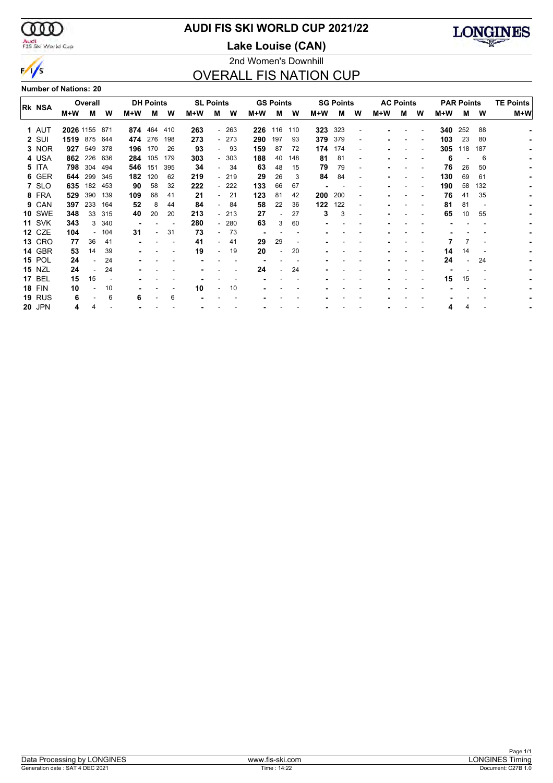$\infty$ Audi<br>FIS Ski World Cup

 $\frac{1}{s}$ 

# **AUDI FIS SKI WORLD CUP 2021/22**

**Lake Louise (CAN)**



# 2nd Women's Downhill OVERALL FIS NATION CUP

**Number of Nations: 20**

|               |           | Overall |       |     | <b>DH Points</b> |     | <b>SL Points</b> |                          |        |     | <b>GS Points</b> |     |     | <b>SG Points</b> |                          |     | <b>AC Points</b> |   |     | <b>PAR Points</b> |     | <b>TE Points</b> |
|---------------|-----------|---------|-------|-----|------------------|-----|------------------|--------------------------|--------|-----|------------------|-----|-----|------------------|--------------------------|-----|------------------|---|-----|-------------------|-----|------------------|
| Rk NSA        | M+W       | м       | W     | M+W | м                | W   | M+W              | м                        | W      | M+W | м                | W   | M+W | м                | w                        | M+W | м                | W | M+W | М                 | W   | M+W              |
| 1 AUT         | 2026 1155 |         | 871   | 874 | 464              | 410 | 263              |                          | $-263$ | 226 | 116              | 110 | 323 | 323              |                          |     |                  |   | 340 | 252               | 88  |                  |
| 2 SUI         | 1519      | 875     | 644   |     | 474 276          | 198 | 273              |                          | $-273$ | 290 | 197              | 93  | 379 | 379              | $\overline{\phantom{a}}$ |     |                  |   | 103 | 23                | 80  |                  |
| 3 NOR         | 927       | 549     | 378   | 196 | 170              | 26  | 93               |                          | - 93   | 159 | 87               | 72  | 174 | 174              |                          |     |                  |   | 305 | 118               | 187 |                  |
| 4 USA         | 862       | 226     | 636   | 284 | 105              | 179 | 303              |                          | $-303$ | 188 | 40               | 148 | 81  | 81               | $\overline{\phantom{a}}$ |     |                  |   | 6   |                   | 6   |                  |
| 5 ITA         | 798       | 304     | 494   | 546 | 151              | 395 | 34               |                          | 34     | 63  | 48               | 15  | 79  | 79               |                          |     |                  |   | 76  | 26                | 50  |                  |
| 6 GER         | 644       | 299     | 345   | 182 | 120              | 62  | 219              |                          | $-219$ | 29  | 26               | 3   | 84  | 84               |                          |     |                  |   | 130 | 69                | 61  |                  |
| 7 SLO         | 635       | 182     | 453   | 90  | 58               | 32  | 222              |                          | $-222$ | 133 | 66               | 67  |     |                  |                          |     |                  |   | 190 | 58                | 132 |                  |
| 8 FRA         |           | 390     | 139   |     | 68               |     | 21               |                          | 21     |     | 81               | 42  |     |                  |                          |     |                  |   | 76  | 41                | 35  |                  |
|               | 529       |         |       | 109 |                  | 41  |                  |                          |        | 123 |                  |     | 200 | 200              |                          |     |                  |   |     |                   |     |                  |
| 9 CAN         | 397       | 233     | 164   | 52  | 8                | 44  | 84               | $\overline{\phantom{a}}$ | 84     | 58  | 22               | 36  | 122 | 122              |                          |     |                  |   | 81  | 81                |     |                  |
| <b>10 SWE</b> | 348       | 33      | 315   | 40  | 20               | 20  | 213              |                          | - 213  | 27  |                  | 27  | 3   | 3                |                          |     |                  |   | 65  | 10                | 55  |                  |
| <b>11 SVK</b> | 343       | 3       | - 340 |     |                  |     | 280              |                          | $-280$ | 63  |                  | 60  |     |                  |                          |     |                  |   |     |                   |     |                  |
| <b>12 CZE</b> | 104       |         | 104   | 31  |                  | 31  | 73               |                          | 73     |     |                  |     |     |                  |                          |     |                  |   |     |                   |     |                  |
| <b>13 CRO</b> | 77        | 36      | 41    |     |                  |     | 41               |                          | 41     | 29  | 29               |     |     |                  |                          |     |                  |   |     |                   |     |                  |
| <b>14 GBR</b> | 53        | 14      | 39    |     |                  |     | 19               | $\overline{\phantom{0}}$ | 19     | 20  | ٠                | 20  |     |                  |                          |     |                  |   | 14  | 14                |     |                  |
| <b>15 POL</b> | 24        |         | 24    |     |                  |     |                  |                          |        |     |                  |     |     |                  |                          |     |                  |   | 24  |                   | 24  |                  |
| <b>15 NZL</b> | 24        |         | 24    |     |                  |     |                  |                          |        | 24  |                  | 24  |     |                  |                          |     |                  |   |     |                   |     |                  |
| <b>17 BEL</b> | 15        | 15      |       |     |                  |     |                  |                          |        |     |                  |     |     |                  |                          |     |                  |   | 15  | 15                |     |                  |
| <b>18 FIN</b> | 10        |         | 10    |     |                  |     | 10               |                          | 10     |     |                  |     |     |                  |                          |     |                  |   |     |                   |     |                  |
| <b>19 RUS</b> | 6         |         | 6     | 6   |                  | 6   |                  |                          |        |     |                  |     |     |                  |                          |     |                  |   |     |                   |     |                  |
| <b>20 JPN</b> | 4         | 4       |       |     |                  |     |                  |                          |        |     |                  |     |     |                  |                          |     |                  |   | 4   | 4                 |     |                  |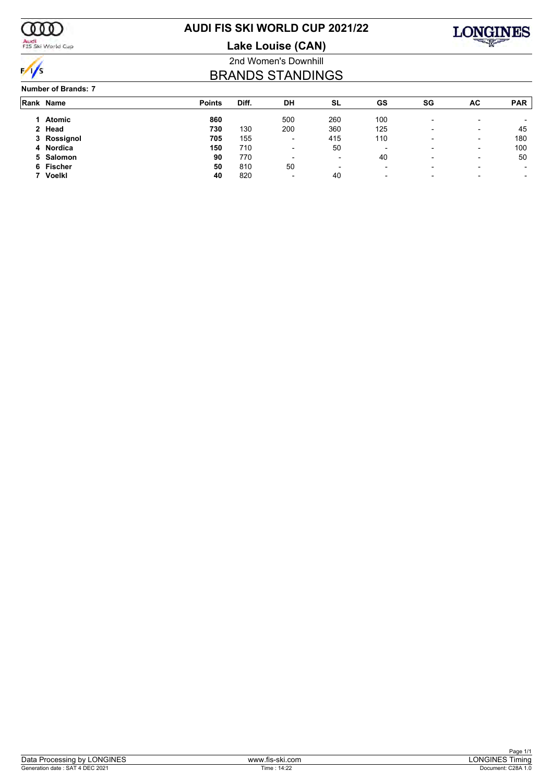

Audi<br>FIS Ski World Cup

# **AUDI FIS SKI WORLD CUP 2021/22**

**Lake Louise (CAN)**



# 2nd Women's Downhill BRANDS STANDINGS

#### **Number of Brands: 7**

| Rank Name   | <b>Points</b> | Diff. | DH                       | SL                       | GS                       | SG                       | AC | <b>PAR</b>               |
|-------------|---------------|-------|--------------------------|--------------------------|--------------------------|--------------------------|----|--------------------------|
| Atomic      | 860           |       | 500                      | 260                      | 100                      | $\overline{\phantom{a}}$ | -  |                          |
| 2 Head      | 730           | 130   | 200                      | 360                      | 125                      |                          | -  | 45                       |
| 3 Rossignol | 705           | 155   | $\overline{\phantom{0}}$ | 415                      | 110                      |                          | -  | 180                      |
| 4 Nordica   | 150           | 710   | $\overline{\phantom{0}}$ | 50                       | $\overline{\phantom{0}}$ | $\overline{\phantom{0}}$ | -  | 100                      |
| 5 Salomon   | 90            | 770   | $\overline{\phantom{0}}$ | ٠                        | 40                       |                          | -  | 50                       |
| 6 Fischer   | 50            | 810   | 50                       | $\overline{\phantom{0}}$ | $\overline{\phantom{0}}$ | $\overline{\phantom{0}}$ |    |                          |
| Voelkl      | 40            | 820   | $\overline{\phantom{0}}$ | 40                       | $\overline{\phantom{0}}$ | $\overline{\phantom{0}}$ |    | $\overline{\phantom{a}}$ |